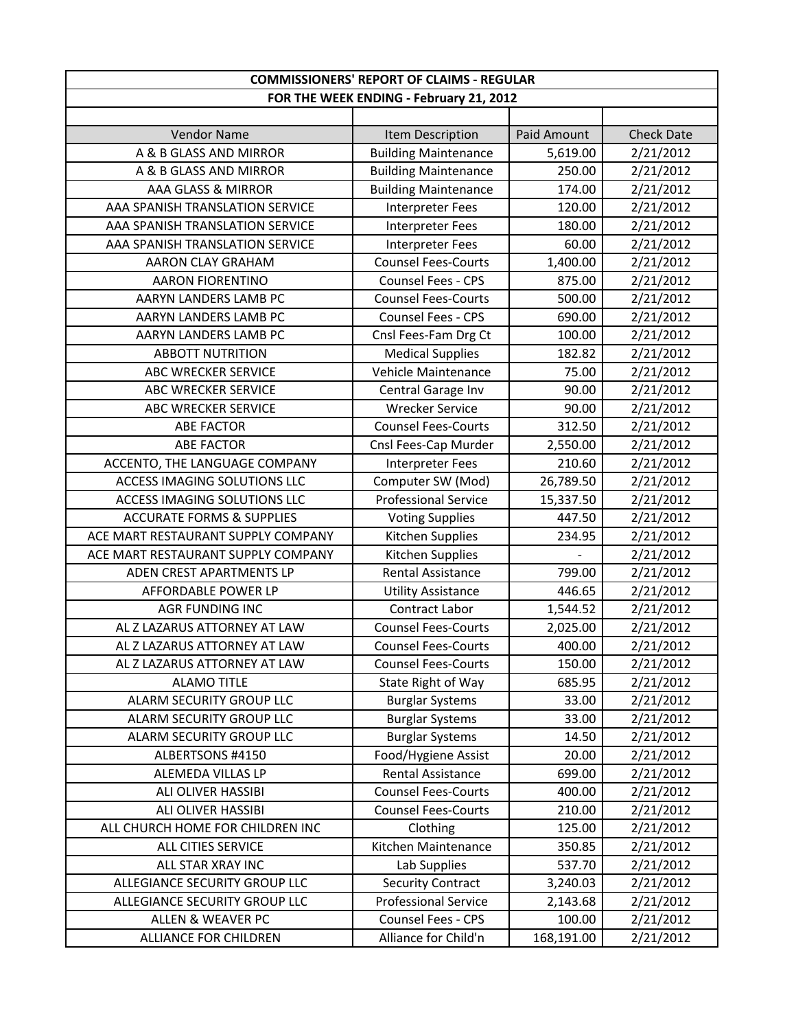| <b>Paid Amount</b><br><b>Vendor Name</b><br>Item Description<br><b>Check Date</b><br>A & B GLASS AND MIRROR<br><b>Building Maintenance</b><br>2/21/2012<br>5,619.00<br><b>Building Maintenance</b><br>250.00<br>A & B GLASS AND MIRROR<br>2/21/2012<br>2/21/2012<br>AAA GLASS & MIRROR<br><b>Building Maintenance</b><br>174.00<br>AAA SPANISH TRANSLATION SERVICE<br>120.00<br>2/21/2012<br><b>Interpreter Fees</b><br>AAA SPANISH TRANSLATION SERVICE<br>2/21/2012<br><b>Interpreter Fees</b><br>180.00<br>2/21/2012<br>AAA SPANISH TRANSLATION SERVICE<br><b>Interpreter Fees</b><br>60.00<br><b>Counsel Fees-Courts</b><br>1,400.00<br>2/21/2012<br>AARON CLAY GRAHAM<br>Counsel Fees - CPS<br>2/21/2012<br><b>AARON FIORENTINO</b><br>875.00<br>2/21/2012<br>AARYN LANDERS LAMB PC<br><b>Counsel Fees-Courts</b><br>500.00<br><b>Counsel Fees - CPS</b><br>690.00<br>2/21/2012<br>AARYN LANDERS LAMB PC<br>AARYN LANDERS LAMB PC<br>Cnsl Fees-Fam Drg Ct<br>2/21/2012<br>100.00<br>2/21/2012<br><b>ABBOTT NUTRITION</b><br><b>Medical Supplies</b><br>182.82<br>Vehicle Maintenance<br>75.00<br>2/21/2012<br><b>ABC WRECKER SERVICE</b><br>2/21/2012<br><b>ABC WRECKER SERVICE</b><br>Central Garage Inv<br>90.00<br>90.00<br>2/21/2012<br><b>ABC WRECKER SERVICE</b><br><b>Wrecker Service</b><br><b>Counsel Fees-Courts</b><br>312.50<br>2/21/2012<br><b>ABE FACTOR</b><br>Cnsl Fees-Cap Murder<br>2,550.00<br>2/21/2012<br><b>ABE FACTOR</b><br>ACCENTO, THE LANGUAGE COMPANY<br>210.60<br>2/21/2012<br><b>Interpreter Fees</b><br><b>ACCESS IMAGING SOLUTIONS LLC</b><br>Computer SW (Mod)<br>26,789.50<br>2/21/2012<br><b>Professional Service</b><br><b>ACCESS IMAGING SOLUTIONS LLC</b><br>15,337.50<br>2/21/2012<br>447.50<br>2/21/2012<br><b>ACCURATE FORMS &amp; SUPPLIES</b><br><b>Voting Supplies</b><br>ACE MART RESTAURANT SUPPLY COMPANY<br>Kitchen Supplies<br>234.95<br>2/21/2012<br>ACE MART RESTAURANT SUPPLY COMPANY<br>Kitchen Supplies<br>2/21/2012<br>2/21/2012<br>ADEN CREST APARTMENTS LP<br>Rental Assistance<br>799.00<br>446.65<br>2/21/2012<br>AFFORDABLE POWER LP<br><b>Utility Assistance</b><br><b>Contract Labor</b><br>2/21/2012<br><b>AGR FUNDING INC</b><br>1,544.52<br>AL Z LAZARUS ATTORNEY AT LAW<br>2/21/2012<br><b>Counsel Fees-Courts</b><br>2,025.00<br>2/21/2012<br>AL Z LAZARUS ATTORNEY AT LAW<br>400.00<br><b>Counsel Fees-Courts</b><br>AL Z LAZARUS ATTORNEY AT LAW<br><b>Counsel Fees-Courts</b><br>150.00<br>2/21/2012<br>State Right of Way<br>685.95<br><b>ALAMO TITLE</b><br>2/21/2012<br>ALARM SECURITY GROUP LLC<br>2/21/2012<br><b>Burglar Systems</b><br>33.00<br>ALARM SECURITY GROUP LLC<br><b>Burglar Systems</b><br>2/21/2012<br>33.00<br>2/21/2012<br>ALARM SECURITY GROUP LLC<br><b>Burglar Systems</b><br>14.50<br>Food/Hygiene Assist<br>20.00<br>2/21/2012<br>ALBERTSONS #4150<br>699.00<br>ALEMEDA VILLAS LP<br>Rental Assistance<br>2/21/2012<br><b>Counsel Fees-Courts</b><br>2/21/2012<br>ALI OLIVER HASSIBI<br>400.00<br>ALI OLIVER HASSIBI<br><b>Counsel Fees-Courts</b><br>210.00<br>2/21/2012<br>ALL CHURCH HOME FOR CHILDREN INC<br>Clothing<br>125.00<br>2/21/2012<br>Kitchen Maintenance<br>2/21/2012<br>ALL CITIES SERVICE<br>350.85<br>ALL STAR XRAY INC<br>537.70<br>2/21/2012<br>Lab Supplies<br>ALLEGIANCE SECURITY GROUP LLC<br><b>Security Contract</b><br>3,240.03<br>2/21/2012<br><b>Professional Service</b><br>ALLEGIANCE SECURITY GROUP LLC<br>2,143.68<br>2/21/2012<br>Counsel Fees - CPS<br>2/21/2012<br>ALLEN & WEAVER PC<br>100.00<br>Alliance for Child'n<br>168,191.00<br>2/21/2012<br><b>ALLIANCE FOR CHILDREN</b> | <b>COMMISSIONERS' REPORT OF CLAIMS - REGULAR</b> |  |  |  |
|--------------------------------------------------------------------------------------------------------------------------------------------------------------------------------------------------------------------------------------------------------------------------------------------------------------------------------------------------------------------------------------------------------------------------------------------------------------------------------------------------------------------------------------------------------------------------------------------------------------------------------------------------------------------------------------------------------------------------------------------------------------------------------------------------------------------------------------------------------------------------------------------------------------------------------------------------------------------------------------------------------------------------------------------------------------------------------------------------------------------------------------------------------------------------------------------------------------------------------------------------------------------------------------------------------------------------------------------------------------------------------------------------------------------------------------------------------------------------------------------------------------------------------------------------------------------------------------------------------------------------------------------------------------------------------------------------------------------------------------------------------------------------------------------------------------------------------------------------------------------------------------------------------------------------------------------------------------------------------------------------------------------------------------------------------------------------------------------------------------------------------------------------------------------------------------------------------------------------------------------------------------------------------------------------------------------------------------------------------------------------------------------------------------------------------------------------------------------------------------------------------------------------------------------------------------------------------------------------------------------------------------------------------------------------------------------------------------------------------------------------------------------------------------------------------------------------------------------------------------------------------------------------------------------------------------------------------------------------------------------------------------------------------------------------------------------------------------------------------------------------------------------------------------------------------------------------------------------------------------------------------------------------------------------------------------------------------------------------------------------------------------------------------------------------------------------------------------------------------------------------------------------------------------------------------------------------------------------------------------------------|--------------------------------------------------|--|--|--|
|                                                                                                                                                                                                                                                                                                                                                                                                                                                                                                                                                                                                                                                                                                                                                                                                                                                                                                                                                                                                                                                                                                                                                                                                                                                                                                                                                                                                                                                                                                                                                                                                                                                                                                                                                                                                                                                                                                                                                                                                                                                                                                                                                                                                                                                                                                                                                                                                                                                                                                                                                                                                                                                                                                                                                                                                                                                                                                                                                                                                                                                                                                                                                                                                                                                                                                                                                                                                                                                                                                                                                                                                                          | FOR THE WEEK ENDING - February 21, 2012          |  |  |  |
|                                                                                                                                                                                                                                                                                                                                                                                                                                                                                                                                                                                                                                                                                                                                                                                                                                                                                                                                                                                                                                                                                                                                                                                                                                                                                                                                                                                                                                                                                                                                                                                                                                                                                                                                                                                                                                                                                                                                                                                                                                                                                                                                                                                                                                                                                                                                                                                                                                                                                                                                                                                                                                                                                                                                                                                                                                                                                                                                                                                                                                                                                                                                                                                                                                                                                                                                                                                                                                                                                                                                                                                                                          |                                                  |  |  |  |
|                                                                                                                                                                                                                                                                                                                                                                                                                                                                                                                                                                                                                                                                                                                                                                                                                                                                                                                                                                                                                                                                                                                                                                                                                                                                                                                                                                                                                                                                                                                                                                                                                                                                                                                                                                                                                                                                                                                                                                                                                                                                                                                                                                                                                                                                                                                                                                                                                                                                                                                                                                                                                                                                                                                                                                                                                                                                                                                                                                                                                                                                                                                                                                                                                                                                                                                                                                                                                                                                                                                                                                                                                          |                                                  |  |  |  |
|                                                                                                                                                                                                                                                                                                                                                                                                                                                                                                                                                                                                                                                                                                                                                                                                                                                                                                                                                                                                                                                                                                                                                                                                                                                                                                                                                                                                                                                                                                                                                                                                                                                                                                                                                                                                                                                                                                                                                                                                                                                                                                                                                                                                                                                                                                                                                                                                                                                                                                                                                                                                                                                                                                                                                                                                                                                                                                                                                                                                                                                                                                                                                                                                                                                                                                                                                                                                                                                                                                                                                                                                                          |                                                  |  |  |  |
|                                                                                                                                                                                                                                                                                                                                                                                                                                                                                                                                                                                                                                                                                                                                                                                                                                                                                                                                                                                                                                                                                                                                                                                                                                                                                                                                                                                                                                                                                                                                                                                                                                                                                                                                                                                                                                                                                                                                                                                                                                                                                                                                                                                                                                                                                                                                                                                                                                                                                                                                                                                                                                                                                                                                                                                                                                                                                                                                                                                                                                                                                                                                                                                                                                                                                                                                                                                                                                                                                                                                                                                                                          |                                                  |  |  |  |
|                                                                                                                                                                                                                                                                                                                                                                                                                                                                                                                                                                                                                                                                                                                                                                                                                                                                                                                                                                                                                                                                                                                                                                                                                                                                                                                                                                                                                                                                                                                                                                                                                                                                                                                                                                                                                                                                                                                                                                                                                                                                                                                                                                                                                                                                                                                                                                                                                                                                                                                                                                                                                                                                                                                                                                                                                                                                                                                                                                                                                                                                                                                                                                                                                                                                                                                                                                                                                                                                                                                                                                                                                          |                                                  |  |  |  |
|                                                                                                                                                                                                                                                                                                                                                                                                                                                                                                                                                                                                                                                                                                                                                                                                                                                                                                                                                                                                                                                                                                                                                                                                                                                                                                                                                                                                                                                                                                                                                                                                                                                                                                                                                                                                                                                                                                                                                                                                                                                                                                                                                                                                                                                                                                                                                                                                                                                                                                                                                                                                                                                                                                                                                                                                                                                                                                                                                                                                                                                                                                                                                                                                                                                                                                                                                                                                                                                                                                                                                                                                                          |                                                  |  |  |  |
|                                                                                                                                                                                                                                                                                                                                                                                                                                                                                                                                                                                                                                                                                                                                                                                                                                                                                                                                                                                                                                                                                                                                                                                                                                                                                                                                                                                                                                                                                                                                                                                                                                                                                                                                                                                                                                                                                                                                                                                                                                                                                                                                                                                                                                                                                                                                                                                                                                                                                                                                                                                                                                                                                                                                                                                                                                                                                                                                                                                                                                                                                                                                                                                                                                                                                                                                                                                                                                                                                                                                                                                                                          |                                                  |  |  |  |
|                                                                                                                                                                                                                                                                                                                                                                                                                                                                                                                                                                                                                                                                                                                                                                                                                                                                                                                                                                                                                                                                                                                                                                                                                                                                                                                                                                                                                                                                                                                                                                                                                                                                                                                                                                                                                                                                                                                                                                                                                                                                                                                                                                                                                                                                                                                                                                                                                                                                                                                                                                                                                                                                                                                                                                                                                                                                                                                                                                                                                                                                                                                                                                                                                                                                                                                                                                                                                                                                                                                                                                                                                          |                                                  |  |  |  |
|                                                                                                                                                                                                                                                                                                                                                                                                                                                                                                                                                                                                                                                                                                                                                                                                                                                                                                                                                                                                                                                                                                                                                                                                                                                                                                                                                                                                                                                                                                                                                                                                                                                                                                                                                                                                                                                                                                                                                                                                                                                                                                                                                                                                                                                                                                                                                                                                                                                                                                                                                                                                                                                                                                                                                                                                                                                                                                                                                                                                                                                                                                                                                                                                                                                                                                                                                                                                                                                                                                                                                                                                                          |                                                  |  |  |  |
|                                                                                                                                                                                                                                                                                                                                                                                                                                                                                                                                                                                                                                                                                                                                                                                                                                                                                                                                                                                                                                                                                                                                                                                                                                                                                                                                                                                                                                                                                                                                                                                                                                                                                                                                                                                                                                                                                                                                                                                                                                                                                                                                                                                                                                                                                                                                                                                                                                                                                                                                                                                                                                                                                                                                                                                                                                                                                                                                                                                                                                                                                                                                                                                                                                                                                                                                                                                                                                                                                                                                                                                                                          |                                                  |  |  |  |
|                                                                                                                                                                                                                                                                                                                                                                                                                                                                                                                                                                                                                                                                                                                                                                                                                                                                                                                                                                                                                                                                                                                                                                                                                                                                                                                                                                                                                                                                                                                                                                                                                                                                                                                                                                                                                                                                                                                                                                                                                                                                                                                                                                                                                                                                                                                                                                                                                                                                                                                                                                                                                                                                                                                                                                                                                                                                                                                                                                                                                                                                                                                                                                                                                                                                                                                                                                                                                                                                                                                                                                                                                          |                                                  |  |  |  |
|                                                                                                                                                                                                                                                                                                                                                                                                                                                                                                                                                                                                                                                                                                                                                                                                                                                                                                                                                                                                                                                                                                                                                                                                                                                                                                                                                                                                                                                                                                                                                                                                                                                                                                                                                                                                                                                                                                                                                                                                                                                                                                                                                                                                                                                                                                                                                                                                                                                                                                                                                                                                                                                                                                                                                                                                                                                                                                                                                                                                                                                                                                                                                                                                                                                                                                                                                                                                                                                                                                                                                                                                                          |                                                  |  |  |  |
|                                                                                                                                                                                                                                                                                                                                                                                                                                                                                                                                                                                                                                                                                                                                                                                                                                                                                                                                                                                                                                                                                                                                                                                                                                                                                                                                                                                                                                                                                                                                                                                                                                                                                                                                                                                                                                                                                                                                                                                                                                                                                                                                                                                                                                                                                                                                                                                                                                                                                                                                                                                                                                                                                                                                                                                                                                                                                                                                                                                                                                                                                                                                                                                                                                                                                                                                                                                                                                                                                                                                                                                                                          |                                                  |  |  |  |
|                                                                                                                                                                                                                                                                                                                                                                                                                                                                                                                                                                                                                                                                                                                                                                                                                                                                                                                                                                                                                                                                                                                                                                                                                                                                                                                                                                                                                                                                                                                                                                                                                                                                                                                                                                                                                                                                                                                                                                                                                                                                                                                                                                                                                                                                                                                                                                                                                                                                                                                                                                                                                                                                                                                                                                                                                                                                                                                                                                                                                                                                                                                                                                                                                                                                                                                                                                                                                                                                                                                                                                                                                          |                                                  |  |  |  |
|                                                                                                                                                                                                                                                                                                                                                                                                                                                                                                                                                                                                                                                                                                                                                                                                                                                                                                                                                                                                                                                                                                                                                                                                                                                                                                                                                                                                                                                                                                                                                                                                                                                                                                                                                                                                                                                                                                                                                                                                                                                                                                                                                                                                                                                                                                                                                                                                                                                                                                                                                                                                                                                                                                                                                                                                                                                                                                                                                                                                                                                                                                                                                                                                                                                                                                                                                                                                                                                                                                                                                                                                                          |                                                  |  |  |  |
|                                                                                                                                                                                                                                                                                                                                                                                                                                                                                                                                                                                                                                                                                                                                                                                                                                                                                                                                                                                                                                                                                                                                                                                                                                                                                                                                                                                                                                                                                                                                                                                                                                                                                                                                                                                                                                                                                                                                                                                                                                                                                                                                                                                                                                                                                                                                                                                                                                                                                                                                                                                                                                                                                                                                                                                                                                                                                                                                                                                                                                                                                                                                                                                                                                                                                                                                                                                                                                                                                                                                                                                                                          |                                                  |  |  |  |
|                                                                                                                                                                                                                                                                                                                                                                                                                                                                                                                                                                                                                                                                                                                                                                                                                                                                                                                                                                                                                                                                                                                                                                                                                                                                                                                                                                                                                                                                                                                                                                                                                                                                                                                                                                                                                                                                                                                                                                                                                                                                                                                                                                                                                                                                                                                                                                                                                                                                                                                                                                                                                                                                                                                                                                                                                                                                                                                                                                                                                                                                                                                                                                                                                                                                                                                                                                                                                                                                                                                                                                                                                          |                                                  |  |  |  |
|                                                                                                                                                                                                                                                                                                                                                                                                                                                                                                                                                                                                                                                                                                                                                                                                                                                                                                                                                                                                                                                                                                                                                                                                                                                                                                                                                                                                                                                                                                                                                                                                                                                                                                                                                                                                                                                                                                                                                                                                                                                                                                                                                                                                                                                                                                                                                                                                                                                                                                                                                                                                                                                                                                                                                                                                                                                                                                                                                                                                                                                                                                                                                                                                                                                                                                                                                                                                                                                                                                                                                                                                                          |                                                  |  |  |  |
|                                                                                                                                                                                                                                                                                                                                                                                                                                                                                                                                                                                                                                                                                                                                                                                                                                                                                                                                                                                                                                                                                                                                                                                                                                                                                                                                                                                                                                                                                                                                                                                                                                                                                                                                                                                                                                                                                                                                                                                                                                                                                                                                                                                                                                                                                                                                                                                                                                                                                                                                                                                                                                                                                                                                                                                                                                                                                                                                                                                                                                                                                                                                                                                                                                                                                                                                                                                                                                                                                                                                                                                                                          |                                                  |  |  |  |
|                                                                                                                                                                                                                                                                                                                                                                                                                                                                                                                                                                                                                                                                                                                                                                                                                                                                                                                                                                                                                                                                                                                                                                                                                                                                                                                                                                                                                                                                                                                                                                                                                                                                                                                                                                                                                                                                                                                                                                                                                                                                                                                                                                                                                                                                                                                                                                                                                                                                                                                                                                                                                                                                                                                                                                                                                                                                                                                                                                                                                                                                                                                                                                                                                                                                                                                                                                                                                                                                                                                                                                                                                          |                                                  |  |  |  |
|                                                                                                                                                                                                                                                                                                                                                                                                                                                                                                                                                                                                                                                                                                                                                                                                                                                                                                                                                                                                                                                                                                                                                                                                                                                                                                                                                                                                                                                                                                                                                                                                                                                                                                                                                                                                                                                                                                                                                                                                                                                                                                                                                                                                                                                                                                                                                                                                                                                                                                                                                                                                                                                                                                                                                                                                                                                                                                                                                                                                                                                                                                                                                                                                                                                                                                                                                                                                                                                                                                                                                                                                                          |                                                  |  |  |  |
|                                                                                                                                                                                                                                                                                                                                                                                                                                                                                                                                                                                                                                                                                                                                                                                                                                                                                                                                                                                                                                                                                                                                                                                                                                                                                                                                                                                                                                                                                                                                                                                                                                                                                                                                                                                                                                                                                                                                                                                                                                                                                                                                                                                                                                                                                                                                                                                                                                                                                                                                                                                                                                                                                                                                                                                                                                                                                                                                                                                                                                                                                                                                                                                                                                                                                                                                                                                                                                                                                                                                                                                                                          |                                                  |  |  |  |
|                                                                                                                                                                                                                                                                                                                                                                                                                                                                                                                                                                                                                                                                                                                                                                                                                                                                                                                                                                                                                                                                                                                                                                                                                                                                                                                                                                                                                                                                                                                                                                                                                                                                                                                                                                                                                                                                                                                                                                                                                                                                                                                                                                                                                                                                                                                                                                                                                                                                                                                                                                                                                                                                                                                                                                                                                                                                                                                                                                                                                                                                                                                                                                                                                                                                                                                                                                                                                                                                                                                                                                                                                          |                                                  |  |  |  |
|                                                                                                                                                                                                                                                                                                                                                                                                                                                                                                                                                                                                                                                                                                                                                                                                                                                                                                                                                                                                                                                                                                                                                                                                                                                                                                                                                                                                                                                                                                                                                                                                                                                                                                                                                                                                                                                                                                                                                                                                                                                                                                                                                                                                                                                                                                                                                                                                                                                                                                                                                                                                                                                                                                                                                                                                                                                                                                                                                                                                                                                                                                                                                                                                                                                                                                                                                                                                                                                                                                                                                                                                                          |                                                  |  |  |  |
|                                                                                                                                                                                                                                                                                                                                                                                                                                                                                                                                                                                                                                                                                                                                                                                                                                                                                                                                                                                                                                                                                                                                                                                                                                                                                                                                                                                                                                                                                                                                                                                                                                                                                                                                                                                                                                                                                                                                                                                                                                                                                                                                                                                                                                                                                                                                                                                                                                                                                                                                                                                                                                                                                                                                                                                                                                                                                                                                                                                                                                                                                                                                                                                                                                                                                                                                                                                                                                                                                                                                                                                                                          |                                                  |  |  |  |
|                                                                                                                                                                                                                                                                                                                                                                                                                                                                                                                                                                                                                                                                                                                                                                                                                                                                                                                                                                                                                                                                                                                                                                                                                                                                                                                                                                                                                                                                                                                                                                                                                                                                                                                                                                                                                                                                                                                                                                                                                                                                                                                                                                                                                                                                                                                                                                                                                                                                                                                                                                                                                                                                                                                                                                                                                                                                                                                                                                                                                                                                                                                                                                                                                                                                                                                                                                                                                                                                                                                                                                                                                          |                                                  |  |  |  |
|                                                                                                                                                                                                                                                                                                                                                                                                                                                                                                                                                                                                                                                                                                                                                                                                                                                                                                                                                                                                                                                                                                                                                                                                                                                                                                                                                                                                                                                                                                                                                                                                                                                                                                                                                                                                                                                                                                                                                                                                                                                                                                                                                                                                                                                                                                                                                                                                                                                                                                                                                                                                                                                                                                                                                                                                                                                                                                                                                                                                                                                                                                                                                                                                                                                                                                                                                                                                                                                                                                                                                                                                                          |                                                  |  |  |  |
|                                                                                                                                                                                                                                                                                                                                                                                                                                                                                                                                                                                                                                                                                                                                                                                                                                                                                                                                                                                                                                                                                                                                                                                                                                                                                                                                                                                                                                                                                                                                                                                                                                                                                                                                                                                                                                                                                                                                                                                                                                                                                                                                                                                                                                                                                                                                                                                                                                                                                                                                                                                                                                                                                                                                                                                                                                                                                                                                                                                                                                                                                                                                                                                                                                                                                                                                                                                                                                                                                                                                                                                                                          |                                                  |  |  |  |
|                                                                                                                                                                                                                                                                                                                                                                                                                                                                                                                                                                                                                                                                                                                                                                                                                                                                                                                                                                                                                                                                                                                                                                                                                                                                                                                                                                                                                                                                                                                                                                                                                                                                                                                                                                                                                                                                                                                                                                                                                                                                                                                                                                                                                                                                                                                                                                                                                                                                                                                                                                                                                                                                                                                                                                                                                                                                                                                                                                                                                                                                                                                                                                                                                                                                                                                                                                                                                                                                                                                                                                                                                          |                                                  |  |  |  |
|                                                                                                                                                                                                                                                                                                                                                                                                                                                                                                                                                                                                                                                                                                                                                                                                                                                                                                                                                                                                                                                                                                                                                                                                                                                                                                                                                                                                                                                                                                                                                                                                                                                                                                                                                                                                                                                                                                                                                                                                                                                                                                                                                                                                                                                                                                                                                                                                                                                                                                                                                                                                                                                                                                                                                                                                                                                                                                                                                                                                                                                                                                                                                                                                                                                                                                                                                                                                                                                                                                                                                                                                                          |                                                  |  |  |  |
|                                                                                                                                                                                                                                                                                                                                                                                                                                                                                                                                                                                                                                                                                                                                                                                                                                                                                                                                                                                                                                                                                                                                                                                                                                                                                                                                                                                                                                                                                                                                                                                                                                                                                                                                                                                                                                                                                                                                                                                                                                                                                                                                                                                                                                                                                                                                                                                                                                                                                                                                                                                                                                                                                                                                                                                                                                                                                                                                                                                                                                                                                                                                                                                                                                                                                                                                                                                                                                                                                                                                                                                                                          |                                                  |  |  |  |
|                                                                                                                                                                                                                                                                                                                                                                                                                                                                                                                                                                                                                                                                                                                                                                                                                                                                                                                                                                                                                                                                                                                                                                                                                                                                                                                                                                                                                                                                                                                                                                                                                                                                                                                                                                                                                                                                                                                                                                                                                                                                                                                                                                                                                                                                                                                                                                                                                                                                                                                                                                                                                                                                                                                                                                                                                                                                                                                                                                                                                                                                                                                                                                                                                                                                                                                                                                                                                                                                                                                                                                                                                          |                                                  |  |  |  |
|                                                                                                                                                                                                                                                                                                                                                                                                                                                                                                                                                                                                                                                                                                                                                                                                                                                                                                                                                                                                                                                                                                                                                                                                                                                                                                                                                                                                                                                                                                                                                                                                                                                                                                                                                                                                                                                                                                                                                                                                                                                                                                                                                                                                                                                                                                                                                                                                                                                                                                                                                                                                                                                                                                                                                                                                                                                                                                                                                                                                                                                                                                                                                                                                                                                                                                                                                                                                                                                                                                                                                                                                                          |                                                  |  |  |  |
|                                                                                                                                                                                                                                                                                                                                                                                                                                                                                                                                                                                                                                                                                                                                                                                                                                                                                                                                                                                                                                                                                                                                                                                                                                                                                                                                                                                                                                                                                                                                                                                                                                                                                                                                                                                                                                                                                                                                                                                                                                                                                                                                                                                                                                                                                                                                                                                                                                                                                                                                                                                                                                                                                                                                                                                                                                                                                                                                                                                                                                                                                                                                                                                                                                                                                                                                                                                                                                                                                                                                                                                                                          |                                                  |  |  |  |
|                                                                                                                                                                                                                                                                                                                                                                                                                                                                                                                                                                                                                                                                                                                                                                                                                                                                                                                                                                                                                                                                                                                                                                                                                                                                                                                                                                                                                                                                                                                                                                                                                                                                                                                                                                                                                                                                                                                                                                                                                                                                                                                                                                                                                                                                                                                                                                                                                                                                                                                                                                                                                                                                                                                                                                                                                                                                                                                                                                                                                                                                                                                                                                                                                                                                                                                                                                                                                                                                                                                                                                                                                          |                                                  |  |  |  |
|                                                                                                                                                                                                                                                                                                                                                                                                                                                                                                                                                                                                                                                                                                                                                                                                                                                                                                                                                                                                                                                                                                                                                                                                                                                                                                                                                                                                                                                                                                                                                                                                                                                                                                                                                                                                                                                                                                                                                                                                                                                                                                                                                                                                                                                                                                                                                                                                                                                                                                                                                                                                                                                                                                                                                                                                                                                                                                                                                                                                                                                                                                                                                                                                                                                                                                                                                                                                                                                                                                                                                                                                                          |                                                  |  |  |  |
|                                                                                                                                                                                                                                                                                                                                                                                                                                                                                                                                                                                                                                                                                                                                                                                                                                                                                                                                                                                                                                                                                                                                                                                                                                                                                                                                                                                                                                                                                                                                                                                                                                                                                                                                                                                                                                                                                                                                                                                                                                                                                                                                                                                                                                                                                                                                                                                                                                                                                                                                                                                                                                                                                                                                                                                                                                                                                                                                                                                                                                                                                                                                                                                                                                                                                                                                                                                                                                                                                                                                                                                                                          |                                                  |  |  |  |
|                                                                                                                                                                                                                                                                                                                                                                                                                                                                                                                                                                                                                                                                                                                                                                                                                                                                                                                                                                                                                                                                                                                                                                                                                                                                                                                                                                                                                                                                                                                                                                                                                                                                                                                                                                                                                                                                                                                                                                                                                                                                                                                                                                                                                                                                                                                                                                                                                                                                                                                                                                                                                                                                                                                                                                                                                                                                                                                                                                                                                                                                                                                                                                                                                                                                                                                                                                                                                                                                                                                                                                                                                          |                                                  |  |  |  |
|                                                                                                                                                                                                                                                                                                                                                                                                                                                                                                                                                                                                                                                                                                                                                                                                                                                                                                                                                                                                                                                                                                                                                                                                                                                                                                                                                                                                                                                                                                                                                                                                                                                                                                                                                                                                                                                                                                                                                                                                                                                                                                                                                                                                                                                                                                                                                                                                                                                                                                                                                                                                                                                                                                                                                                                                                                                                                                                                                                                                                                                                                                                                                                                                                                                                                                                                                                                                                                                                                                                                                                                                                          |                                                  |  |  |  |
|                                                                                                                                                                                                                                                                                                                                                                                                                                                                                                                                                                                                                                                                                                                                                                                                                                                                                                                                                                                                                                                                                                                                                                                                                                                                                                                                                                                                                                                                                                                                                                                                                                                                                                                                                                                                                                                                                                                                                                                                                                                                                                                                                                                                                                                                                                                                                                                                                                                                                                                                                                                                                                                                                                                                                                                                                                                                                                                                                                                                                                                                                                                                                                                                                                                                                                                                                                                                                                                                                                                                                                                                                          |                                                  |  |  |  |
|                                                                                                                                                                                                                                                                                                                                                                                                                                                                                                                                                                                                                                                                                                                                                                                                                                                                                                                                                                                                                                                                                                                                                                                                                                                                                                                                                                                                                                                                                                                                                                                                                                                                                                                                                                                                                                                                                                                                                                                                                                                                                                                                                                                                                                                                                                                                                                                                                                                                                                                                                                                                                                                                                                                                                                                                                                                                                                                                                                                                                                                                                                                                                                                                                                                                                                                                                                                                                                                                                                                                                                                                                          |                                                  |  |  |  |
|                                                                                                                                                                                                                                                                                                                                                                                                                                                                                                                                                                                                                                                                                                                                                                                                                                                                                                                                                                                                                                                                                                                                                                                                                                                                                                                                                                                                                                                                                                                                                                                                                                                                                                                                                                                                                                                                                                                                                                                                                                                                                                                                                                                                                                                                                                                                                                                                                                                                                                                                                                                                                                                                                                                                                                                                                                                                                                                                                                                                                                                                                                                                                                                                                                                                                                                                                                                                                                                                                                                                                                                                                          |                                                  |  |  |  |
|                                                                                                                                                                                                                                                                                                                                                                                                                                                                                                                                                                                                                                                                                                                                                                                                                                                                                                                                                                                                                                                                                                                                                                                                                                                                                                                                                                                                                                                                                                                                                                                                                                                                                                                                                                                                                                                                                                                                                                                                                                                                                                                                                                                                                                                                                                                                                                                                                                                                                                                                                                                                                                                                                                                                                                                                                                                                                                                                                                                                                                                                                                                                                                                                                                                                                                                                                                                                                                                                                                                                                                                                                          |                                                  |  |  |  |
|                                                                                                                                                                                                                                                                                                                                                                                                                                                                                                                                                                                                                                                                                                                                                                                                                                                                                                                                                                                                                                                                                                                                                                                                                                                                                                                                                                                                                                                                                                                                                                                                                                                                                                                                                                                                                                                                                                                                                                                                                                                                                                                                                                                                                                                                                                                                                                                                                                                                                                                                                                                                                                                                                                                                                                                                                                                                                                                                                                                                                                                                                                                                                                                                                                                                                                                                                                                                                                                                                                                                                                                                                          |                                                  |  |  |  |
|                                                                                                                                                                                                                                                                                                                                                                                                                                                                                                                                                                                                                                                                                                                                                                                                                                                                                                                                                                                                                                                                                                                                                                                                                                                                                                                                                                                                                                                                                                                                                                                                                                                                                                                                                                                                                                                                                                                                                                                                                                                                                                                                                                                                                                                                                                                                                                                                                                                                                                                                                                                                                                                                                                                                                                                                                                                                                                                                                                                                                                                                                                                                                                                                                                                                                                                                                                                                                                                                                                                                                                                                                          |                                                  |  |  |  |
|                                                                                                                                                                                                                                                                                                                                                                                                                                                                                                                                                                                                                                                                                                                                                                                                                                                                                                                                                                                                                                                                                                                                                                                                                                                                                                                                                                                                                                                                                                                                                                                                                                                                                                                                                                                                                                                                                                                                                                                                                                                                                                                                                                                                                                                                                                                                                                                                                                                                                                                                                                                                                                                                                                                                                                                                                                                                                                                                                                                                                                                                                                                                                                                                                                                                                                                                                                                                                                                                                                                                                                                                                          |                                                  |  |  |  |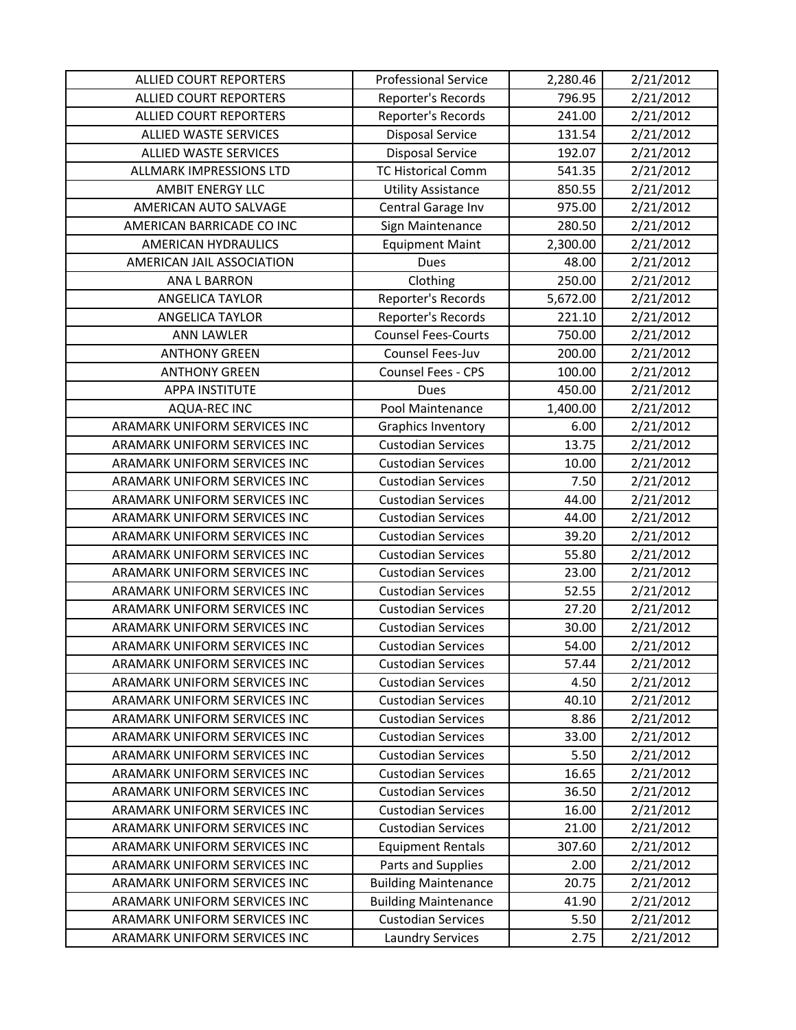| <b>ALLIED COURT REPORTERS</b>  | <b>Professional Service</b> | 2,280.46 | 2/21/2012 |
|--------------------------------|-----------------------------|----------|-----------|
| <b>ALLIED COURT REPORTERS</b>  | Reporter's Records          | 796.95   | 2/21/2012 |
| <b>ALLIED COURT REPORTERS</b>  | Reporter's Records          | 241.00   | 2/21/2012 |
| <b>ALLIED WASTE SERVICES</b>   | <b>Disposal Service</b>     | 131.54   | 2/21/2012 |
| <b>ALLIED WASTE SERVICES</b>   | <b>Disposal Service</b>     | 192.07   | 2/21/2012 |
| <b>ALLMARK IMPRESSIONS LTD</b> | <b>TC Historical Comm</b>   | 541.35   | 2/21/2012 |
| <b>AMBIT ENERGY LLC</b>        | <b>Utility Assistance</b>   | 850.55   | 2/21/2012 |
| AMERICAN AUTO SALVAGE          | Central Garage Inv          | 975.00   | 2/21/2012 |
| AMERICAN BARRICADE CO INC      | Sign Maintenance            | 280.50   | 2/21/2012 |
| <b>AMERICAN HYDRAULICS</b>     | <b>Equipment Maint</b>      | 2,300.00 | 2/21/2012 |
| AMERICAN JAIL ASSOCIATION      | <b>Dues</b>                 | 48.00    | 2/21/2012 |
| <b>ANA L BARRON</b>            | Clothing                    | 250.00   | 2/21/2012 |
| <b>ANGELICA TAYLOR</b>         | Reporter's Records          | 5,672.00 | 2/21/2012 |
| <b>ANGELICA TAYLOR</b>         | Reporter's Records          | 221.10   | 2/21/2012 |
| <b>ANN LAWLER</b>              | <b>Counsel Fees-Courts</b>  | 750.00   | 2/21/2012 |
| <b>ANTHONY GREEN</b>           | Counsel Fees-Juv            | 200.00   | 2/21/2012 |
| <b>ANTHONY GREEN</b>           | Counsel Fees - CPS          | 100.00   | 2/21/2012 |
| <b>APPA INSTITUTE</b>          | Dues                        | 450.00   | 2/21/2012 |
| <b>AQUA-REC INC</b>            | Pool Maintenance            | 1,400.00 | 2/21/2012 |
| ARAMARK UNIFORM SERVICES INC   | <b>Graphics Inventory</b>   | 6.00     | 2/21/2012 |
| ARAMARK UNIFORM SERVICES INC   | <b>Custodian Services</b>   | 13.75    | 2/21/2012 |
| ARAMARK UNIFORM SERVICES INC   | <b>Custodian Services</b>   | 10.00    | 2/21/2012 |
| ARAMARK UNIFORM SERVICES INC   | <b>Custodian Services</b>   | 7.50     | 2/21/2012 |
| ARAMARK UNIFORM SERVICES INC   | <b>Custodian Services</b>   | 44.00    | 2/21/2012 |
| ARAMARK UNIFORM SERVICES INC   | <b>Custodian Services</b>   | 44.00    | 2/21/2012 |
| ARAMARK UNIFORM SERVICES INC   | <b>Custodian Services</b>   | 39.20    | 2/21/2012 |
| ARAMARK UNIFORM SERVICES INC   | <b>Custodian Services</b>   | 55.80    | 2/21/2012 |
| ARAMARK UNIFORM SERVICES INC   | <b>Custodian Services</b>   | 23.00    | 2/21/2012 |
| ARAMARK UNIFORM SERVICES INC   | <b>Custodian Services</b>   | 52.55    | 2/21/2012 |
| ARAMARK UNIFORM SERVICES INC   | <b>Custodian Services</b>   | 27.20    | 2/21/2012 |
| ARAMARK UNIFORM SERVICES INC   | <b>Custodian Services</b>   | 30.00    | 2/21/2012 |
| ARAMARK UNIFORM SERVICES INC   | <b>Custodian Services</b>   | 54.00    | 2/21/2012 |
| ARAMARK UNIFORM SERVICES INC   | <b>Custodian Services</b>   | 57.44    | 2/21/2012 |
| ARAMARK UNIFORM SERVICES INC   | <b>Custodian Services</b>   | 4.50     | 2/21/2012 |
| ARAMARK UNIFORM SERVICES INC   | <b>Custodian Services</b>   | 40.10    | 2/21/2012 |
| ARAMARK UNIFORM SERVICES INC   | <b>Custodian Services</b>   | 8.86     | 2/21/2012 |
| ARAMARK UNIFORM SERVICES INC   | <b>Custodian Services</b>   | 33.00    | 2/21/2012 |
| ARAMARK UNIFORM SERVICES INC   | <b>Custodian Services</b>   | 5.50     | 2/21/2012 |
| ARAMARK UNIFORM SERVICES INC   | <b>Custodian Services</b>   | 16.65    | 2/21/2012 |
| ARAMARK UNIFORM SERVICES INC   | <b>Custodian Services</b>   | 36.50    | 2/21/2012 |
| ARAMARK UNIFORM SERVICES INC   | <b>Custodian Services</b>   | 16.00    | 2/21/2012 |
| ARAMARK UNIFORM SERVICES INC   | <b>Custodian Services</b>   | 21.00    | 2/21/2012 |
| ARAMARK UNIFORM SERVICES INC   | <b>Equipment Rentals</b>    | 307.60   | 2/21/2012 |
| ARAMARK UNIFORM SERVICES INC   | Parts and Supplies          | 2.00     | 2/21/2012 |
| ARAMARK UNIFORM SERVICES INC   | <b>Building Maintenance</b> | 20.75    | 2/21/2012 |
| ARAMARK UNIFORM SERVICES INC   | <b>Building Maintenance</b> | 41.90    | 2/21/2012 |
| ARAMARK UNIFORM SERVICES INC   | <b>Custodian Services</b>   | 5.50     | 2/21/2012 |
| ARAMARK UNIFORM SERVICES INC   | <b>Laundry Services</b>     | 2.75     | 2/21/2012 |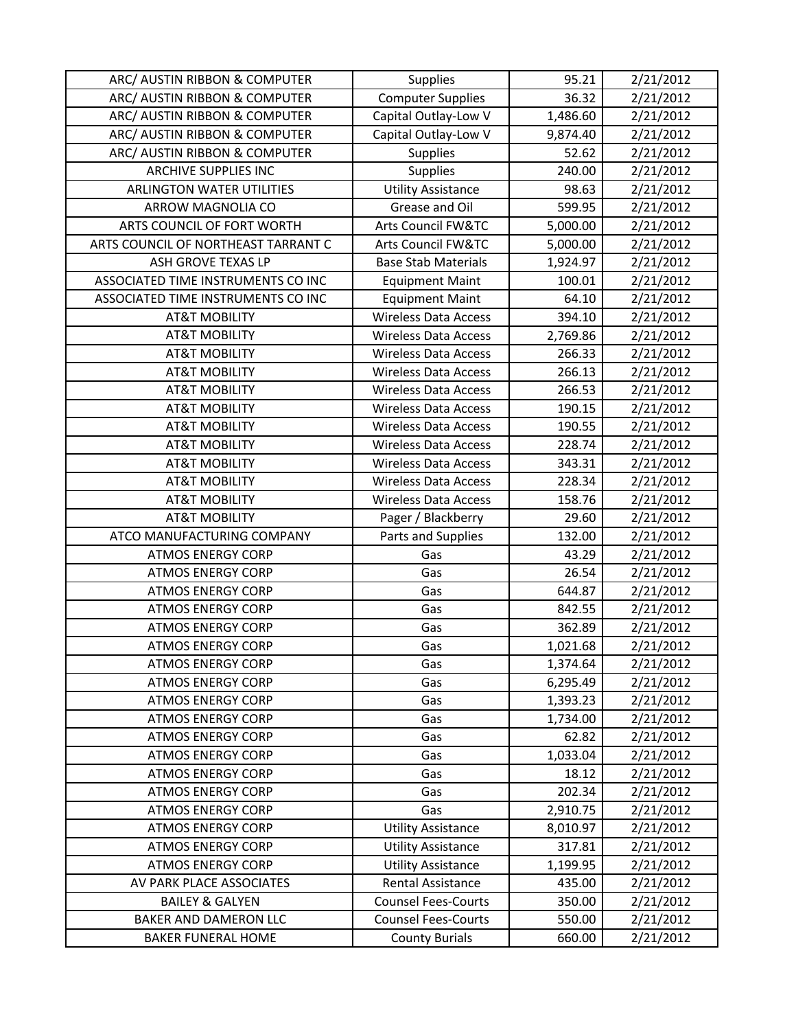| ARC/ AUSTIN RIBBON & COMPUTER       | Supplies                      | 95.21    | 2/21/2012 |
|-------------------------------------|-------------------------------|----------|-----------|
| ARC/ AUSTIN RIBBON & COMPUTER       | <b>Computer Supplies</b>      | 36.32    | 2/21/2012 |
| ARC/ AUSTIN RIBBON & COMPUTER       | Capital Outlay-Low V          | 1,486.60 | 2/21/2012 |
| ARC/ AUSTIN RIBBON & COMPUTER       | Capital Outlay-Low V          | 9,874.40 | 2/21/2012 |
| ARC/ AUSTIN RIBBON & COMPUTER       | <b>Supplies</b>               | 52.62    | 2/21/2012 |
| <b>ARCHIVE SUPPLIES INC</b>         | <b>Supplies</b>               | 240.00   | 2/21/2012 |
| <b>ARLINGTON WATER UTILITIES</b>    | <b>Utility Assistance</b>     | 98.63    | 2/21/2012 |
| ARROW MAGNOLIA CO                   | Grease and Oil                | 599.95   | 2/21/2012 |
| ARTS COUNCIL OF FORT WORTH          | <b>Arts Council FW&amp;TC</b> | 5,000.00 | 2/21/2012 |
| ARTS COUNCIL OF NORTHEAST TARRANT C | <b>Arts Council FW&amp;TC</b> | 5,000.00 | 2/21/2012 |
| ASH GROVE TEXAS LP                  | <b>Base Stab Materials</b>    | 1,924.97 | 2/21/2012 |
| ASSOCIATED TIME INSTRUMENTS CO INC  | <b>Equipment Maint</b>        | 100.01   | 2/21/2012 |
| ASSOCIATED TIME INSTRUMENTS CO INC  | <b>Equipment Maint</b>        | 64.10    | 2/21/2012 |
| <b>AT&amp;T MOBILITY</b>            | <b>Wireless Data Access</b>   | 394.10   | 2/21/2012 |
| <b>AT&amp;T MOBILITY</b>            | <b>Wireless Data Access</b>   | 2,769.86 | 2/21/2012 |
| <b>AT&amp;T MOBILITY</b>            | <b>Wireless Data Access</b>   | 266.33   | 2/21/2012 |
| <b>AT&amp;T MOBILITY</b>            | <b>Wireless Data Access</b>   | 266.13   | 2/21/2012 |
| <b>AT&amp;T MOBILITY</b>            | <b>Wireless Data Access</b>   | 266.53   | 2/21/2012 |
| <b>AT&amp;T MOBILITY</b>            | <b>Wireless Data Access</b>   | 190.15   | 2/21/2012 |
| <b>AT&amp;T MOBILITY</b>            | <b>Wireless Data Access</b>   | 190.55   | 2/21/2012 |
| <b>AT&amp;T MOBILITY</b>            | <b>Wireless Data Access</b>   | 228.74   | 2/21/2012 |
| <b>AT&amp;T MOBILITY</b>            | <b>Wireless Data Access</b>   | 343.31   | 2/21/2012 |
| <b>AT&amp;T MOBILITY</b>            | <b>Wireless Data Access</b>   | 228.34   | 2/21/2012 |
| <b>AT&amp;T MOBILITY</b>            | <b>Wireless Data Access</b>   | 158.76   | 2/21/2012 |
| <b>AT&amp;T MOBILITY</b>            | Pager / Blackberry            | 29.60    | 2/21/2012 |
| ATCO MANUFACTURING COMPANY          | Parts and Supplies            | 132.00   | 2/21/2012 |
| <b>ATMOS ENERGY CORP</b>            | Gas                           | 43.29    | 2/21/2012 |
| <b>ATMOS ENERGY CORP</b>            | Gas                           | 26.54    | 2/21/2012 |
| <b>ATMOS ENERGY CORP</b>            | Gas                           | 644.87   | 2/21/2012 |
| <b>ATMOS ENERGY CORP</b>            | Gas                           | 842.55   | 2/21/2012 |
| <b>ATMOS ENERGY CORP</b>            | Gas                           | 362.89   | 2/21/2012 |
| <b>ATMOS ENERGY CORP</b>            | Gas                           | 1,021.68 | 2/21/2012 |
| <b>ATMOS ENERGY CORP</b>            | Gas                           | 1,374.64 | 2/21/2012 |
| <b>ATMOS ENERGY CORP</b>            | Gas                           | 6,295.49 | 2/21/2012 |
| <b>ATMOS ENERGY CORP</b>            | Gas                           | 1,393.23 | 2/21/2012 |
| <b>ATMOS ENERGY CORP</b>            | Gas                           | 1,734.00 | 2/21/2012 |
| <b>ATMOS ENERGY CORP</b>            | Gas                           | 62.82    | 2/21/2012 |
| <b>ATMOS ENERGY CORP</b>            | Gas                           | 1,033.04 | 2/21/2012 |
| <b>ATMOS ENERGY CORP</b>            | Gas                           | 18.12    | 2/21/2012 |
| <b>ATMOS ENERGY CORP</b>            | Gas                           | 202.34   | 2/21/2012 |
| <b>ATMOS ENERGY CORP</b>            | Gas                           | 2,910.75 | 2/21/2012 |
| <b>ATMOS ENERGY CORP</b>            | <b>Utility Assistance</b>     | 8,010.97 | 2/21/2012 |
| <b>ATMOS ENERGY CORP</b>            | <b>Utility Assistance</b>     | 317.81   | 2/21/2012 |
| <b>ATMOS ENERGY CORP</b>            | <b>Utility Assistance</b>     | 1,199.95 | 2/21/2012 |
| AV PARK PLACE ASSOCIATES            | Rental Assistance             | 435.00   | 2/21/2012 |
| <b>BAILEY &amp; GALYEN</b>          | <b>Counsel Fees-Courts</b>    | 350.00   | 2/21/2012 |
| <b>BAKER AND DAMERON LLC</b>        | <b>Counsel Fees-Courts</b>    | 550.00   | 2/21/2012 |
| <b>BAKER FUNERAL HOME</b>           | <b>County Burials</b>         | 660.00   | 2/21/2012 |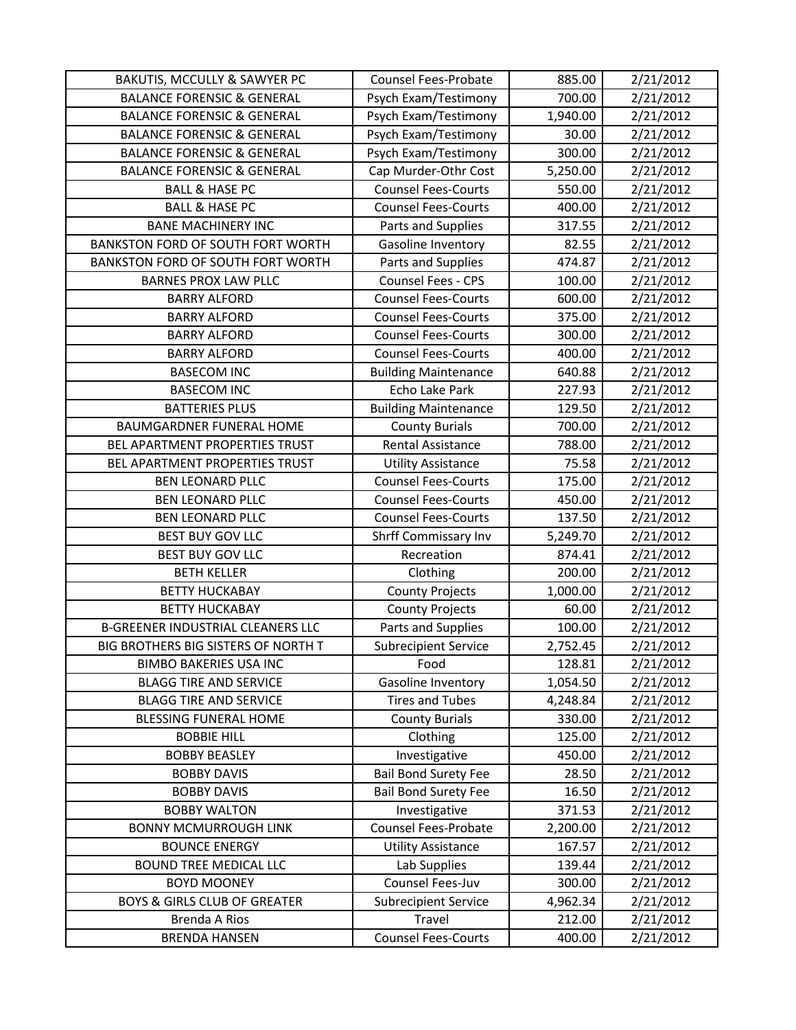| BAKUTIS, MCCULLY & SAWYER PC             | <b>Counsel Fees-Probate</b> | 885.00   | 2/21/2012 |
|------------------------------------------|-----------------------------|----------|-----------|
| <b>BALANCE FORENSIC &amp; GENERAL</b>    | Psych Exam/Testimony        | 700.00   | 2/21/2012 |
| <b>BALANCE FORENSIC &amp; GENERAL</b>    | Psych Exam/Testimony        | 1,940.00 | 2/21/2012 |
| <b>BALANCE FORENSIC &amp; GENERAL</b>    | Psych Exam/Testimony        | 30.00    | 2/21/2012 |
| <b>BALANCE FORENSIC &amp; GENERAL</b>    | Psych Exam/Testimony        | 300.00   | 2/21/2012 |
| <b>BALANCE FORENSIC &amp; GENERAL</b>    | Cap Murder-Othr Cost        | 5,250.00 | 2/21/2012 |
| <b>BALL &amp; HASE PC</b>                | <b>Counsel Fees-Courts</b>  | 550.00   | 2/21/2012 |
| <b>BALL &amp; HASE PC</b>                | <b>Counsel Fees-Courts</b>  | 400.00   | 2/21/2012 |
| <b>BANE MACHINERY INC</b>                | Parts and Supplies          | 317.55   | 2/21/2012 |
| BANKSTON FORD OF SOUTH FORT WORTH        | Gasoline Inventory          | 82.55    | 2/21/2012 |
| BANKSTON FORD OF SOUTH FORT WORTH        | Parts and Supplies          | 474.87   | 2/21/2012 |
| <b>BARNES PROX LAW PLLC</b>              | Counsel Fees - CPS          | 100.00   | 2/21/2012 |
| <b>BARRY ALFORD</b>                      | <b>Counsel Fees-Courts</b>  | 600.00   | 2/21/2012 |
| <b>BARRY ALFORD</b>                      | <b>Counsel Fees-Courts</b>  | 375.00   | 2/21/2012 |
| <b>BARRY ALFORD</b>                      | <b>Counsel Fees-Courts</b>  | 300.00   | 2/21/2012 |
| <b>BARRY ALFORD</b>                      | <b>Counsel Fees-Courts</b>  | 400.00   | 2/21/2012 |
| <b>BASECOM INC</b>                       | <b>Building Maintenance</b> | 640.88   | 2/21/2012 |
| <b>BASECOM INC</b>                       | Echo Lake Park              | 227.93   | 2/21/2012 |
| <b>BATTERIES PLUS</b>                    | <b>Building Maintenance</b> | 129.50   | 2/21/2012 |
| <b>BAUMGARDNER FUNERAL HOME</b>          | <b>County Burials</b>       | 700.00   | 2/21/2012 |
| BEL APARTMENT PROPERTIES TRUST           | Rental Assistance           | 788.00   | 2/21/2012 |
| BEL APARTMENT PROPERTIES TRUST           | <b>Utility Assistance</b>   | 75.58    | 2/21/2012 |
| <b>BEN LEONARD PLLC</b>                  | <b>Counsel Fees-Courts</b>  | 175.00   | 2/21/2012 |
| <b>BEN LEONARD PLLC</b>                  | <b>Counsel Fees-Courts</b>  | 450.00   | 2/21/2012 |
| <b>BEN LEONARD PLLC</b>                  | <b>Counsel Fees-Courts</b>  | 137.50   | 2/21/2012 |
| <b>BEST BUY GOV LLC</b>                  | Shrff Commissary Inv        | 5,249.70 | 2/21/2012 |
| <b>BEST BUY GOV LLC</b>                  | Recreation                  | 874.41   | 2/21/2012 |
| <b>BETH KELLER</b>                       | Clothing                    | 200.00   | 2/21/2012 |
| <b>BETTY HUCKABAY</b>                    | <b>County Projects</b>      | 1,000.00 | 2/21/2012 |
| <b>BETTY HUCKABAY</b>                    | <b>County Projects</b>      | 60.00    | 2/21/2012 |
| <b>B-GREENER INDUSTRIAL CLEANERS LLC</b> | Parts and Supplies          | 100.00   | 2/21/2012 |
| BIG BROTHERS BIG SISTERS OF NORTH T      | <b>Subrecipient Service</b> | 2,752.45 | 2/21/2012 |
| <b>BIMBO BAKERIES USA INC</b>            | Food                        | 128.81   | 2/21/2012 |
| <b>BLAGG TIRE AND SERVICE</b>            | Gasoline Inventory          | 1,054.50 | 2/21/2012 |
| <b>BLAGG TIRE AND SERVICE</b>            | <b>Tires and Tubes</b>      | 4,248.84 | 2/21/2012 |
| <b>BLESSING FUNERAL HOME</b>             | <b>County Burials</b>       | 330.00   | 2/21/2012 |
| <b>BOBBIE HILL</b>                       | Clothing                    | 125.00   | 2/21/2012 |
| <b>BOBBY BEASLEY</b>                     | Investigative               | 450.00   | 2/21/2012 |
| <b>BOBBY DAVIS</b>                       | <b>Bail Bond Surety Fee</b> | 28.50    | 2/21/2012 |
| <b>BOBBY DAVIS</b>                       | <b>Bail Bond Surety Fee</b> | 16.50    | 2/21/2012 |
| <b>BOBBY WALTON</b>                      | Investigative               | 371.53   | 2/21/2012 |
| <b>BONNY MCMURROUGH LINK</b>             | Counsel Fees-Probate        | 2,200.00 | 2/21/2012 |
| <b>BOUNCE ENERGY</b>                     | <b>Utility Assistance</b>   | 167.57   | 2/21/2012 |
| <b>BOUND TREE MEDICAL LLC</b>            | Lab Supplies                | 139.44   | 2/21/2012 |
| <b>BOYD MOONEY</b>                       | Counsel Fees-Juv            | 300.00   | 2/21/2012 |
| <b>BOYS &amp; GIRLS CLUB OF GREATER</b>  | <b>Subrecipient Service</b> | 4,962.34 | 2/21/2012 |
| Brenda A Rios                            | Travel                      | 212.00   | 2/21/2012 |
| <b>BRENDA HANSEN</b>                     | <b>Counsel Fees-Courts</b>  | 400.00   | 2/21/2012 |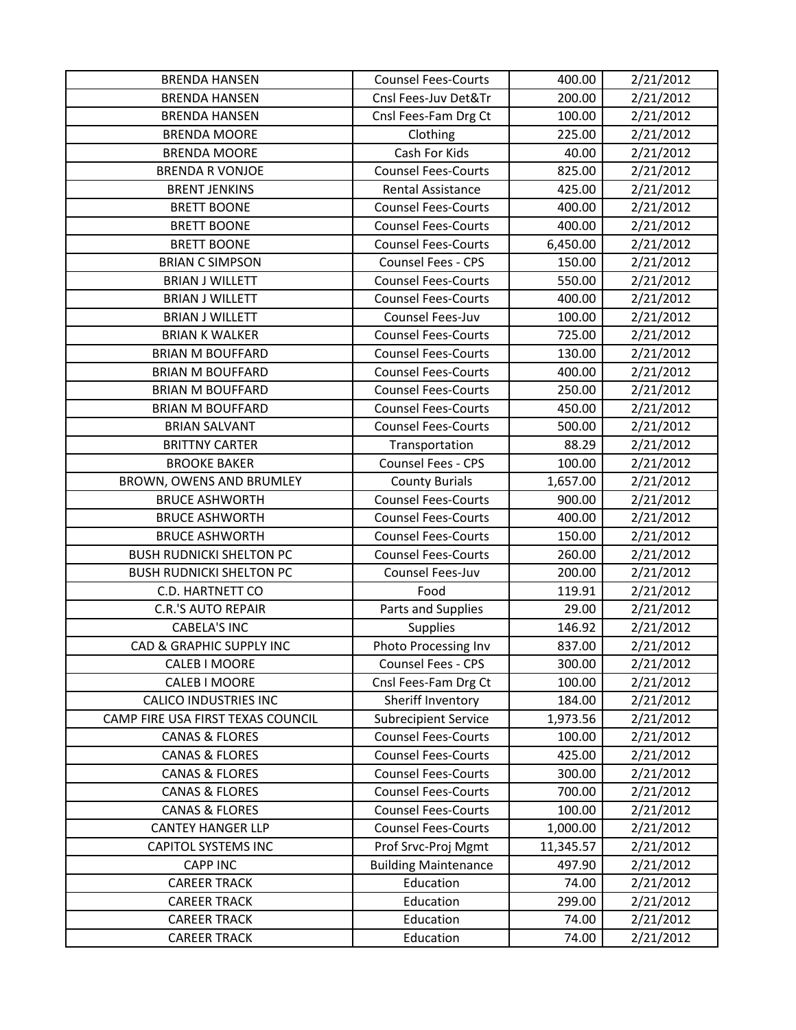| <b>BRENDA HANSEN</b>              | <b>Counsel Fees-Courts</b>  | 400.00    | 2/21/2012 |
|-----------------------------------|-----------------------------|-----------|-----------|
| <b>BRENDA HANSEN</b>              | Cnsl Fees-Juv Det&Tr        | 200.00    | 2/21/2012 |
| <b>BRENDA HANSEN</b>              | Cnsl Fees-Fam Drg Ct        | 100.00    | 2/21/2012 |
| <b>BRENDA MOORE</b>               | Clothing                    | 225.00    | 2/21/2012 |
| <b>BRENDA MOORE</b>               | Cash For Kids               | 40.00     | 2/21/2012 |
| <b>BRENDA R VONJOE</b>            | <b>Counsel Fees-Courts</b>  | 825.00    | 2/21/2012 |
| <b>BRENT JENKINS</b>              | Rental Assistance           | 425.00    | 2/21/2012 |
| <b>BRETT BOONE</b>                | <b>Counsel Fees-Courts</b>  | 400.00    | 2/21/2012 |
| <b>BRETT BOONE</b>                | <b>Counsel Fees-Courts</b>  | 400.00    | 2/21/2012 |
| <b>BRETT BOONE</b>                | <b>Counsel Fees-Courts</b>  | 6,450.00  | 2/21/2012 |
| <b>BRIAN C SIMPSON</b>            | Counsel Fees - CPS          | 150.00    | 2/21/2012 |
| <b>BRIAN J WILLETT</b>            | <b>Counsel Fees-Courts</b>  | 550.00    | 2/21/2012 |
| <b>BRIAN J WILLETT</b>            | <b>Counsel Fees-Courts</b>  | 400.00    | 2/21/2012 |
| <b>BRIAN J WILLETT</b>            | Counsel Fees-Juv            | 100.00    | 2/21/2012 |
| <b>BRIAN K WALKER</b>             | <b>Counsel Fees-Courts</b>  | 725.00    | 2/21/2012 |
| <b>BRIAN M BOUFFARD</b>           | <b>Counsel Fees-Courts</b>  | 130.00    | 2/21/2012 |
| <b>BRIAN M BOUFFARD</b>           | <b>Counsel Fees-Courts</b>  | 400.00    | 2/21/2012 |
| <b>BRIAN M BOUFFARD</b>           | <b>Counsel Fees-Courts</b>  | 250.00    | 2/21/2012 |
| <b>BRIAN M BOUFFARD</b>           | <b>Counsel Fees-Courts</b>  | 450.00    | 2/21/2012 |
| <b>BRIAN SALVANT</b>              | <b>Counsel Fees-Courts</b>  | 500.00    | 2/21/2012 |
| <b>BRITTNY CARTER</b>             | Transportation              | 88.29     | 2/21/2012 |
| <b>BROOKE BAKER</b>               | Counsel Fees - CPS          | 100.00    | 2/21/2012 |
| BROWN, OWENS AND BRUMLEY          | <b>County Burials</b>       | 1,657.00  | 2/21/2012 |
| <b>BRUCE ASHWORTH</b>             | <b>Counsel Fees-Courts</b>  | 900.00    | 2/21/2012 |
| <b>BRUCE ASHWORTH</b>             | <b>Counsel Fees-Courts</b>  | 400.00    | 2/21/2012 |
| <b>BRUCE ASHWORTH</b>             | <b>Counsel Fees-Courts</b>  | 150.00    | 2/21/2012 |
| <b>BUSH RUDNICKI SHELTON PC</b>   | <b>Counsel Fees-Courts</b>  | 260.00    | 2/21/2012 |
| <b>BUSH RUDNICKI SHELTON PC</b>   | Counsel Fees-Juv            | 200.00    | 2/21/2012 |
| <b>C.D. HARTNETT CO</b>           | Food                        | 119.91    | 2/21/2012 |
| <b>C.R.'S AUTO REPAIR</b>         | Parts and Supplies          | 29.00     | 2/21/2012 |
| <b>CABELA'S INC</b>               | Supplies                    | 146.92    | 2/21/2012 |
| CAD & GRAPHIC SUPPLY INC          | Photo Processing Inv        | 837.00    | 2/21/2012 |
| <b>CALEB I MOORE</b>              | Counsel Fees - CPS          | 300.00    | 2/21/2012 |
| CALEB I MOORE                     | Cnsl Fees-Fam Drg Ct        | 100.00    | 2/21/2012 |
| <b>CALICO INDUSTRIES INC</b>      | Sheriff Inventory           | 184.00    | 2/21/2012 |
| CAMP FIRE USA FIRST TEXAS COUNCIL | <b>Subrecipient Service</b> | 1,973.56  | 2/21/2012 |
| <b>CANAS &amp; FLORES</b>         | <b>Counsel Fees-Courts</b>  | 100.00    | 2/21/2012 |
| <b>CANAS &amp; FLORES</b>         | <b>Counsel Fees-Courts</b>  | 425.00    | 2/21/2012 |
| <b>CANAS &amp; FLORES</b>         | <b>Counsel Fees-Courts</b>  | 300.00    | 2/21/2012 |
| <b>CANAS &amp; FLORES</b>         | <b>Counsel Fees-Courts</b>  | 700.00    | 2/21/2012 |
| <b>CANAS &amp; FLORES</b>         | <b>Counsel Fees-Courts</b>  | 100.00    | 2/21/2012 |
| <b>CANTEY HANGER LLP</b>          | <b>Counsel Fees-Courts</b>  | 1,000.00  | 2/21/2012 |
| <b>CAPITOL SYSTEMS INC</b>        | Prof Srvc-Proj Mgmt         | 11,345.57 | 2/21/2012 |
| <b>CAPP INC</b>                   | <b>Building Maintenance</b> | 497.90    | 2/21/2012 |
| <b>CAREER TRACK</b>               | Education                   | 74.00     | 2/21/2012 |
| <b>CAREER TRACK</b>               | Education                   | 299.00    | 2/21/2012 |
| <b>CAREER TRACK</b>               | Education                   | 74.00     | 2/21/2012 |
| <b>CAREER TRACK</b>               | Education                   | 74.00     | 2/21/2012 |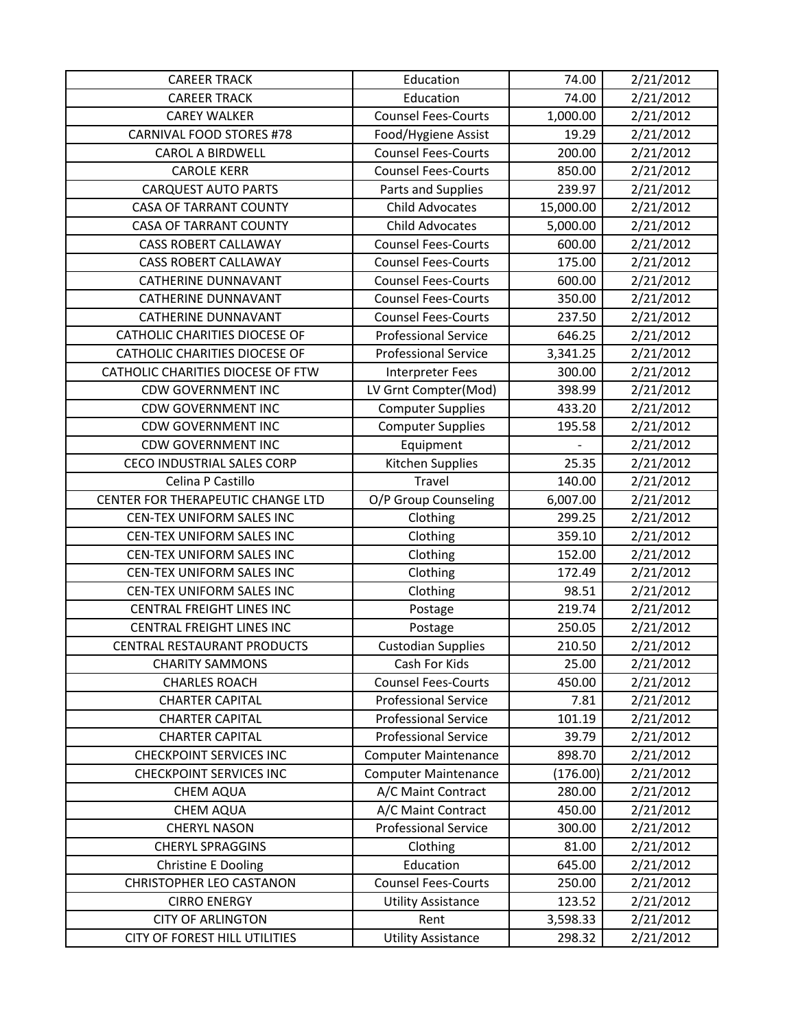| <b>CAREER TRACK</b>                                       | Education                         | 74.00              | 2/21/2012              |
|-----------------------------------------------------------|-----------------------------------|--------------------|------------------------|
| <b>CAREER TRACK</b>                                       | Education                         | 74.00              | 2/21/2012              |
| <b>CAREY WALKER</b>                                       | <b>Counsel Fees-Courts</b>        | 1,000.00           | 2/21/2012              |
| <b>CARNIVAL FOOD STORES #78</b>                           | Food/Hygiene Assist               | 19.29              | 2/21/2012              |
| <b>CAROL A BIRDWELL</b>                                   | <b>Counsel Fees-Courts</b>        | 200.00             | 2/21/2012              |
| <b>CAROLE KERR</b>                                        | <b>Counsel Fees-Courts</b>        | 850.00             | 2/21/2012              |
| <b>CARQUEST AUTO PARTS</b>                                | Parts and Supplies                | 239.97             | 2/21/2012              |
| <b>CASA OF TARRANT COUNTY</b>                             | <b>Child Advocates</b>            | 15,000.00          | 2/21/2012              |
| <b>CASA OF TARRANT COUNTY</b>                             | <b>Child Advocates</b>            | 5,000.00           | 2/21/2012              |
| <b>CASS ROBERT CALLAWAY</b>                               | <b>Counsel Fees-Courts</b>        | 600.00             | 2/21/2012              |
| <b>CASS ROBERT CALLAWAY</b>                               | <b>Counsel Fees-Courts</b>        | 175.00             | 2/21/2012              |
| <b>CATHERINE DUNNAVANT</b>                                | <b>Counsel Fees-Courts</b>        | 600.00             | 2/21/2012              |
| <b>CATHERINE DUNNAVANT</b>                                | <b>Counsel Fees-Courts</b>        | 350.00             | 2/21/2012              |
| <b>CATHERINE DUNNAVANT</b>                                | <b>Counsel Fees-Courts</b>        | 237.50             | 2/21/2012              |
| CATHOLIC CHARITIES DIOCESE OF                             | <b>Professional Service</b>       | 646.25             | 2/21/2012              |
| CATHOLIC CHARITIES DIOCESE OF                             | <b>Professional Service</b>       | 3,341.25           | 2/21/2012              |
| CATHOLIC CHARITIES DIOCESE OF FTW                         | <b>Interpreter Fees</b>           | 300.00             | 2/21/2012              |
| <b>CDW GOVERNMENT INC</b>                                 | LV Grnt Compter(Mod)              | 398.99             | 2/21/2012              |
| <b>CDW GOVERNMENT INC</b>                                 | <b>Computer Supplies</b>          | 433.20             | 2/21/2012              |
| <b>CDW GOVERNMENT INC</b>                                 | <b>Computer Supplies</b>          | 195.58             | 2/21/2012              |
| <b>CDW GOVERNMENT INC</b>                                 | Equipment                         |                    | 2/21/2012              |
| <b>CECO INDUSTRIAL SALES CORP</b>                         | Kitchen Supplies                  | 25.35              | 2/21/2012              |
| Celina P Castillo                                         | Travel                            | 140.00             | 2/21/2012              |
| CENTER FOR THERAPEUTIC CHANGE LTD                         | O/P Group Counseling              | 6,007.00           | 2/21/2012              |
| CEN-TEX UNIFORM SALES INC                                 | Clothing                          | 299.25             | 2/21/2012              |
| CEN-TEX UNIFORM SALES INC                                 | Clothing                          | 359.10             | 2/21/2012              |
| CEN-TEX UNIFORM SALES INC                                 | Clothing                          | 152.00             | 2/21/2012              |
| CEN-TEX UNIFORM SALES INC                                 | Clothing                          | 172.49             | 2/21/2012              |
| CEN-TEX UNIFORM SALES INC                                 | Clothing                          | 98.51              | 2/21/2012              |
| <b>CENTRAL FREIGHT LINES INC</b>                          | Postage                           | 219.74             | 2/21/2012              |
| <b>CENTRAL FREIGHT LINES INC</b>                          | Postage                           | 250.05             | 2/21/2012              |
| <b>CENTRAL RESTAURANT PRODUCTS</b>                        | <b>Custodian Supplies</b>         | 210.50             | 2/21/2012              |
| <b>CHARITY SAMMONS</b>                                    |                                   |                    |                        |
|                                                           | Cash For Kids                     | 25.00              | 2/21/2012              |
| <b>CHARLES ROACH</b>                                      | <b>Counsel Fees-Courts</b>        | 450.00             | 2/21/2012              |
| <b>CHARTER CAPITAL</b>                                    | <b>Professional Service</b>       | 7.81               | 2/21/2012              |
| <b>CHARTER CAPITAL</b>                                    | <b>Professional Service</b>       | 101.19             | 2/21/2012              |
| <b>CHARTER CAPITAL</b>                                    | <b>Professional Service</b>       | 39.79              | 2/21/2012              |
| <b>CHECKPOINT SERVICES INC</b>                            | <b>Computer Maintenance</b>       | 898.70             | 2/21/2012              |
| <b>CHECKPOINT SERVICES INC</b>                            | <b>Computer Maintenance</b>       | (176.00)           | 2/21/2012              |
| <b>CHEM AQUA</b>                                          | A/C Maint Contract                | 280.00             | 2/21/2012              |
| <b>CHEM AQUA</b>                                          | A/C Maint Contract                | 450.00             | 2/21/2012              |
| <b>CHERYL NASON</b>                                       | <b>Professional Service</b>       | 300.00             | 2/21/2012              |
| <b>CHERYL SPRAGGINS</b>                                   | Clothing                          | 81.00              | 2/21/2012              |
| Christine E Dooling                                       | Education                         | 645.00             | 2/21/2012              |
| <b>CHRISTOPHER LEO CASTANON</b>                           | <b>Counsel Fees-Courts</b>        | 250.00             | 2/21/2012              |
| <b>CIRRO ENERGY</b>                                       | <b>Utility Assistance</b>         | 123.52             | 2/21/2012              |
| <b>CITY OF ARLINGTON</b><br>CITY OF FOREST HILL UTILITIES | Rent<br><b>Utility Assistance</b> | 3,598.33<br>298.32 | 2/21/2012<br>2/21/2012 |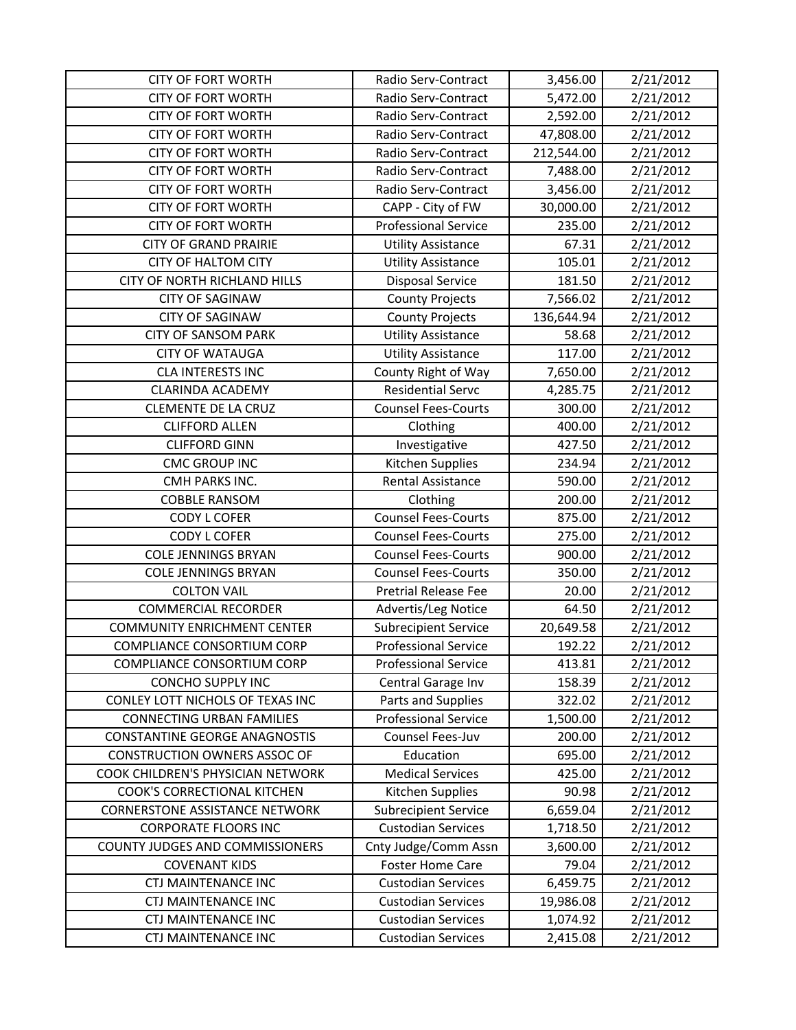| <b>CITY OF FORT WORTH</b>             | Radio Serv-Contract         | 3,456.00   | 2/21/2012 |
|---------------------------------------|-----------------------------|------------|-----------|
| <b>CITY OF FORT WORTH</b>             | Radio Serv-Contract         | 5,472.00   | 2/21/2012 |
| <b>CITY OF FORT WORTH</b>             | Radio Serv-Contract         | 2,592.00   | 2/21/2012 |
| <b>CITY OF FORT WORTH</b>             | Radio Serv-Contract         | 47,808.00  | 2/21/2012 |
| <b>CITY OF FORT WORTH</b>             | Radio Serv-Contract         | 212,544.00 | 2/21/2012 |
| <b>CITY OF FORT WORTH</b>             | Radio Serv-Contract         | 7,488.00   | 2/21/2012 |
| <b>CITY OF FORT WORTH</b>             | Radio Serv-Contract         | 3,456.00   | 2/21/2012 |
| <b>CITY OF FORT WORTH</b>             | CAPP - City of FW           | 30,000.00  | 2/21/2012 |
| <b>CITY OF FORT WORTH</b>             | <b>Professional Service</b> | 235.00     | 2/21/2012 |
| <b>CITY OF GRAND PRAIRIE</b>          | <b>Utility Assistance</b>   | 67.31      | 2/21/2012 |
| <b>CITY OF HALTOM CITY</b>            | <b>Utility Assistance</b>   | 105.01     | 2/21/2012 |
| CITY OF NORTH RICHLAND HILLS          | <b>Disposal Service</b>     | 181.50     | 2/21/2012 |
| <b>CITY OF SAGINAW</b>                | <b>County Projects</b>      | 7,566.02   | 2/21/2012 |
| <b>CITY OF SAGINAW</b>                | <b>County Projects</b>      | 136,644.94 | 2/21/2012 |
| <b>CITY OF SANSOM PARK</b>            | <b>Utility Assistance</b>   | 58.68      | 2/21/2012 |
| <b>CITY OF WATAUGA</b>                | <b>Utility Assistance</b>   | 117.00     | 2/21/2012 |
| <b>CLA INTERESTS INC</b>              | County Right of Way         | 7,650.00   | 2/21/2012 |
| <b>CLARINDA ACADEMY</b>               | <b>Residential Servc</b>    | 4,285.75   | 2/21/2012 |
| <b>CLEMENTE DE LA CRUZ</b>            | <b>Counsel Fees-Courts</b>  | 300.00     | 2/21/2012 |
| <b>CLIFFORD ALLEN</b>                 | Clothing                    | 400.00     | 2/21/2012 |
| <b>CLIFFORD GINN</b>                  | Investigative               | 427.50     | 2/21/2012 |
| <b>CMC GROUP INC</b>                  | Kitchen Supplies            | 234.94     | 2/21/2012 |
| CMH PARKS INC.                        | Rental Assistance           | 590.00     | 2/21/2012 |
| <b>COBBLE RANSOM</b>                  | Clothing                    | 200.00     | 2/21/2012 |
| <b>CODY L COFER</b>                   | <b>Counsel Fees-Courts</b>  | 875.00     | 2/21/2012 |
| <b>CODY L COFER</b>                   | <b>Counsel Fees-Courts</b>  | 275.00     | 2/21/2012 |
| <b>COLE JENNINGS BRYAN</b>            | <b>Counsel Fees-Courts</b>  | 900.00     | 2/21/2012 |
| <b>COLE JENNINGS BRYAN</b>            | <b>Counsel Fees-Courts</b>  | 350.00     | 2/21/2012 |
| <b>COLTON VAIL</b>                    | <b>Pretrial Release Fee</b> | 20.00      | 2/21/2012 |
| <b>COMMERCIAL RECORDER</b>            | Advertis/Leg Notice         | 64.50      | 2/21/2012 |
| <b>COMMUNITY ENRICHMENT CENTER</b>    | <b>Subrecipient Service</b> | 20,649.58  | 2/21/2012 |
| <b>COMPLIANCE CONSORTIUM CORP</b>     | <b>Professional Service</b> | 192.22     | 2/21/2012 |
| <b>COMPLIANCE CONSORTIUM CORP</b>     | <b>Professional Service</b> | 413.81     | 2/21/2012 |
| <b>CONCHO SUPPLY INC</b>              | Central Garage Inv          | 158.39     | 2/21/2012 |
| CONLEY LOTT NICHOLS OF TEXAS INC      | Parts and Supplies          | 322.02     | 2/21/2012 |
| <b>CONNECTING URBAN FAMILIES</b>      | <b>Professional Service</b> | 1,500.00   | 2/21/2012 |
| <b>CONSTANTINE GEORGE ANAGNOSTIS</b>  | Counsel Fees-Juv            | 200.00     | 2/21/2012 |
| <b>CONSTRUCTION OWNERS ASSOC OF</b>   | Education                   | 695.00     | 2/21/2012 |
| COOK CHILDREN'S PHYSICIAN NETWORK     | <b>Medical Services</b>     | 425.00     | 2/21/2012 |
| COOK'S CORRECTIONAL KITCHEN           | Kitchen Supplies            | 90.98      | 2/21/2012 |
| <b>CORNERSTONE ASSISTANCE NETWORK</b> | <b>Subrecipient Service</b> | 6,659.04   | 2/21/2012 |
| <b>CORPORATE FLOORS INC</b>           | <b>Custodian Services</b>   | 1,718.50   | 2/21/2012 |
| COUNTY JUDGES AND COMMISSIONERS       | Cnty Judge/Comm Assn        | 3,600.00   | 2/21/2012 |
| <b>COVENANT KIDS</b>                  | <b>Foster Home Care</b>     | 79.04      | 2/21/2012 |
| <b>CTJ MAINTENANCE INC</b>            | <b>Custodian Services</b>   | 6,459.75   | 2/21/2012 |
| <b>CTJ MAINTENANCE INC</b>            | <b>Custodian Services</b>   | 19,986.08  | 2/21/2012 |
| <b>CTJ MAINTENANCE INC</b>            | <b>Custodian Services</b>   | 1,074.92   | 2/21/2012 |
| <b>CTJ MAINTENANCE INC</b>            | <b>Custodian Services</b>   | 2,415.08   | 2/21/2012 |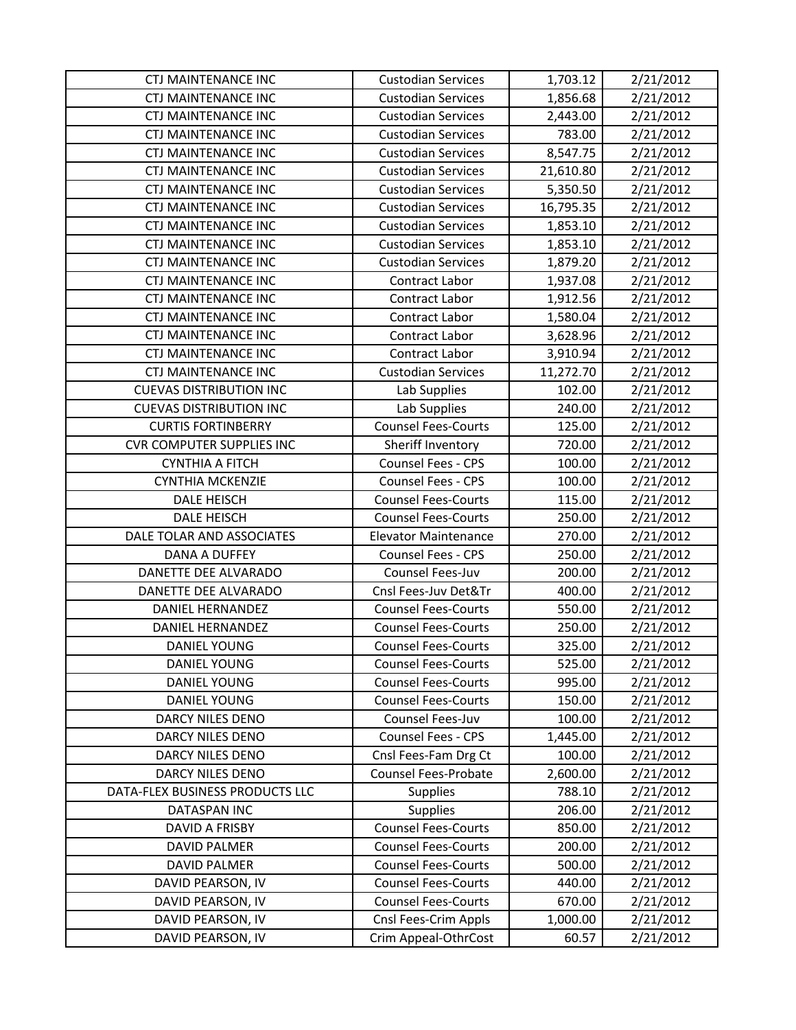| <b>CTJ MAINTENANCE INC</b>       | <b>Custodian Services</b>   | 1,703.12  | 2/21/2012 |
|----------------------------------|-----------------------------|-----------|-----------|
| <b>CTJ MAINTENANCE INC</b>       | <b>Custodian Services</b>   | 1,856.68  | 2/21/2012 |
| <b>CTJ MAINTENANCE INC</b>       | <b>Custodian Services</b>   | 2,443.00  | 2/21/2012 |
| <b>CTJ MAINTENANCE INC</b>       | <b>Custodian Services</b>   | 783.00    | 2/21/2012 |
| <b>CTJ MAINTENANCE INC</b>       | <b>Custodian Services</b>   | 8,547.75  | 2/21/2012 |
| <b>CTJ MAINTENANCE INC</b>       | <b>Custodian Services</b>   | 21,610.80 | 2/21/2012 |
| <b>CTJ MAINTENANCE INC</b>       | <b>Custodian Services</b>   | 5,350.50  | 2/21/2012 |
| <b>CTJ MAINTENANCE INC</b>       | <b>Custodian Services</b>   | 16,795.35 | 2/21/2012 |
| <b>CTJ MAINTENANCE INC</b>       | <b>Custodian Services</b>   | 1,853.10  | 2/21/2012 |
| <b>CTJ MAINTENANCE INC</b>       | <b>Custodian Services</b>   | 1,853.10  | 2/21/2012 |
| <b>CTJ MAINTENANCE INC</b>       | <b>Custodian Services</b>   | 1,879.20  | 2/21/2012 |
| <b>CTJ MAINTENANCE INC</b>       | Contract Labor              | 1,937.08  | 2/21/2012 |
| <b>CTJ MAINTENANCE INC</b>       | Contract Labor              | 1,912.56  | 2/21/2012 |
| <b>CTJ MAINTENANCE INC</b>       | Contract Labor              | 1,580.04  | 2/21/2012 |
| <b>CTJ MAINTENANCE INC</b>       | <b>Contract Labor</b>       | 3,628.96  | 2/21/2012 |
| <b>CTJ MAINTENANCE INC</b>       | Contract Labor              | 3,910.94  | 2/21/2012 |
| <b>CTJ MAINTENANCE INC</b>       | <b>Custodian Services</b>   | 11,272.70 | 2/21/2012 |
| <b>CUEVAS DISTRIBUTION INC</b>   | Lab Supplies                | 102.00    | 2/21/2012 |
| <b>CUEVAS DISTRIBUTION INC</b>   | Lab Supplies                | 240.00    | 2/21/2012 |
| <b>CURTIS FORTINBERRY</b>        | <b>Counsel Fees-Courts</b>  | 125.00    | 2/21/2012 |
| <b>CVR COMPUTER SUPPLIES INC</b> | Sheriff Inventory           | 720.00    | 2/21/2012 |
| <b>CYNTHIA A FITCH</b>           | Counsel Fees - CPS          | 100.00    | 2/21/2012 |
| <b>CYNTHIA MCKENZIE</b>          | Counsel Fees - CPS          | 100.00    | 2/21/2012 |
| <b>DALE HEISCH</b>               | <b>Counsel Fees-Courts</b>  | 115.00    | 2/21/2012 |
| <b>DALE HEISCH</b>               | <b>Counsel Fees-Courts</b>  | 250.00    | 2/21/2012 |
| DALE TOLAR AND ASSOCIATES        | <b>Elevator Maintenance</b> | 270.00    | 2/21/2012 |
| <b>DANA A DUFFEY</b>             | Counsel Fees - CPS          | 250.00    | 2/21/2012 |
| DANETTE DEE ALVARADO             | Counsel Fees-Juv            | 200.00    | 2/21/2012 |
| DANETTE DEE ALVARADO             | Cnsl Fees-Juv Det&Tr        | 400.00    | 2/21/2012 |
| DANIEL HERNANDEZ                 | <b>Counsel Fees-Courts</b>  | 550.00    | 2/21/2012 |
| <b>DANIEL HERNANDEZ</b>          | <b>Counsel Fees-Courts</b>  | 250.00    | 2/21/2012 |
| <b>DANIEL YOUNG</b>              | <b>Counsel Fees-Courts</b>  | 325.00    | 2/21/2012 |
| <b>DANIEL YOUNG</b>              | <b>Counsel Fees-Courts</b>  | 525.00    | 2/21/2012 |
| DANIEL YOUNG                     | <b>Counsel Fees-Courts</b>  | 995.00    | 2/21/2012 |
| DANIEL YOUNG                     | <b>Counsel Fees-Courts</b>  | 150.00    | 2/21/2012 |
| DARCY NILES DENO                 | Counsel Fees-Juv            | 100.00    | 2/21/2012 |
| <b>DARCY NILES DENO</b>          | Counsel Fees - CPS          | 1,445.00  | 2/21/2012 |
| DARCY NILES DENO                 | Cnsl Fees-Fam Drg Ct        | 100.00    | 2/21/2012 |
| <b>DARCY NILES DENO</b>          | <b>Counsel Fees-Probate</b> | 2,600.00  | 2/21/2012 |
| DATA-FLEX BUSINESS PRODUCTS LLC  | Supplies                    | 788.10    | 2/21/2012 |
| DATASPAN INC                     | <b>Supplies</b>             | 206.00    | 2/21/2012 |
| DAVID A FRISBY                   | <b>Counsel Fees-Courts</b>  | 850.00    | 2/21/2012 |
| <b>DAVID PALMER</b>              | <b>Counsel Fees-Courts</b>  | 200.00    | 2/21/2012 |
| <b>DAVID PALMER</b>              | <b>Counsel Fees-Courts</b>  | 500.00    | 2/21/2012 |
| DAVID PEARSON, IV                | <b>Counsel Fees-Courts</b>  | 440.00    | 2/21/2012 |
| DAVID PEARSON, IV                | <b>Counsel Fees-Courts</b>  | 670.00    | 2/21/2012 |
| DAVID PEARSON, IV                | Cnsl Fees-Crim Appls        | 1,000.00  | 2/21/2012 |
| DAVID PEARSON, IV                | Crim Appeal-OthrCost        | 60.57     | 2/21/2012 |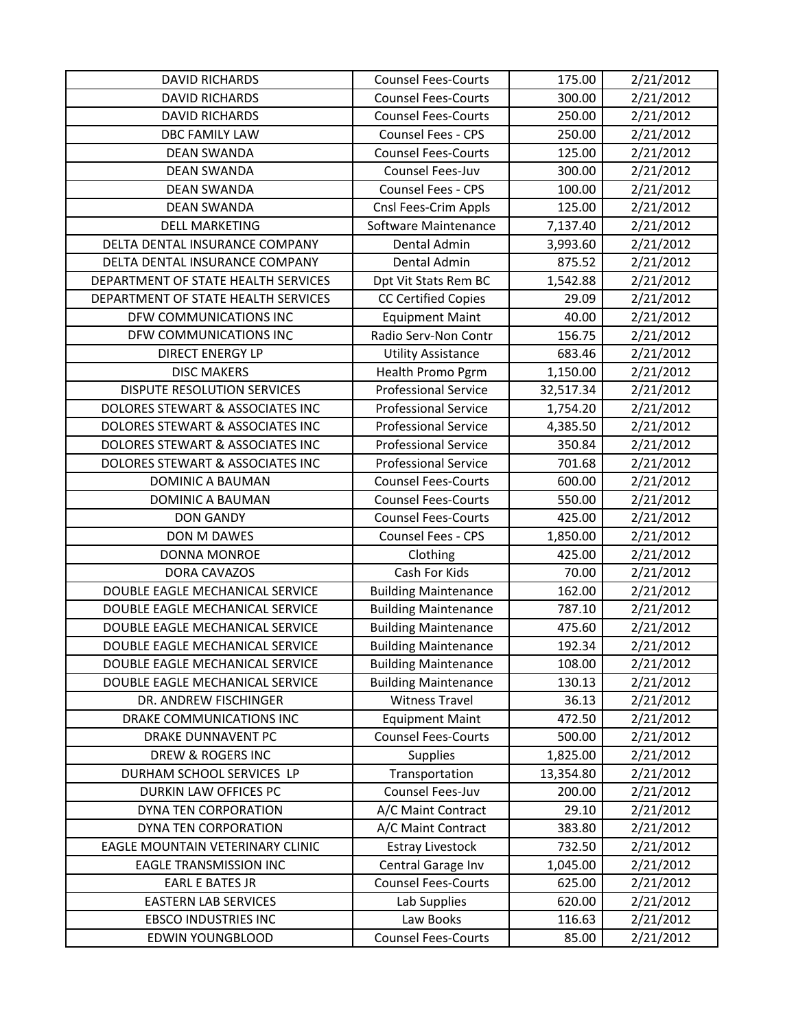| <b>DAVID RICHARDS</b>               | <b>Counsel Fees-Courts</b>  | 175.00    | 2/21/2012 |
|-------------------------------------|-----------------------------|-----------|-----------|
| <b>DAVID RICHARDS</b>               | <b>Counsel Fees-Courts</b>  | 300.00    | 2/21/2012 |
| <b>DAVID RICHARDS</b>               | <b>Counsel Fees-Courts</b>  | 250.00    | 2/21/2012 |
| <b>DBC FAMILY LAW</b>               | Counsel Fees - CPS          | 250.00    | 2/21/2012 |
| <b>DEAN SWANDA</b>                  | <b>Counsel Fees-Courts</b>  | 125.00    | 2/21/2012 |
| <b>DEAN SWANDA</b>                  | Counsel Fees-Juv            | 300.00    | 2/21/2012 |
| <b>DEAN SWANDA</b>                  | Counsel Fees - CPS          | 100.00    | 2/21/2012 |
| <b>DEAN SWANDA</b>                  | Cnsl Fees-Crim Appls        | 125.00    | 2/21/2012 |
| <b>DELL MARKETING</b>               | Software Maintenance        | 7,137.40  | 2/21/2012 |
| DELTA DENTAL INSURANCE COMPANY      | Dental Admin                | 3,993.60  | 2/21/2012 |
| DELTA DENTAL INSURANCE COMPANY      | Dental Admin                | 875.52    | 2/21/2012 |
| DEPARTMENT OF STATE HEALTH SERVICES | Dpt Vit Stats Rem BC        | 1,542.88  | 2/21/2012 |
| DEPARTMENT OF STATE HEALTH SERVICES | <b>CC Certified Copies</b>  | 29.09     | 2/21/2012 |
| DFW COMMUNICATIONS INC              | <b>Equipment Maint</b>      | 40.00     | 2/21/2012 |
| DFW COMMUNICATIONS INC              | Radio Serv-Non Contr        | 156.75    | 2/21/2012 |
| <b>DIRECT ENERGY LP</b>             | <b>Utility Assistance</b>   | 683.46    | 2/21/2012 |
| <b>DISC MAKERS</b>                  | Health Promo Pgrm           | 1,150.00  | 2/21/2012 |
| <b>DISPUTE RESOLUTION SERVICES</b>  | <b>Professional Service</b> | 32,517.34 | 2/21/2012 |
| DOLORES STEWART & ASSOCIATES INC    | <b>Professional Service</b> | 1,754.20  | 2/21/2012 |
| DOLORES STEWART & ASSOCIATES INC    | <b>Professional Service</b> | 4,385.50  | 2/21/2012 |
| DOLORES STEWART & ASSOCIATES INC    | <b>Professional Service</b> | 350.84    | 2/21/2012 |
| DOLORES STEWART & ASSOCIATES INC    | <b>Professional Service</b> | 701.68    | 2/21/2012 |
| <b>DOMINIC A BAUMAN</b>             | <b>Counsel Fees-Courts</b>  | 600.00    | 2/21/2012 |
| <b>DOMINIC A BAUMAN</b>             | <b>Counsel Fees-Courts</b>  | 550.00    | 2/21/2012 |
| <b>DON GANDY</b>                    | <b>Counsel Fees-Courts</b>  | 425.00    | 2/21/2012 |
| DON M DAWES                         | Counsel Fees - CPS          | 1,850.00  | 2/21/2012 |
| DONNA MONROE                        | Clothing                    | 425.00    | 2/21/2012 |
| DORA CAVAZOS                        | Cash For Kids               | 70.00     | 2/21/2012 |
| DOUBLE EAGLE MECHANICAL SERVICE     | <b>Building Maintenance</b> | 162.00    | 2/21/2012 |
| DOUBLE EAGLE MECHANICAL SERVICE     | <b>Building Maintenance</b> | 787.10    | 2/21/2012 |
| DOUBLE EAGLE MECHANICAL SERVICE     | <b>Building Maintenance</b> | 475.60    | 2/21/2012 |
| DOUBLE EAGLE MECHANICAL SERVICE     | <b>Building Maintenance</b> | 192.34    | 2/21/2012 |
| DOUBLE EAGLE MECHANICAL SERVICE     | <b>Building Maintenance</b> | 108.00    | 2/21/2012 |
| DOUBLE EAGLE MECHANICAL SERVICE     | <b>Building Maintenance</b> | 130.13    | 2/21/2012 |
| DR. ANDREW FISCHINGER               | <b>Witness Travel</b>       | 36.13     | 2/21/2012 |
| DRAKE COMMUNICATIONS INC            | <b>Equipment Maint</b>      | 472.50    | 2/21/2012 |
| DRAKE DUNNAVENT PC                  | <b>Counsel Fees-Courts</b>  | 500.00    | 2/21/2012 |
| DREW & ROGERS INC                   | Supplies                    | 1,825.00  | 2/21/2012 |
| DURHAM SCHOOL SERVICES LP           | Transportation              | 13,354.80 | 2/21/2012 |
| DURKIN LAW OFFICES PC               | Counsel Fees-Juv            | 200.00    | 2/21/2012 |
| DYNA TEN CORPORATION                | A/C Maint Contract          | 29.10     | 2/21/2012 |
| DYNA TEN CORPORATION                | A/C Maint Contract          | 383.80    | 2/21/2012 |
| EAGLE MOUNTAIN VETERINARY CLINIC    | <b>Estray Livestock</b>     | 732.50    | 2/21/2012 |
| <b>EAGLE TRANSMISSION INC</b>       | Central Garage Inv          | 1,045.00  | 2/21/2012 |
| <b>EARL E BATES JR</b>              | <b>Counsel Fees-Courts</b>  | 625.00    | 2/21/2012 |
| <b>EASTERN LAB SERVICES</b>         | Lab Supplies                | 620.00    | 2/21/2012 |
| <b>EBSCO INDUSTRIES INC</b>         | Law Books                   | 116.63    | 2/21/2012 |
| <b>EDWIN YOUNGBLOOD</b>             | <b>Counsel Fees-Courts</b>  | 85.00     | 2/21/2012 |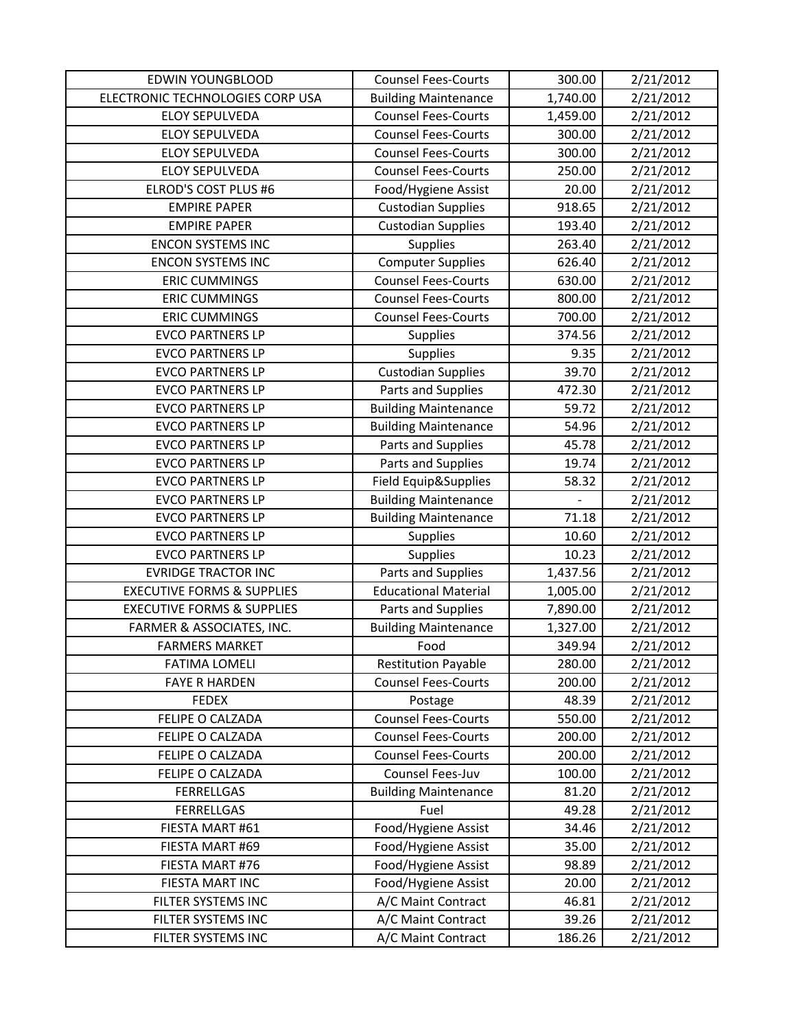| <b>EDWIN YOUNGBLOOD</b>               | <b>Counsel Fees-Courts</b>  | 300.00   | 2/21/2012 |
|---------------------------------------|-----------------------------|----------|-----------|
| ELECTRONIC TECHNOLOGIES CORP USA      | <b>Building Maintenance</b> | 1,740.00 | 2/21/2012 |
| <b>ELOY SEPULVEDA</b>                 | <b>Counsel Fees-Courts</b>  | 1,459.00 | 2/21/2012 |
| <b>ELOY SEPULVEDA</b>                 | <b>Counsel Fees-Courts</b>  | 300.00   | 2/21/2012 |
| <b>ELOY SEPULVEDA</b>                 | <b>Counsel Fees-Courts</b>  | 300.00   | 2/21/2012 |
| <b>ELOY SEPULVEDA</b>                 | <b>Counsel Fees-Courts</b>  | 250.00   | 2/21/2012 |
| <b>ELROD'S COST PLUS #6</b>           | Food/Hygiene Assist         | 20.00    | 2/21/2012 |
| <b>EMPIRE PAPER</b>                   | <b>Custodian Supplies</b>   | 918.65   | 2/21/2012 |
| <b>EMPIRE PAPER</b>                   | <b>Custodian Supplies</b>   | 193.40   | 2/21/2012 |
| <b>ENCON SYSTEMS INC</b>              | <b>Supplies</b>             | 263.40   | 2/21/2012 |
| <b>ENCON SYSTEMS INC</b>              | <b>Computer Supplies</b>    | 626.40   | 2/21/2012 |
| <b>ERIC CUMMINGS</b>                  | <b>Counsel Fees-Courts</b>  | 630.00   | 2/21/2012 |
| <b>ERIC CUMMINGS</b>                  | <b>Counsel Fees-Courts</b>  | 800.00   | 2/21/2012 |
| <b>ERIC CUMMINGS</b>                  | <b>Counsel Fees-Courts</b>  | 700.00   | 2/21/2012 |
| <b>EVCO PARTNERS LP</b>               | <b>Supplies</b>             | 374.56   | 2/21/2012 |
| <b>EVCO PARTNERS LP</b>               | Supplies                    | 9.35     | 2/21/2012 |
| <b>EVCO PARTNERS LP</b>               | <b>Custodian Supplies</b>   | 39.70    | 2/21/2012 |
| <b>EVCO PARTNERS LP</b>               | Parts and Supplies          | 472.30   | 2/21/2012 |
| <b>EVCO PARTNERS LP</b>               | <b>Building Maintenance</b> | 59.72    | 2/21/2012 |
| <b>EVCO PARTNERS LP</b>               | <b>Building Maintenance</b> | 54.96    | 2/21/2012 |
| <b>EVCO PARTNERS LP</b>               | Parts and Supplies          | 45.78    | 2/21/2012 |
| <b>EVCO PARTNERS LP</b>               | Parts and Supplies          | 19.74    | 2/21/2012 |
| <b>EVCO PARTNERS LP</b>               | Field Equip&Supplies        | 58.32    | 2/21/2012 |
| <b>EVCO PARTNERS LP</b>               | <b>Building Maintenance</b> |          | 2/21/2012 |
| <b>EVCO PARTNERS LP</b>               | <b>Building Maintenance</b> | 71.18    | 2/21/2012 |
| <b>EVCO PARTNERS LP</b>               | <b>Supplies</b>             | 10.60    | 2/21/2012 |
| <b>EVCO PARTNERS LP</b>               | <b>Supplies</b>             | 10.23    | 2/21/2012 |
| <b>EVRIDGE TRACTOR INC</b>            | Parts and Supplies          | 1,437.56 | 2/21/2012 |
| <b>EXECUTIVE FORMS &amp; SUPPLIES</b> | <b>Educational Material</b> | 1,005.00 | 2/21/2012 |
| <b>EXECUTIVE FORMS &amp; SUPPLIES</b> | Parts and Supplies          | 7,890.00 | 2/21/2012 |
| FARMER & ASSOCIATES, INC.             | <b>Building Maintenance</b> | 1,327.00 | 2/21/2012 |
| <b>FARMERS MARKET</b>                 | Food                        | 349.94   | 2/21/2012 |
| <b>FATIMA LOMELI</b>                  | <b>Restitution Payable</b>  | 280.00   | 2/21/2012 |
| <b>FAYE R HARDEN</b>                  | <b>Counsel Fees-Courts</b>  | 200.00   | 2/21/2012 |
| <b>FEDEX</b>                          | Postage                     | 48.39    | 2/21/2012 |
| FELIPE O CALZADA                      | <b>Counsel Fees-Courts</b>  | 550.00   | 2/21/2012 |
| FELIPE O CALZADA                      | <b>Counsel Fees-Courts</b>  | 200.00   | 2/21/2012 |
| FELIPE O CALZADA                      | <b>Counsel Fees-Courts</b>  | 200.00   | 2/21/2012 |
| FELIPE O CALZADA                      | Counsel Fees-Juv            | 100.00   | 2/21/2012 |
| <b>FERRELLGAS</b>                     | <b>Building Maintenance</b> | 81.20    | 2/21/2012 |
| <b>FERRELLGAS</b>                     | Fuel                        | 49.28    | 2/21/2012 |
| FIESTA MART #61                       | Food/Hygiene Assist         | 34.46    | 2/21/2012 |
| FIESTA MART #69                       | Food/Hygiene Assist         | 35.00    | 2/21/2012 |
| FIESTA MART #76                       | Food/Hygiene Assist         | 98.89    | 2/21/2012 |
| FIESTA MART INC                       | Food/Hygiene Assist         | 20.00    | 2/21/2012 |
| FILTER SYSTEMS INC                    | A/C Maint Contract          | 46.81    | 2/21/2012 |
| FILTER SYSTEMS INC                    | A/C Maint Contract          | 39.26    | 2/21/2012 |
| FILTER SYSTEMS INC                    | A/C Maint Contract          | 186.26   | 2/21/2012 |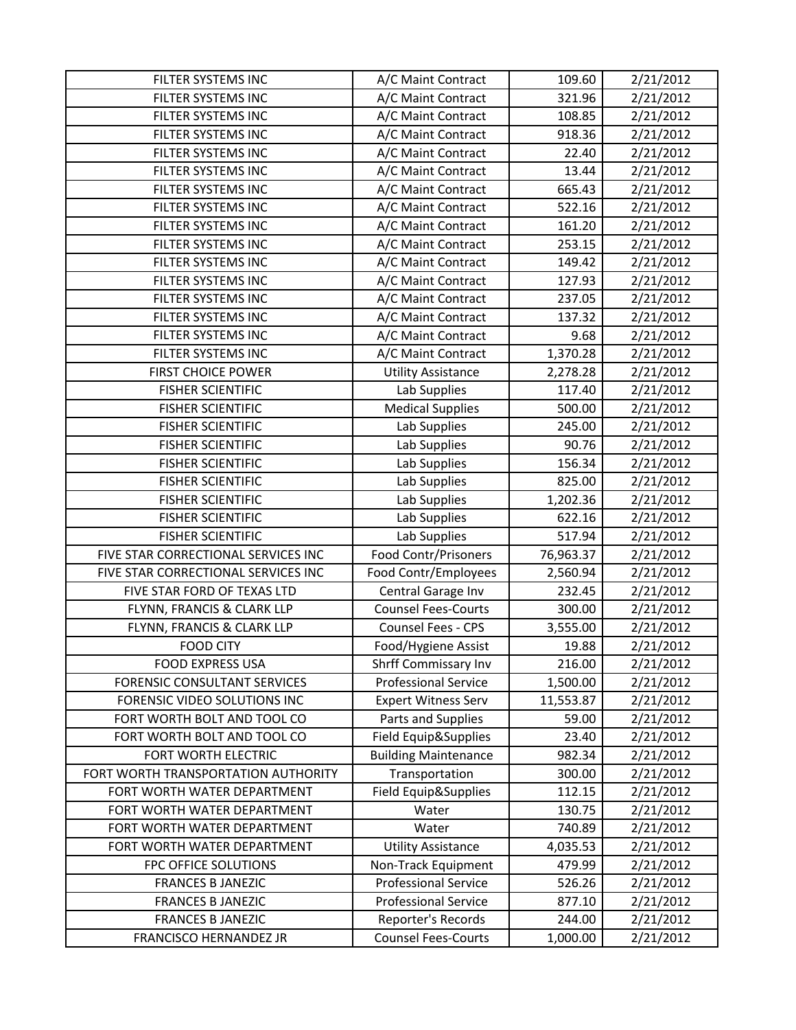| FILTER SYSTEMS INC                  | A/C Maint Contract          | 109.60    | 2/21/2012 |
|-------------------------------------|-----------------------------|-----------|-----------|
| FILTER SYSTEMS INC                  | A/C Maint Contract          | 321.96    | 2/21/2012 |
| FILTER SYSTEMS INC                  | A/C Maint Contract          | 108.85    | 2/21/2012 |
| FILTER SYSTEMS INC                  | A/C Maint Contract          | 918.36    | 2/21/2012 |
| FILTER SYSTEMS INC                  | A/C Maint Contract          | 22.40     | 2/21/2012 |
| FILTER SYSTEMS INC                  | A/C Maint Contract          | 13.44     | 2/21/2012 |
| FILTER SYSTEMS INC                  | A/C Maint Contract          | 665.43    | 2/21/2012 |
| FILTER SYSTEMS INC                  | A/C Maint Contract          | 522.16    | 2/21/2012 |
| FILTER SYSTEMS INC                  | A/C Maint Contract          | 161.20    | 2/21/2012 |
| FILTER SYSTEMS INC                  | A/C Maint Contract          | 253.15    | 2/21/2012 |
| FILTER SYSTEMS INC                  | A/C Maint Contract          | 149.42    | 2/21/2012 |
| FILTER SYSTEMS INC                  | A/C Maint Contract          | 127.93    | 2/21/2012 |
| FILTER SYSTEMS INC                  | A/C Maint Contract          | 237.05    | 2/21/2012 |
| FILTER SYSTEMS INC                  | A/C Maint Contract          | 137.32    | 2/21/2012 |
| FILTER SYSTEMS INC                  | A/C Maint Contract          | 9.68      | 2/21/2012 |
| FILTER SYSTEMS INC                  | A/C Maint Contract          | 1,370.28  | 2/21/2012 |
| <b>FIRST CHOICE POWER</b>           | <b>Utility Assistance</b>   | 2,278.28  | 2/21/2012 |
| <b>FISHER SCIENTIFIC</b>            | Lab Supplies                | 117.40    | 2/21/2012 |
| <b>FISHER SCIENTIFIC</b>            | <b>Medical Supplies</b>     | 500.00    | 2/21/2012 |
| <b>FISHER SCIENTIFIC</b>            | Lab Supplies                | 245.00    | 2/21/2012 |
| <b>FISHER SCIENTIFIC</b>            | Lab Supplies                | 90.76     | 2/21/2012 |
| <b>FISHER SCIENTIFIC</b>            | Lab Supplies                | 156.34    | 2/21/2012 |
| <b>FISHER SCIENTIFIC</b>            | Lab Supplies                | 825.00    | 2/21/2012 |
| <b>FISHER SCIENTIFIC</b>            | Lab Supplies                | 1,202.36  | 2/21/2012 |
| <b>FISHER SCIENTIFIC</b>            | Lab Supplies                | 622.16    | 2/21/2012 |
| <b>FISHER SCIENTIFIC</b>            | Lab Supplies                | 517.94    | 2/21/2012 |
| FIVE STAR CORRECTIONAL SERVICES INC | Food Contr/Prisoners        | 76,963.37 | 2/21/2012 |
| FIVE STAR CORRECTIONAL SERVICES INC | Food Contr/Employees        | 2,560.94  | 2/21/2012 |
| FIVE STAR FORD OF TEXAS LTD         | Central Garage Inv          | 232.45    | 2/21/2012 |
| FLYNN, FRANCIS & CLARK LLP          | <b>Counsel Fees-Courts</b>  | 300.00    | 2/21/2012 |
| FLYNN, FRANCIS & CLARK LLP          | Counsel Fees - CPS          | 3,555.00  | 2/21/2012 |
| <b>FOOD CITY</b>                    | Food/Hygiene Assist         | 19.88     | 2/21/2012 |
| <b>FOOD EXPRESS USA</b>             | Shrff Commissary Inv        | 216.00    | 2/21/2012 |
| <b>FORENSIC CONSULTANT SERVICES</b> | <b>Professional Service</b> | 1,500.00  | 2/21/2012 |
| FORENSIC VIDEO SOLUTIONS INC        | <b>Expert Witness Serv</b>  | 11,553.87 | 2/21/2012 |
| FORT WORTH BOLT AND TOOL CO         | Parts and Supplies          | 59.00     | 2/21/2012 |
| FORT WORTH BOLT AND TOOL CO         | Field Equip&Supplies        | 23.40     | 2/21/2012 |
| FORT WORTH ELECTRIC                 | <b>Building Maintenance</b> | 982.34    | 2/21/2012 |
| FORT WORTH TRANSPORTATION AUTHORITY | Transportation              | 300.00    | 2/21/2012 |
| FORT WORTH WATER DEPARTMENT         | Field Equip&Supplies        | 112.15    | 2/21/2012 |
| FORT WORTH WATER DEPARTMENT         | Water                       | 130.75    | 2/21/2012 |
| FORT WORTH WATER DEPARTMENT         | Water                       | 740.89    | 2/21/2012 |
| FORT WORTH WATER DEPARTMENT         | <b>Utility Assistance</b>   | 4,035.53  | 2/21/2012 |
| FPC OFFICE SOLUTIONS                | Non-Track Equipment         | 479.99    | 2/21/2012 |
| <b>FRANCES B JANEZIC</b>            | <b>Professional Service</b> | 526.26    | 2/21/2012 |
| <b>FRANCES B JANEZIC</b>            | <b>Professional Service</b> | 877.10    | 2/21/2012 |
| <b>FRANCES B JANEZIC</b>            | Reporter's Records          | 244.00    | 2/21/2012 |
| FRANCISCO HERNANDEZ JR              | <b>Counsel Fees-Courts</b>  | 1,000.00  | 2/21/2012 |
|                                     |                             |           |           |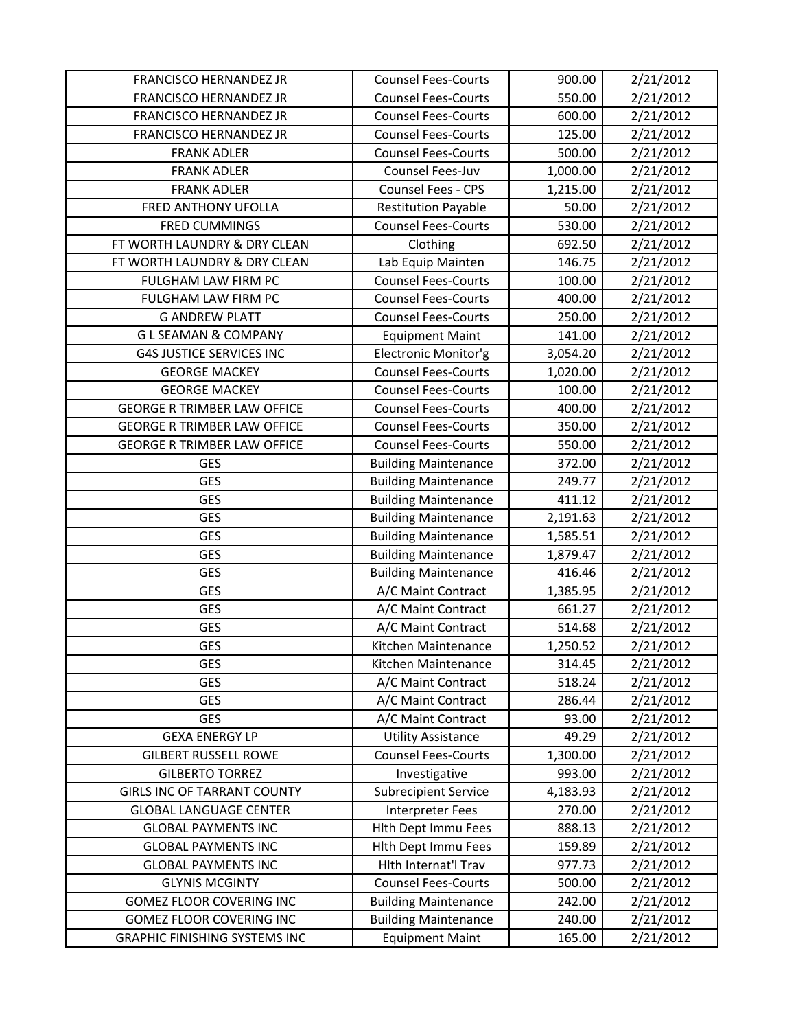| <b>FRANCISCO HERNANDEZ JR</b>        | <b>Counsel Fees-Courts</b>  | 900.00   | 2/21/2012 |
|--------------------------------------|-----------------------------|----------|-----------|
| <b>FRANCISCO HERNANDEZ JR</b>        | <b>Counsel Fees-Courts</b>  | 550.00   | 2/21/2012 |
| FRANCISCO HERNANDEZ JR               | <b>Counsel Fees-Courts</b>  | 600.00   | 2/21/2012 |
| FRANCISCO HERNANDEZ JR               | <b>Counsel Fees-Courts</b>  | 125.00   | 2/21/2012 |
| <b>FRANK ADLER</b>                   | <b>Counsel Fees-Courts</b>  | 500.00   | 2/21/2012 |
| <b>FRANK ADLER</b>                   | Counsel Fees-Juv            | 1,000.00 | 2/21/2012 |
| <b>FRANK ADLER</b>                   | Counsel Fees - CPS          | 1,215.00 | 2/21/2012 |
| FRED ANTHONY UFOLLA                  | <b>Restitution Payable</b>  | 50.00    | 2/21/2012 |
| <b>FRED CUMMINGS</b>                 | <b>Counsel Fees-Courts</b>  | 530.00   | 2/21/2012 |
| FT WORTH LAUNDRY & DRY CLEAN         | Clothing                    | 692.50   | 2/21/2012 |
| FT WORTH LAUNDRY & DRY CLEAN         | Lab Equip Mainten           | 146.75   | 2/21/2012 |
| FULGHAM LAW FIRM PC                  | <b>Counsel Fees-Courts</b>  | 100.00   | 2/21/2012 |
| FULGHAM LAW FIRM PC                  | <b>Counsel Fees-Courts</b>  | 400.00   | 2/21/2012 |
| <b>G ANDREW PLATT</b>                | <b>Counsel Fees-Courts</b>  | 250.00   | 2/21/2012 |
| <b>GLSEAMAN &amp; COMPANY</b>        | <b>Equipment Maint</b>      | 141.00   | 2/21/2012 |
| <b>G4S JUSTICE SERVICES INC</b>      | Electronic Monitor'g        | 3,054.20 | 2/21/2012 |
| <b>GEORGE MACKEY</b>                 | <b>Counsel Fees-Courts</b>  | 1,020.00 | 2/21/2012 |
| <b>GEORGE MACKEY</b>                 | <b>Counsel Fees-Courts</b>  | 100.00   | 2/21/2012 |
| <b>GEORGE R TRIMBER LAW OFFICE</b>   | <b>Counsel Fees-Courts</b>  | 400.00   | 2/21/2012 |
| <b>GEORGE R TRIMBER LAW OFFICE</b>   | <b>Counsel Fees-Courts</b>  | 350.00   | 2/21/2012 |
| <b>GEORGE R TRIMBER LAW OFFICE</b>   | <b>Counsel Fees-Courts</b>  | 550.00   | 2/21/2012 |
| GES                                  | <b>Building Maintenance</b> | 372.00   | 2/21/2012 |
| <b>GES</b>                           | <b>Building Maintenance</b> | 249.77   | 2/21/2012 |
| <b>GES</b>                           | <b>Building Maintenance</b> | 411.12   | 2/21/2012 |
| <b>GES</b>                           | <b>Building Maintenance</b> | 2,191.63 | 2/21/2012 |
| <b>GES</b>                           | <b>Building Maintenance</b> | 1,585.51 | 2/21/2012 |
| <b>GES</b>                           | <b>Building Maintenance</b> | 1,879.47 | 2/21/2012 |
| <b>GES</b>                           | <b>Building Maintenance</b> | 416.46   | 2/21/2012 |
| <b>GES</b>                           | A/C Maint Contract          | 1,385.95 | 2/21/2012 |
| <b>GES</b>                           | A/C Maint Contract          | 661.27   | 2/21/2012 |
| <b>GES</b>                           | A/C Maint Contract          | 514.68   | 2/21/2012 |
| <b>GES</b>                           | Kitchen Maintenance         | 1,250.52 | 2/21/2012 |
| GES                                  | Kitchen Maintenance         | 314.45   | 2/21/2012 |
| <b>GES</b>                           | A/C Maint Contract          | 518.24   | 2/21/2012 |
| GES                                  | A/C Maint Contract          | 286.44   | 2/21/2012 |
| <b>GES</b>                           | A/C Maint Contract          | 93.00    | 2/21/2012 |
| <b>GEXA ENERGY LP</b>                | <b>Utility Assistance</b>   | 49.29    | 2/21/2012 |
| <b>GILBERT RUSSELL ROWE</b>          | <b>Counsel Fees-Courts</b>  | 1,300.00 | 2/21/2012 |
| <b>GILBERTO TORREZ</b>               | Investigative               | 993.00   | 2/21/2012 |
| <b>GIRLS INC OF TARRANT COUNTY</b>   | <b>Subrecipient Service</b> | 4,183.93 | 2/21/2012 |
| <b>GLOBAL LANGUAGE CENTER</b>        | Interpreter Fees            | 270.00   | 2/21/2012 |
| <b>GLOBAL PAYMENTS INC</b>           | Hlth Dept Immu Fees         | 888.13   | 2/21/2012 |
| <b>GLOBAL PAYMENTS INC</b>           | Hlth Dept Immu Fees         | 159.89   | 2/21/2012 |
| <b>GLOBAL PAYMENTS INC</b>           | Hith Internat'l Trav        | 977.73   | 2/21/2012 |
| <b>GLYNIS MCGINTY</b>                | <b>Counsel Fees-Courts</b>  | 500.00   | 2/21/2012 |
| GOMEZ FLOOR COVERING INC             | <b>Building Maintenance</b> | 242.00   | 2/21/2012 |
| <b>GOMEZ FLOOR COVERING INC</b>      | <b>Building Maintenance</b> | 240.00   | 2/21/2012 |
| <b>GRAPHIC FINISHING SYSTEMS INC</b> | <b>Equipment Maint</b>      | 165.00   | 2/21/2012 |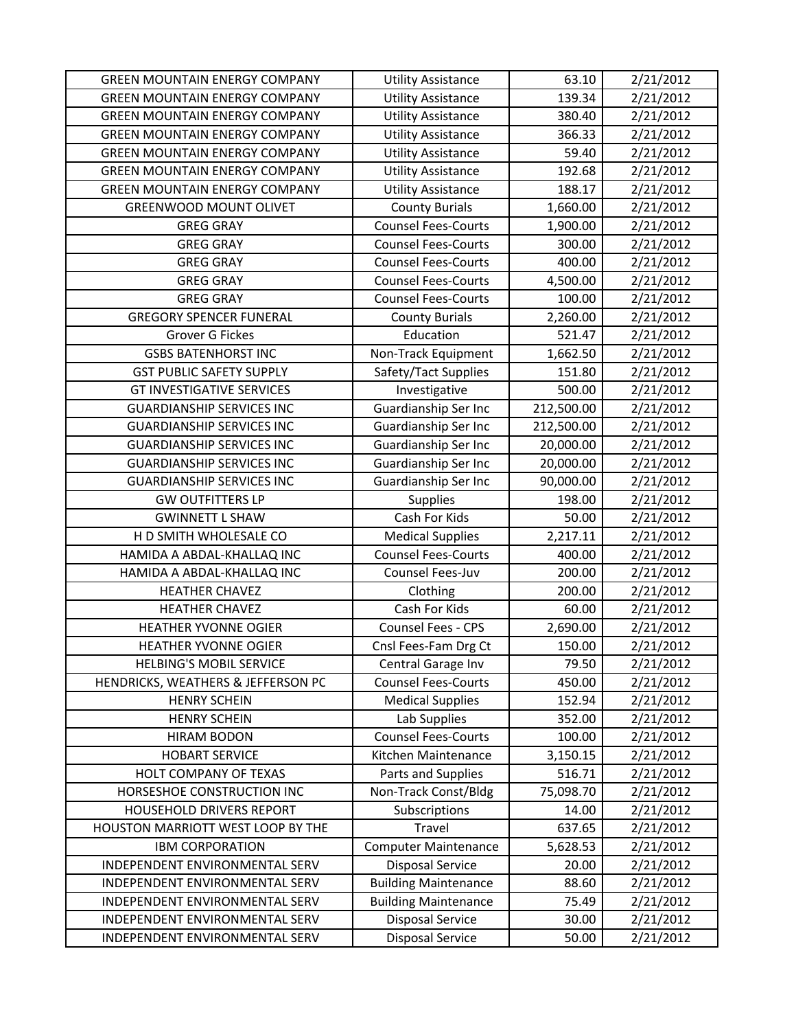| <b>GREEN MOUNTAIN ENERGY COMPANY</b> | <b>Utility Assistance</b>   | 63.10      | 2/21/2012 |
|--------------------------------------|-----------------------------|------------|-----------|
| <b>GREEN MOUNTAIN ENERGY COMPANY</b> | <b>Utility Assistance</b>   | 139.34     | 2/21/2012 |
| <b>GREEN MOUNTAIN ENERGY COMPANY</b> | <b>Utility Assistance</b>   | 380.40     | 2/21/2012 |
| <b>GREEN MOUNTAIN ENERGY COMPANY</b> | <b>Utility Assistance</b>   | 366.33     | 2/21/2012 |
| <b>GREEN MOUNTAIN ENERGY COMPANY</b> | <b>Utility Assistance</b>   | 59.40      | 2/21/2012 |
| <b>GREEN MOUNTAIN ENERGY COMPANY</b> | <b>Utility Assistance</b>   | 192.68     | 2/21/2012 |
| <b>GREEN MOUNTAIN ENERGY COMPANY</b> | <b>Utility Assistance</b>   | 188.17     | 2/21/2012 |
| <b>GREENWOOD MOUNT OLIVET</b>        | <b>County Burials</b>       | 1,660.00   | 2/21/2012 |
| <b>GREG GRAY</b>                     | <b>Counsel Fees-Courts</b>  | 1,900.00   | 2/21/2012 |
| <b>GREG GRAY</b>                     | <b>Counsel Fees-Courts</b>  | 300.00     | 2/21/2012 |
| <b>GREG GRAY</b>                     | <b>Counsel Fees-Courts</b>  | 400.00     | 2/21/2012 |
| <b>GREG GRAY</b>                     | <b>Counsel Fees-Courts</b>  | 4,500.00   | 2/21/2012 |
| <b>GREG GRAY</b>                     | <b>Counsel Fees-Courts</b>  | 100.00     | 2/21/2012 |
| <b>GREGORY SPENCER FUNERAL</b>       | <b>County Burials</b>       | 2,260.00   | 2/21/2012 |
| Grover G Fickes                      | Education                   | 521.47     | 2/21/2012 |
| <b>GSBS BATENHORST INC</b>           | Non-Track Equipment         | 1,662.50   | 2/21/2012 |
| <b>GST PUBLIC SAFETY SUPPLY</b>      | Safety/Tact Supplies        | 151.80     | 2/21/2012 |
| <b>GT INVESTIGATIVE SERVICES</b>     | Investigative               | 500.00     | 2/21/2012 |
| <b>GUARDIANSHIP SERVICES INC</b>     | Guardianship Ser Inc        | 212,500.00 | 2/21/2012 |
| <b>GUARDIANSHIP SERVICES INC</b>     | Guardianship Ser Inc        | 212,500.00 | 2/21/2012 |
| <b>GUARDIANSHIP SERVICES INC</b>     | Guardianship Ser Inc        | 20,000.00  | 2/21/2012 |
| <b>GUARDIANSHIP SERVICES INC</b>     | Guardianship Ser Inc        | 20,000.00  | 2/21/2012 |
| <b>GUARDIANSHIP SERVICES INC</b>     | Guardianship Ser Inc        | 90,000.00  | 2/21/2012 |
| <b>GW OUTFITTERS LP</b>              | <b>Supplies</b>             | 198.00     | 2/21/2012 |
| <b>GWINNETT L SHAW</b>               | Cash For Kids               | 50.00      | 2/21/2012 |
| H D SMITH WHOLESALE CO               | <b>Medical Supplies</b>     | 2,217.11   | 2/21/2012 |
| HAMIDA A ABDAL-KHALLAQ INC           | <b>Counsel Fees-Courts</b>  | 400.00     | 2/21/2012 |
| HAMIDA A ABDAL-KHALLAQ INC           | Counsel Fees-Juv            | 200.00     | 2/21/2012 |
| <b>HEATHER CHAVEZ</b>                | Clothing                    | 200.00     | 2/21/2012 |
| <b>HEATHER CHAVEZ</b>                | Cash For Kids               | 60.00      | 2/21/2012 |
| <b>HEATHER YVONNE OGIER</b>          | Counsel Fees - CPS          | 2,690.00   | 2/21/2012 |
| <b>HEATHER YVONNE OGIER</b>          | Cnsl Fees-Fam Drg Ct        | 150.00     | 2/21/2012 |
| <b>HELBING'S MOBIL SERVICE</b>       | Central Garage Inv          | 79.50      | 2/21/2012 |
| HENDRICKS, WEATHERS & JEFFERSON PC   | <b>Counsel Fees-Courts</b>  | 450.00     | 2/21/2012 |
| <b>HENRY SCHEIN</b>                  | <b>Medical Supplies</b>     | 152.94     | 2/21/2012 |
| <b>HENRY SCHEIN</b>                  | Lab Supplies                | 352.00     | 2/21/2012 |
| <b>HIRAM BODON</b>                   | <b>Counsel Fees-Courts</b>  | 100.00     | 2/21/2012 |
| <b>HOBART SERVICE</b>                | Kitchen Maintenance         | 3,150.15   | 2/21/2012 |
| HOLT COMPANY OF TEXAS                | Parts and Supplies          | 516.71     | 2/21/2012 |
| HORSESHOE CONSTRUCTION INC           | Non-Track Const/Bldg        | 75,098.70  | 2/21/2012 |
| HOUSEHOLD DRIVERS REPORT             | Subscriptions               | 14.00      | 2/21/2012 |
| HOUSTON MARRIOTT WEST LOOP BY THE    | Travel                      | 637.65     | 2/21/2012 |
| <b>IBM CORPORATION</b>               | <b>Computer Maintenance</b> | 5,628.53   | 2/21/2012 |
| INDEPENDENT ENVIRONMENTAL SERV       | <b>Disposal Service</b>     | 20.00      | 2/21/2012 |
| INDEPENDENT ENVIRONMENTAL SERV       | <b>Building Maintenance</b> | 88.60      | 2/21/2012 |
| INDEPENDENT ENVIRONMENTAL SERV       | <b>Building Maintenance</b> | 75.49      | 2/21/2012 |
| INDEPENDENT ENVIRONMENTAL SERV       | <b>Disposal Service</b>     | 30.00      | 2/21/2012 |
| INDEPENDENT ENVIRONMENTAL SERV       | <b>Disposal Service</b>     | 50.00      | 2/21/2012 |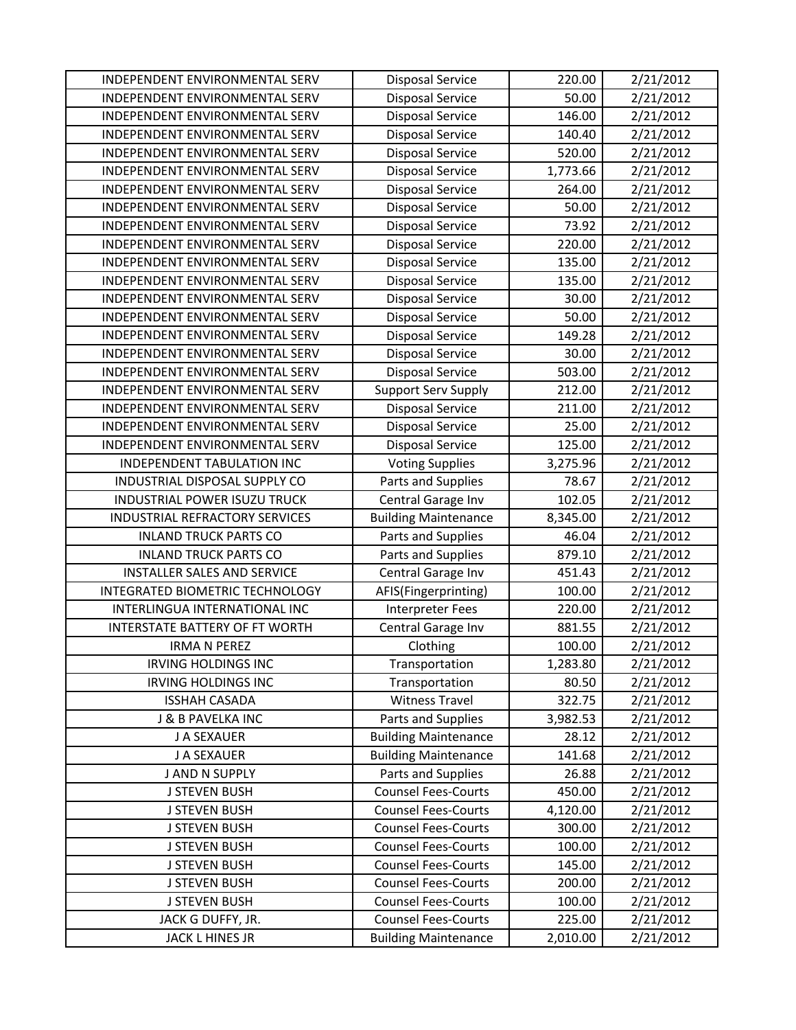| INDEPENDENT ENVIRONMENTAL SERV        | <b>Disposal Service</b>     | 220.00   | 2/21/2012              |
|---------------------------------------|-----------------------------|----------|------------------------|
| INDEPENDENT ENVIRONMENTAL SERV        | <b>Disposal Service</b>     | 50.00    | 2/21/2012              |
| INDEPENDENT ENVIRONMENTAL SERV        | <b>Disposal Service</b>     | 146.00   | 2/21/2012              |
| INDEPENDENT ENVIRONMENTAL SERV        | <b>Disposal Service</b>     | 140.40   | 2/21/2012              |
| INDEPENDENT ENVIRONMENTAL SERV        | <b>Disposal Service</b>     | 520.00   | 2/21/2012              |
| INDEPENDENT ENVIRONMENTAL SERV        | <b>Disposal Service</b>     | 1,773.66 | 2/21/2012              |
| INDEPENDENT ENVIRONMENTAL SERV        | <b>Disposal Service</b>     | 264.00   | 2/21/2012              |
| INDEPENDENT ENVIRONMENTAL SERV        | <b>Disposal Service</b>     | 50.00    | 2/21/2012              |
| INDEPENDENT ENVIRONMENTAL SERV        | <b>Disposal Service</b>     | 73.92    | 2/21/2012              |
| INDEPENDENT ENVIRONMENTAL SERV        | <b>Disposal Service</b>     | 220.00   | 2/21/2012              |
| INDEPENDENT ENVIRONMENTAL SERV        | <b>Disposal Service</b>     | 135.00   | 2/21/2012              |
| INDEPENDENT ENVIRONMENTAL SERV        | <b>Disposal Service</b>     | 135.00   | 2/21/2012              |
| INDEPENDENT ENVIRONMENTAL SERV        | <b>Disposal Service</b>     | 30.00    | 2/21/2012              |
| INDEPENDENT ENVIRONMENTAL SERV        | <b>Disposal Service</b>     | 50.00    | 2/21/2012              |
| INDEPENDENT ENVIRONMENTAL SERV        | <b>Disposal Service</b>     | 149.28   | 2/21/2012              |
| INDEPENDENT ENVIRONMENTAL SERV        | <b>Disposal Service</b>     | 30.00    | 2/21/2012              |
| INDEPENDENT ENVIRONMENTAL SERV        | <b>Disposal Service</b>     | 503.00   | 2/21/2012              |
| INDEPENDENT ENVIRONMENTAL SERV        | <b>Support Serv Supply</b>  | 212.00   | 2/21/2012              |
| INDEPENDENT ENVIRONMENTAL SERV        | <b>Disposal Service</b>     | 211.00   | 2/21/2012              |
| INDEPENDENT ENVIRONMENTAL SERV        | <b>Disposal Service</b>     | 25.00    | 2/21/2012              |
| INDEPENDENT ENVIRONMENTAL SERV        | <b>Disposal Service</b>     | 125.00   | 2/21/2012              |
| INDEPENDENT TABULATION INC            | <b>Voting Supplies</b>      | 3,275.96 | 2/21/2012              |
| INDUSTRIAL DISPOSAL SUPPLY CO         | Parts and Supplies          | 78.67    | 2/21/2012              |
| INDUSTRIAL POWER ISUZU TRUCK          | Central Garage Inv          | 102.05   | 2/21/2012              |
| INDUSTRIAL REFRACTORY SERVICES        | <b>Building Maintenance</b> | 8,345.00 | 2/21/2012              |
|                                       |                             | 46.04    |                        |
| <b>INLAND TRUCK PARTS CO</b>          | Parts and Supplies          |          | 2/21/2012              |
| <b>INLAND TRUCK PARTS CO</b>          | Parts and Supplies          | 879.10   | 2/21/2012              |
| <b>INSTALLER SALES AND SERVICE</b>    | Central Garage Inv          | 451.43   | 2/21/2012              |
| INTEGRATED BIOMETRIC TECHNOLOGY       | AFIS(Fingerprinting)        | 100.00   | 2/21/2012              |
| INTERLINGUA INTERNATIONAL INC         | <b>Interpreter Fees</b>     | 220.00   | 2/21/2012              |
| <b>INTERSTATE BATTERY OF FT WORTH</b> | Central Garage Inv          | 881.55   | $\overline{2}/21/2012$ |
| <b>IRMA N PEREZ</b>                   | Clothing                    | 100.00   | 2/21/2012              |
| <b>IRVING HOLDINGS INC</b>            | Transportation              | 1,283.80 | 2/21/2012              |
| <b>IRVING HOLDINGS INC</b>            | Transportation              | 80.50    | 2/21/2012              |
| <b>ISSHAH CASADA</b>                  | <b>Witness Travel</b>       | 322.75   | 2/21/2012              |
| J & B PAVELKA INC                     | Parts and Supplies          | 3,982.53 | 2/21/2012              |
| J A SEXAUER                           | <b>Building Maintenance</b> | 28.12    | 2/21/2012              |
| J A SEXAUER                           | <b>Building Maintenance</b> | 141.68   | 2/21/2012              |
| J AND N SUPPLY                        | Parts and Supplies          | 26.88    | 2/21/2012              |
| <b>J STEVEN BUSH</b>                  | <b>Counsel Fees-Courts</b>  | 450.00   | 2/21/2012              |
| <b>J STEVEN BUSH</b>                  | <b>Counsel Fees-Courts</b>  | 4,120.00 | 2/21/2012              |
| <b>J STEVEN BUSH</b>                  | <b>Counsel Fees-Courts</b>  | 300.00   | 2/21/2012              |
| <b>J STEVEN BUSH</b>                  | <b>Counsel Fees-Courts</b>  | 100.00   | 2/21/2012              |
| <b>J STEVEN BUSH</b>                  | <b>Counsel Fees-Courts</b>  | 145.00   | 2/21/2012              |
| <b>J STEVEN BUSH</b>                  | <b>Counsel Fees-Courts</b>  | 200.00   | 2/21/2012              |
| <b>J STEVEN BUSH</b>                  | <b>Counsel Fees-Courts</b>  | 100.00   | 2/21/2012              |
| JACK G DUFFY, JR.                     | <b>Counsel Fees-Courts</b>  | 225.00   | 2/21/2012              |
| JACK L HINES JR                       | <b>Building Maintenance</b> | 2,010.00 | 2/21/2012              |
|                                       |                             |          |                        |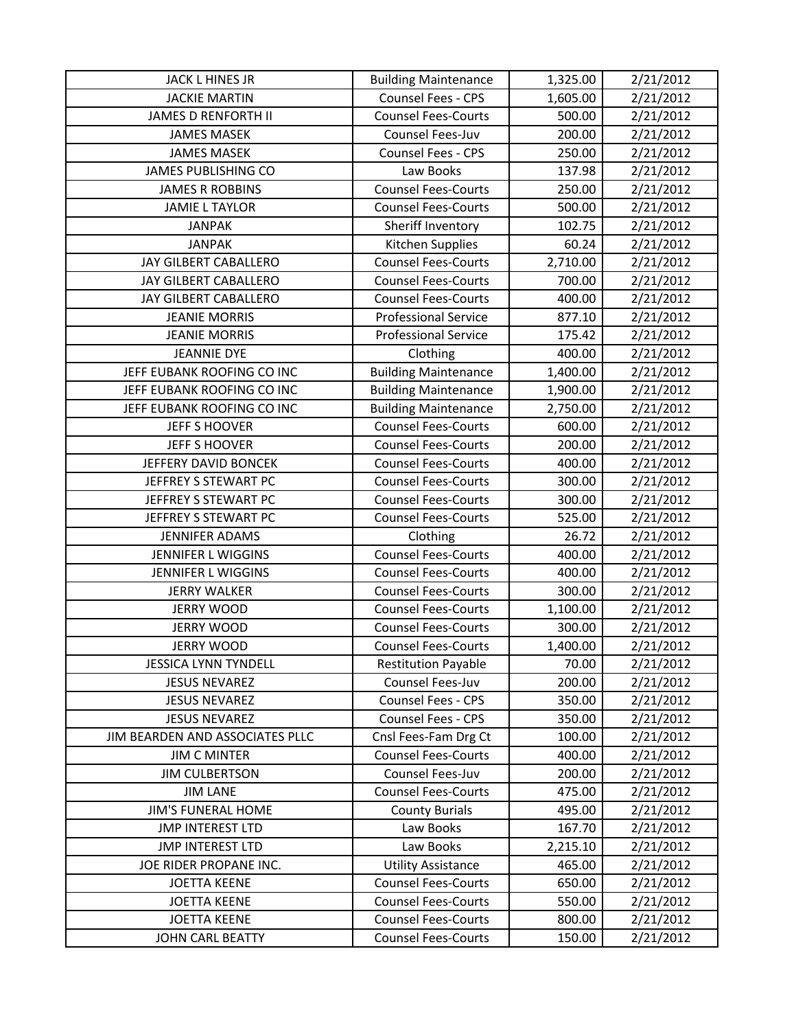| JACK L HINES JR                 | <b>Building Maintenance</b> | 1,325.00 | 2/21/2012 |
|---------------------------------|-----------------------------|----------|-----------|
| <b>JACKIE MARTIN</b>            | Counsel Fees - CPS          | 1,605.00 | 2/21/2012 |
| <b>JAMES D RENFORTH II</b>      | <b>Counsel Fees-Courts</b>  | 500.00   | 2/21/2012 |
| <b>JAMES MASEK</b>              | Counsel Fees-Juv            | 200.00   | 2/21/2012 |
| <b>JAMES MASEK</b>              | Counsel Fees - CPS          | 250.00   | 2/21/2012 |
| <b>JAMES PUBLISHING CO</b>      | Law Books                   | 137.98   | 2/21/2012 |
| <b>JAMES R ROBBINS</b>          | <b>Counsel Fees-Courts</b>  | 250.00   | 2/21/2012 |
| <b>JAMIE L TAYLOR</b>           | <b>Counsel Fees-Courts</b>  | 500.00   | 2/21/2012 |
| <b>JANPAK</b>                   | Sheriff Inventory           | 102.75   | 2/21/2012 |
| <b>JANPAK</b>                   | Kitchen Supplies            | 60.24    | 2/21/2012 |
| JAY GILBERT CABALLERO           | <b>Counsel Fees-Courts</b>  | 2,710.00 | 2/21/2012 |
| JAY GILBERT CABALLERO           | <b>Counsel Fees-Courts</b>  | 700.00   | 2/21/2012 |
| JAY GILBERT CABALLERO           | <b>Counsel Fees-Courts</b>  | 400.00   | 2/21/2012 |
| <b>JEANIE MORRIS</b>            | <b>Professional Service</b> | 877.10   | 2/21/2012 |
| <b>JEANIE MORRIS</b>            | <b>Professional Service</b> | 175.42   | 2/21/2012 |
| <b>JEANNIE DYE</b>              | Clothing                    | 400.00   | 2/21/2012 |
| JEFF EUBANK ROOFING CO INC      | <b>Building Maintenance</b> | 1,400.00 | 2/21/2012 |
| JEFF EUBANK ROOFING CO INC      | <b>Building Maintenance</b> | 1,900.00 | 2/21/2012 |
| JEFF EUBANK ROOFING CO INC      | <b>Building Maintenance</b> | 2,750.00 | 2/21/2012 |
| JEFF S HOOVER                   | <b>Counsel Fees-Courts</b>  | 600.00   | 2/21/2012 |
| <b>JEFF S HOOVER</b>            | <b>Counsel Fees-Courts</b>  | 200.00   | 2/21/2012 |
| JEFFERY DAVID BONCEK            | <b>Counsel Fees-Courts</b>  | 400.00   | 2/21/2012 |
| JEFFREY S STEWART PC            | <b>Counsel Fees-Courts</b>  | 300.00   | 2/21/2012 |
| JEFFREY S STEWART PC            | <b>Counsel Fees-Courts</b>  | 300.00   | 2/21/2012 |
| JEFFREY S STEWART PC            | <b>Counsel Fees-Courts</b>  | 525.00   | 2/21/2012 |
| <b>JENNIFER ADAMS</b>           | Clothing                    | 26.72    | 2/21/2012 |
| <b>JENNIFER L WIGGINS</b>       | <b>Counsel Fees-Courts</b>  | 400.00   | 2/21/2012 |
| <b>JENNIFER L WIGGINS</b>       | <b>Counsel Fees-Courts</b>  | 400.00   | 2/21/2012 |
| <b>JERRY WALKER</b>             | <b>Counsel Fees-Courts</b>  | 300.00   | 2/21/2012 |
| <b>JERRY WOOD</b>               | <b>Counsel Fees-Courts</b>  | 1,100.00 | 2/21/2012 |
| <b>JERRY WOOD</b>               | <b>Counsel Fees-Courts</b>  | 300.00   | 2/21/2012 |
| <b>JERRY WOOD</b>               | <b>Counsel Fees-Courts</b>  | 1,400.00 | 2/21/2012 |
| <b>JESSICA LYNN TYNDELL</b>     | <b>Restitution Payable</b>  | 70.00    | 2/21/2012 |
| <b>JESUS NEVAREZ</b>            | Counsel Fees-Juv            | 200.00   | 2/21/2012 |
| <b>JESUS NEVAREZ</b>            | Counsel Fees - CPS          | 350.00   | 2/21/2012 |
| <b>JESUS NEVAREZ</b>            | Counsel Fees - CPS          | 350.00   | 2/21/2012 |
| JIM BEARDEN AND ASSOCIATES PLLC | Cnsl Fees-Fam Drg Ct        | 100.00   | 2/21/2012 |
| <b>JIM C MINTER</b>             | <b>Counsel Fees-Courts</b>  | 400.00   | 2/21/2012 |
| <b>JIM CULBERTSON</b>           | Counsel Fees-Juv            | 200.00   | 2/21/2012 |
| <b>JIM LANE</b>                 | <b>Counsel Fees-Courts</b>  | 475.00   | 2/21/2012 |
| <b>JIM'S FUNERAL HOME</b>       | <b>County Burials</b>       | 495.00   | 2/21/2012 |
| <b>JMP INTEREST LTD</b>         | Law Books                   | 167.70   | 2/21/2012 |
| <b>JMP INTEREST LTD</b>         | Law Books                   | 2,215.10 | 2/21/2012 |
| JOE RIDER PROPANE INC.          | <b>Utility Assistance</b>   | 465.00   | 2/21/2012 |
| <b>JOETTA KEENE</b>             | <b>Counsel Fees-Courts</b>  | 650.00   | 2/21/2012 |
| <b>JOETTA KEENE</b>             | <b>Counsel Fees-Courts</b>  | 550.00   | 2/21/2012 |
| <b>JOETTA KEENE</b>             | <b>Counsel Fees-Courts</b>  | 800.00   | 2/21/2012 |
| JOHN CARL BEATTY                | <b>Counsel Fees-Courts</b>  | 150.00   | 2/21/2012 |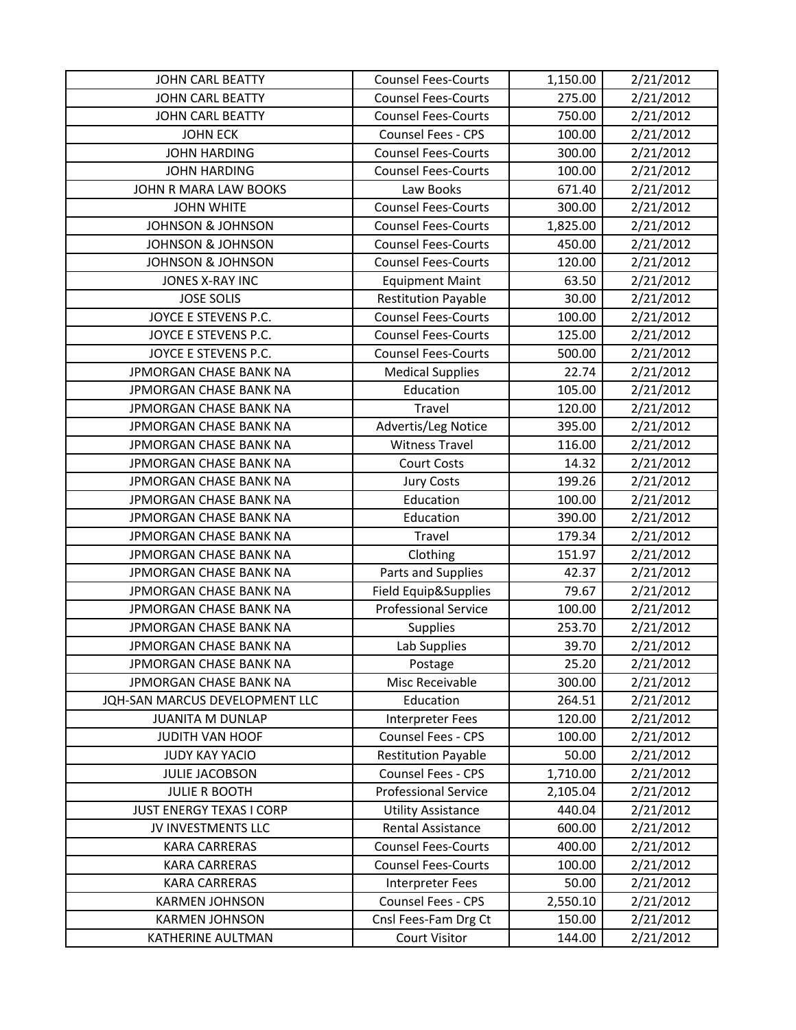| <b>JOHN CARL BEATTY</b>         | <b>Counsel Fees-Courts</b>  | 1,150.00 | 2/21/2012 |
|---------------------------------|-----------------------------|----------|-----------|
| <b>JOHN CARL BEATTY</b>         | <b>Counsel Fees-Courts</b>  | 275.00   | 2/21/2012 |
| <b>JOHN CARL BEATTY</b>         | <b>Counsel Fees-Courts</b>  | 750.00   | 2/21/2012 |
| <b>JOHN ECK</b>                 | Counsel Fees - CPS          | 100.00   | 2/21/2012 |
| <b>JOHN HARDING</b>             | <b>Counsel Fees-Courts</b>  | 300.00   | 2/21/2012 |
| <b>JOHN HARDING</b>             | <b>Counsel Fees-Courts</b>  | 100.00   | 2/21/2012 |
| JOHN R MARA LAW BOOKS           | Law Books                   | 671.40   | 2/21/2012 |
| <b>JOHN WHITE</b>               | <b>Counsel Fees-Courts</b>  | 300.00   | 2/21/2012 |
| <b>JOHNSON &amp; JOHNSON</b>    | <b>Counsel Fees-Courts</b>  | 1,825.00 | 2/21/2012 |
| <b>JOHNSON &amp; JOHNSON</b>    | <b>Counsel Fees-Courts</b>  | 450.00   | 2/21/2012 |
| <b>JOHNSON &amp; JOHNSON</b>    | <b>Counsel Fees-Courts</b>  | 120.00   | 2/21/2012 |
| JONES X-RAY INC                 | <b>Equipment Maint</b>      | 63.50    | 2/21/2012 |
| <b>JOSE SOLIS</b>               | <b>Restitution Payable</b>  | 30.00    | 2/21/2012 |
| JOYCE E STEVENS P.C.            | <b>Counsel Fees-Courts</b>  | 100.00   | 2/21/2012 |
| JOYCE E STEVENS P.C.            | <b>Counsel Fees-Courts</b>  | 125.00   | 2/21/2012 |
| JOYCE E STEVENS P.C.            | <b>Counsel Fees-Courts</b>  | 500.00   | 2/21/2012 |
| JPMORGAN CHASE BANK NA          | <b>Medical Supplies</b>     | 22.74    | 2/21/2012 |
| JPMORGAN CHASE BANK NA          | Education                   | 105.00   | 2/21/2012 |
| JPMORGAN CHASE BANK NA          | Travel                      | 120.00   | 2/21/2012 |
| JPMORGAN CHASE BANK NA          | Advertis/Leg Notice         | 395.00   | 2/21/2012 |
| JPMORGAN CHASE BANK NA          | <b>Witness Travel</b>       | 116.00   | 2/21/2012 |
| JPMORGAN CHASE BANK NA          | <b>Court Costs</b>          | 14.32    | 2/21/2012 |
| JPMORGAN CHASE BANK NA          | <b>Jury Costs</b>           | 199.26   | 2/21/2012 |
| JPMORGAN CHASE BANK NA          | Education                   | 100.00   | 2/21/2012 |
| JPMORGAN CHASE BANK NA          | Education                   | 390.00   | 2/21/2012 |
| JPMORGAN CHASE BANK NA          | Travel                      | 179.34   | 2/21/2012 |
| JPMORGAN CHASE BANK NA          | Clothing                    | 151.97   | 2/21/2012 |
| JPMORGAN CHASE BANK NA          | Parts and Supplies          | 42.37    | 2/21/2012 |
| JPMORGAN CHASE BANK NA          | Field Equip&Supplies        | 79.67    | 2/21/2012 |
| JPMORGAN CHASE BANK NA          | <b>Professional Service</b> | 100.00   | 2/21/2012 |
| JPMORGAN CHASE BANK NA          | Supplies                    | 253.70   | 2/21/2012 |
| JPMORGAN CHASE BANK NA          | Lab Supplies                | 39.70    | 2/21/2012 |
| JPMORGAN CHASE BANK NA          | Postage                     | 25.20    | 2/21/2012 |
| JPMORGAN CHASE BANK NA          | Misc Receivable             | 300.00   | 2/21/2012 |
| JQH-SAN MARCUS DEVELOPMENT LLC  | Education                   | 264.51   | 2/21/2012 |
| <b>JUANITA M DUNLAP</b>         | <b>Interpreter Fees</b>     | 120.00   | 2/21/2012 |
| JUDITH VAN HOOF                 | Counsel Fees - CPS          | 100.00   | 2/21/2012 |
| <b>JUDY KAY YACIO</b>           | <b>Restitution Payable</b>  | 50.00    | 2/21/2012 |
| <b>JULIE JACOBSON</b>           | Counsel Fees - CPS          | 1,710.00 | 2/21/2012 |
| <b>JULIE R BOOTH</b>            | <b>Professional Service</b> | 2,105.04 | 2/21/2012 |
| <b>JUST ENERGY TEXAS I CORP</b> | <b>Utility Assistance</b>   | 440.04   | 2/21/2012 |
| JV INVESTMENTS LLC              | Rental Assistance           | 600.00   | 2/21/2012 |
| <b>KARA CARRERAS</b>            | <b>Counsel Fees-Courts</b>  | 400.00   | 2/21/2012 |
| <b>KARA CARRERAS</b>            | <b>Counsel Fees-Courts</b>  | 100.00   | 2/21/2012 |
| <b>KARA CARRERAS</b>            | Interpreter Fees            | 50.00    | 2/21/2012 |
| <b>KARMEN JOHNSON</b>           | Counsel Fees - CPS          | 2,550.10 | 2/21/2012 |
| <b>KARMEN JOHNSON</b>           | Cnsl Fees-Fam Drg Ct        | 150.00   | 2/21/2012 |
| KATHERINE AULTMAN               | <b>Court Visitor</b>        | 144.00   | 2/21/2012 |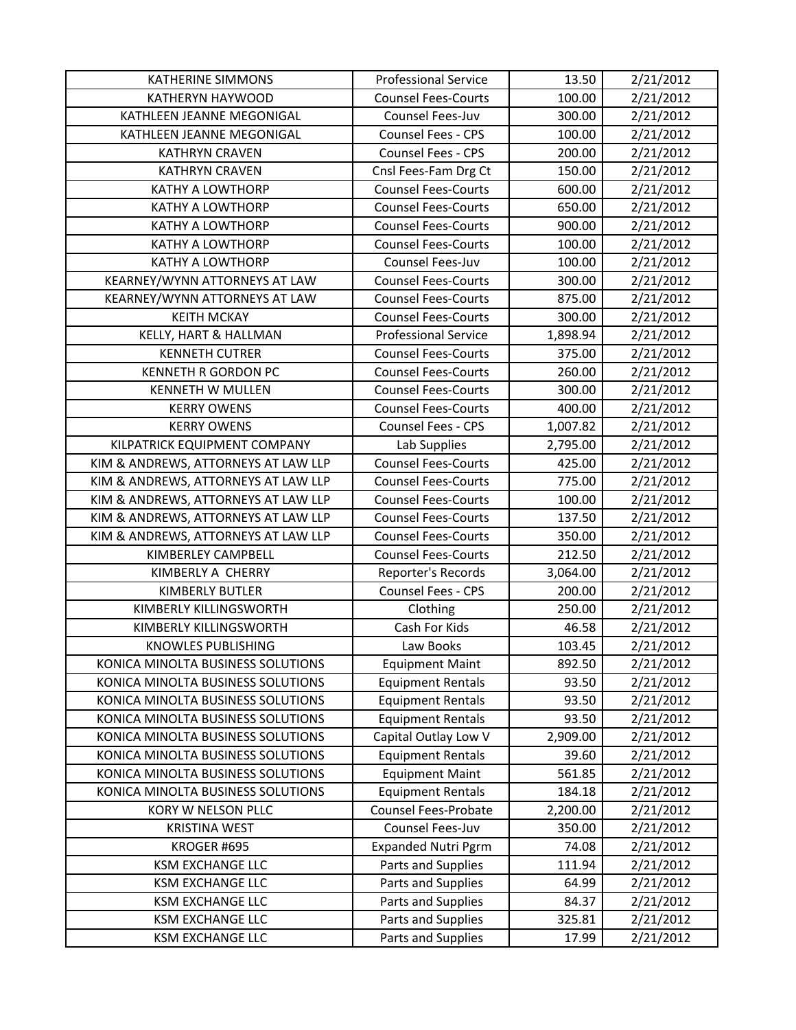| <b>KATHERINE SIMMONS</b>            | <b>Professional Service</b> | 13.50    | 2/21/2012 |
|-------------------------------------|-----------------------------|----------|-----------|
| KATHERYN HAYWOOD                    | <b>Counsel Fees-Courts</b>  | 100.00   | 2/21/2012 |
| KATHLEEN JEANNE MEGONIGAL           | Counsel Fees-Juv            | 300.00   | 2/21/2012 |
| KATHLEEN JEANNE MEGONIGAL           | Counsel Fees - CPS          | 100.00   | 2/21/2012 |
| <b>KATHRYN CRAVEN</b>               | Counsel Fees - CPS          | 200.00   | 2/21/2012 |
| <b>KATHRYN CRAVEN</b>               | Cnsl Fees-Fam Drg Ct        | 150.00   | 2/21/2012 |
| <b>KATHY A LOWTHORP</b>             | <b>Counsel Fees-Courts</b>  | 600.00   | 2/21/2012 |
| <b>KATHY A LOWTHORP</b>             | <b>Counsel Fees-Courts</b>  | 650.00   | 2/21/2012 |
| <b>KATHY A LOWTHORP</b>             | <b>Counsel Fees-Courts</b>  | 900.00   | 2/21/2012 |
| KATHY A LOWTHORP                    | <b>Counsel Fees-Courts</b>  | 100.00   | 2/21/2012 |
| <b>KATHY A LOWTHORP</b>             | Counsel Fees-Juv            | 100.00   | 2/21/2012 |
| KEARNEY/WYNN ATTORNEYS AT LAW       | <b>Counsel Fees-Courts</b>  | 300.00   | 2/21/2012 |
| KEARNEY/WYNN ATTORNEYS AT LAW       | <b>Counsel Fees-Courts</b>  | 875.00   | 2/21/2012 |
| <b>KEITH MCKAY</b>                  | <b>Counsel Fees-Courts</b>  | 300.00   | 2/21/2012 |
| KELLY, HART & HALLMAN               | <b>Professional Service</b> | 1,898.94 | 2/21/2012 |
| <b>KENNETH CUTRER</b>               | <b>Counsel Fees-Courts</b>  | 375.00   | 2/21/2012 |
| <b>KENNETH R GORDON PC</b>          | <b>Counsel Fees-Courts</b>  | 260.00   | 2/21/2012 |
| <b>KENNETH W MULLEN</b>             | <b>Counsel Fees-Courts</b>  | 300.00   | 2/21/2012 |
| <b>KERRY OWENS</b>                  | <b>Counsel Fees-Courts</b>  | 400.00   | 2/21/2012 |
| <b>KERRY OWENS</b>                  | Counsel Fees - CPS          | 1,007.82 | 2/21/2012 |
| KILPATRICK EQUIPMENT COMPANY        | Lab Supplies                | 2,795.00 | 2/21/2012 |
| KIM & ANDREWS, ATTORNEYS AT LAW LLP | Counsel Fees-Courts         | 425.00   | 2/21/2012 |
| KIM & ANDREWS, ATTORNEYS AT LAW LLP | <b>Counsel Fees-Courts</b>  | 775.00   | 2/21/2012 |
| KIM & ANDREWS, ATTORNEYS AT LAW LLP | <b>Counsel Fees-Courts</b>  | 100.00   | 2/21/2012 |
| KIM & ANDREWS, ATTORNEYS AT LAW LLP | <b>Counsel Fees-Courts</b>  | 137.50   | 2/21/2012 |
| KIM & ANDREWS, ATTORNEYS AT LAW LLP | <b>Counsel Fees-Courts</b>  | 350.00   | 2/21/2012 |
| KIMBERLEY CAMPBELL                  | <b>Counsel Fees-Courts</b>  | 212.50   | 2/21/2012 |
| KIMBERLY A CHERRY                   | Reporter's Records          | 3,064.00 | 2/21/2012 |
| KIMBERLY BUTLER                     | Counsel Fees - CPS          | 200.00   | 2/21/2012 |
| KIMBERLY KILLINGSWORTH              | Clothing                    | 250.00   | 2/21/2012 |
| KIMBERLY KILLINGSWORTH              | Cash For Kids               | 46.58    | 2/21/2012 |
| <b>KNOWLES PUBLISHING</b>           | Law Books                   | 103.45   | 2/21/2012 |
| KONICA MINOLTA BUSINESS SOLUTIONS   | <b>Equipment Maint</b>      | 892.50   | 2/21/2012 |
| KONICA MINOLTA BUSINESS SOLUTIONS   | <b>Equipment Rentals</b>    | 93.50    | 2/21/2012 |
| KONICA MINOLTA BUSINESS SOLUTIONS   | <b>Equipment Rentals</b>    | 93.50    | 2/21/2012 |
| KONICA MINOLTA BUSINESS SOLUTIONS   | <b>Equipment Rentals</b>    | 93.50    | 2/21/2012 |
| KONICA MINOLTA BUSINESS SOLUTIONS   | Capital Outlay Low V        | 2,909.00 | 2/21/2012 |
| KONICA MINOLTA BUSINESS SOLUTIONS   | <b>Equipment Rentals</b>    | 39.60    | 2/21/2012 |
| KONICA MINOLTA BUSINESS SOLUTIONS   | <b>Equipment Maint</b>      | 561.85   | 2/21/2012 |
| KONICA MINOLTA BUSINESS SOLUTIONS   | <b>Equipment Rentals</b>    | 184.18   | 2/21/2012 |
| KORY W NELSON PLLC                  | Counsel Fees-Probate        | 2,200.00 | 2/21/2012 |
| <b>KRISTINA WEST</b>                | Counsel Fees-Juv            | 350.00   | 2/21/2012 |
| KROGER #695                         | <b>Expanded Nutri Pgrm</b>  | 74.08    | 2/21/2012 |
| <b>KSM EXCHANGE LLC</b>             | Parts and Supplies          | 111.94   | 2/21/2012 |
| <b>KSM EXCHANGE LLC</b>             | Parts and Supplies          | 64.99    | 2/21/2012 |
| <b>KSM EXCHANGE LLC</b>             | Parts and Supplies          | 84.37    | 2/21/2012 |
| <b>KSM EXCHANGE LLC</b>             | Parts and Supplies          | 325.81   | 2/21/2012 |
| <b>KSM EXCHANGE LLC</b>             | Parts and Supplies          | 17.99    | 2/21/2012 |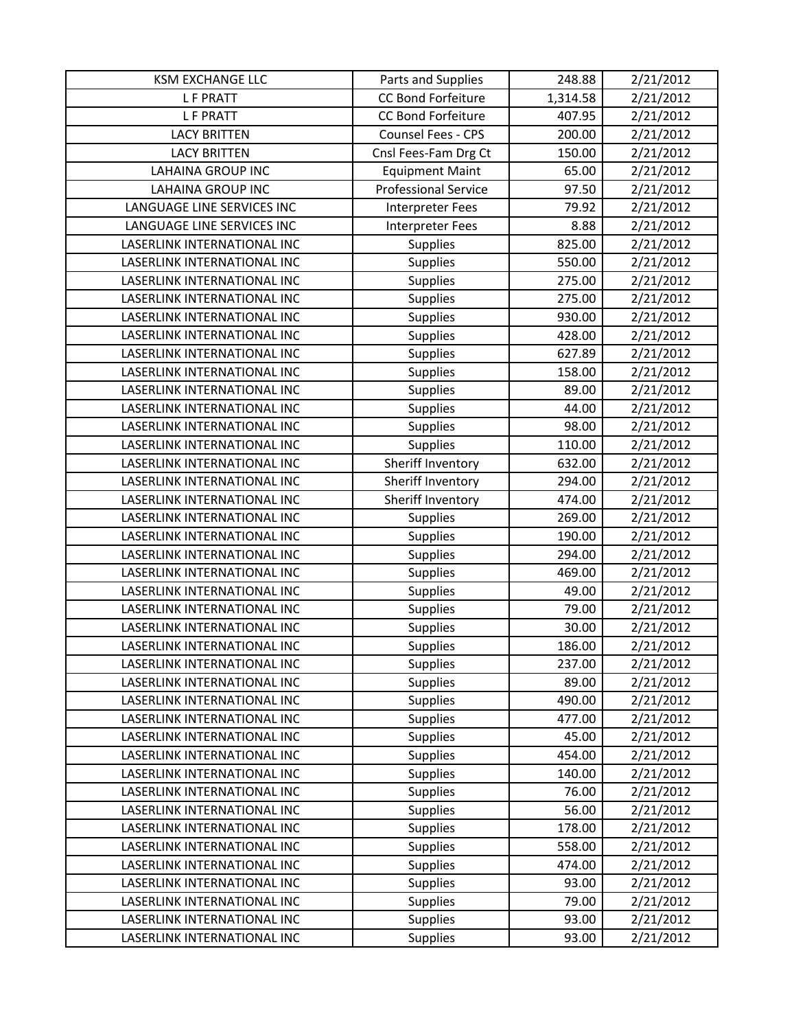| <b>KSM EXCHANGE LLC</b>     | Parts and Supplies          | 248.88   | 2/21/2012 |
|-----------------------------|-----------------------------|----------|-----------|
| <b>LF PRATT</b>             | <b>CC Bond Forfeiture</b>   | 1,314.58 | 2/21/2012 |
| <b>LF PRATT</b>             | <b>CC Bond Forfeiture</b>   | 407.95   | 2/21/2012 |
| <b>LACY BRITTEN</b>         | Counsel Fees - CPS          | 200.00   | 2/21/2012 |
| <b>LACY BRITTEN</b>         | Cnsl Fees-Fam Drg Ct        | 150.00   | 2/21/2012 |
| <b>LAHAINA GROUP INC</b>    | <b>Equipment Maint</b>      | 65.00    | 2/21/2012 |
| <b>LAHAINA GROUP INC</b>    | <b>Professional Service</b> | 97.50    | 2/21/2012 |
| LANGUAGE LINE SERVICES INC  | Interpreter Fees            | 79.92    | 2/21/2012 |
| LANGUAGE LINE SERVICES INC  | Interpreter Fees            | 8.88     | 2/21/2012 |
| LASERLINK INTERNATIONAL INC | Supplies                    | 825.00   | 2/21/2012 |
| LASERLINK INTERNATIONAL INC | Supplies                    | 550.00   | 2/21/2012 |
| LASERLINK INTERNATIONAL INC | <b>Supplies</b>             | 275.00   | 2/21/2012 |
| LASERLINK INTERNATIONAL INC | <b>Supplies</b>             | 275.00   | 2/21/2012 |
| LASERLINK INTERNATIONAL INC | Supplies                    | 930.00   | 2/21/2012 |
| LASERLINK INTERNATIONAL INC | Supplies                    | 428.00   | 2/21/2012 |
| LASERLINK INTERNATIONAL INC | Supplies                    | 627.89   | 2/21/2012 |
| LASERLINK INTERNATIONAL INC | Supplies                    | 158.00   | 2/21/2012 |
| LASERLINK INTERNATIONAL INC | Supplies                    | 89.00    | 2/21/2012 |
| LASERLINK INTERNATIONAL INC | Supplies                    | 44.00    | 2/21/2012 |
| LASERLINK INTERNATIONAL INC | Supplies                    | 98.00    | 2/21/2012 |
| LASERLINK INTERNATIONAL INC | <b>Supplies</b>             | 110.00   | 2/21/2012 |
| LASERLINK INTERNATIONAL INC | Sheriff Inventory           | 632.00   | 2/21/2012 |
| LASERLINK INTERNATIONAL INC | Sheriff Inventory           | 294.00   | 2/21/2012 |
| LASERLINK INTERNATIONAL INC | Sheriff Inventory           | 474.00   | 2/21/2012 |
| LASERLINK INTERNATIONAL INC | <b>Supplies</b>             | 269.00   | 2/21/2012 |
| LASERLINK INTERNATIONAL INC | Supplies                    | 190.00   | 2/21/2012 |
| LASERLINK INTERNATIONAL INC | <b>Supplies</b>             | 294.00   | 2/21/2012 |
| LASERLINK INTERNATIONAL INC | Supplies                    | 469.00   | 2/21/2012 |
| LASERLINK INTERNATIONAL INC | Supplies                    | 49.00    | 2/21/2012 |
| LASERLINK INTERNATIONAL INC | <b>Supplies</b>             | 79.00    | 2/21/2012 |
| LASERLINK INTERNATIONAL INC | Supplies                    | 30.00    | 2/21/2012 |
| LASERLINK INTERNATIONAL INC | Supplies                    | 186.00   | 2/21/2012 |
| LASERLINK INTERNATIONAL INC | <b>Supplies</b>             | 237.00   | 2/21/2012 |
| LASERLINK INTERNATIONAL INC | <b>Supplies</b>             | 89.00    | 2/21/2012 |
| LASERLINK INTERNATIONAL INC | <b>Supplies</b>             | 490.00   | 2/21/2012 |
| LASERLINK INTERNATIONAL INC | <b>Supplies</b>             | 477.00   | 2/21/2012 |
| LASERLINK INTERNATIONAL INC | <b>Supplies</b>             | 45.00    | 2/21/2012 |
| LASERLINK INTERNATIONAL INC | <b>Supplies</b>             | 454.00   | 2/21/2012 |
| LASERLINK INTERNATIONAL INC | <b>Supplies</b>             | 140.00   | 2/21/2012 |
| LASERLINK INTERNATIONAL INC | <b>Supplies</b>             | 76.00    | 2/21/2012 |
| LASERLINK INTERNATIONAL INC | Supplies                    | 56.00    | 2/21/2012 |
| LASERLINK INTERNATIONAL INC | <b>Supplies</b>             | 178.00   | 2/21/2012 |
| LASERLINK INTERNATIONAL INC | <b>Supplies</b>             | 558.00   | 2/21/2012 |
| LASERLINK INTERNATIONAL INC | <b>Supplies</b>             | 474.00   | 2/21/2012 |
| LASERLINK INTERNATIONAL INC | <b>Supplies</b>             | 93.00    | 2/21/2012 |
| LASERLINK INTERNATIONAL INC | <b>Supplies</b>             | 79.00    | 2/21/2012 |
| LASERLINK INTERNATIONAL INC | <b>Supplies</b>             | 93.00    | 2/21/2012 |
| LASERLINK INTERNATIONAL INC | <b>Supplies</b>             | 93.00    | 2/21/2012 |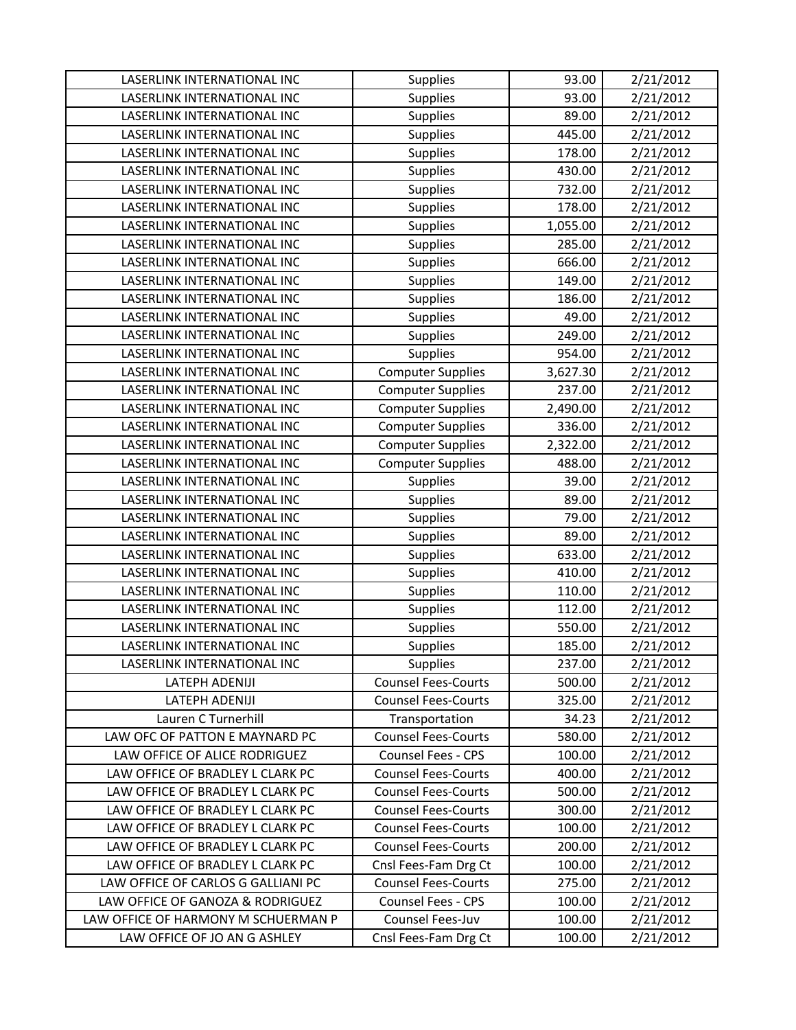| LASERLINK INTERNATIONAL INC         | Supplies                   | 93.00    | 2/21/2012 |
|-------------------------------------|----------------------------|----------|-----------|
| LASERLINK INTERNATIONAL INC         | <b>Supplies</b>            | 93.00    | 2/21/2012 |
| LASERLINK INTERNATIONAL INC         | <b>Supplies</b>            | 89.00    | 2/21/2012 |
| LASERLINK INTERNATIONAL INC         | Supplies                   | 445.00   | 2/21/2012 |
| LASERLINK INTERNATIONAL INC         | <b>Supplies</b>            | 178.00   | 2/21/2012 |
| LASERLINK INTERNATIONAL INC         | Supplies                   | 430.00   | 2/21/2012 |
| LASERLINK INTERNATIONAL INC         | Supplies                   | 732.00   | 2/21/2012 |
| LASERLINK INTERNATIONAL INC         | <b>Supplies</b>            | 178.00   | 2/21/2012 |
| LASERLINK INTERNATIONAL INC         | Supplies                   | 1,055.00 | 2/21/2012 |
| LASERLINK INTERNATIONAL INC         | Supplies                   | 285.00   | 2/21/2012 |
| LASERLINK INTERNATIONAL INC         | <b>Supplies</b>            | 666.00   | 2/21/2012 |
| LASERLINK INTERNATIONAL INC         | Supplies                   | 149.00   | 2/21/2012 |
| LASERLINK INTERNATIONAL INC         | Supplies                   | 186.00   | 2/21/2012 |
| LASERLINK INTERNATIONAL INC         | <b>Supplies</b>            | 49.00    | 2/21/2012 |
| LASERLINK INTERNATIONAL INC         | Supplies                   | 249.00   | 2/21/2012 |
| LASERLINK INTERNATIONAL INC         | Supplies                   | 954.00   | 2/21/2012 |
| LASERLINK INTERNATIONAL INC         | <b>Computer Supplies</b>   | 3,627.30 | 2/21/2012 |
| LASERLINK INTERNATIONAL INC         | <b>Computer Supplies</b>   | 237.00   | 2/21/2012 |
| LASERLINK INTERNATIONAL INC         | <b>Computer Supplies</b>   | 2,490.00 | 2/21/2012 |
| LASERLINK INTERNATIONAL INC         | <b>Computer Supplies</b>   | 336.00   | 2/21/2012 |
| LASERLINK INTERNATIONAL INC         | <b>Computer Supplies</b>   | 2,322.00 | 2/21/2012 |
| LASERLINK INTERNATIONAL INC         | <b>Computer Supplies</b>   | 488.00   | 2/21/2012 |
| LASERLINK INTERNATIONAL INC         | Supplies                   | 39.00    | 2/21/2012 |
| LASERLINK INTERNATIONAL INC         | Supplies                   | 89.00    | 2/21/2012 |
| LASERLINK INTERNATIONAL INC         | Supplies                   | 79.00    | 2/21/2012 |
| LASERLINK INTERNATIONAL INC         | Supplies                   | 89.00    | 2/21/2012 |
| LASERLINK INTERNATIONAL INC         | Supplies                   | 633.00   | 2/21/2012 |
| LASERLINK INTERNATIONAL INC         | Supplies                   | 410.00   | 2/21/2012 |
| LASERLINK INTERNATIONAL INC         | Supplies                   | 110.00   | 2/21/2012 |
| LASERLINK INTERNATIONAL INC         | <b>Supplies</b>            | 112.00   | 2/21/2012 |
| LASERLINK INTERNATIONAL INC         | <b>Supplies</b>            | 550.00   | 2/21/2012 |
| LASERLINK INTERNATIONAL INC         | Supplies                   | 185.00   | 2/21/2012 |
| LASERLINK INTERNATIONAL INC         | Supplies                   | 237.00   | 2/21/2012 |
| LATEPH ADENIJI                      | <b>Counsel Fees-Courts</b> | 500.00   | 2/21/2012 |
| LATEPH ADENIJI                      | <b>Counsel Fees-Courts</b> | 325.00   | 2/21/2012 |
| Lauren C Turnerhill                 | Transportation             | 34.23    | 2/21/2012 |
| LAW OFC OF PATTON E MAYNARD PC      | <b>Counsel Fees-Courts</b> | 580.00   | 2/21/2012 |
| LAW OFFICE OF ALICE RODRIGUEZ       | <b>Counsel Fees - CPS</b>  | 100.00   | 2/21/2012 |
| LAW OFFICE OF BRADLEY L CLARK PC    | <b>Counsel Fees-Courts</b> | 400.00   | 2/21/2012 |
| LAW OFFICE OF BRADLEY L CLARK PC    | <b>Counsel Fees-Courts</b> | 500.00   | 2/21/2012 |
| LAW OFFICE OF BRADLEY L CLARK PC    | <b>Counsel Fees-Courts</b> | 300.00   | 2/21/2012 |
| LAW OFFICE OF BRADLEY L CLARK PC    | <b>Counsel Fees-Courts</b> | 100.00   | 2/21/2012 |
| LAW OFFICE OF BRADLEY L CLARK PC    | <b>Counsel Fees-Courts</b> | 200.00   | 2/21/2012 |
| LAW OFFICE OF BRADLEY L CLARK PC    | Cnsl Fees-Fam Drg Ct       | 100.00   | 2/21/2012 |
| LAW OFFICE OF CARLOS G GALLIANI PC  | <b>Counsel Fees-Courts</b> | 275.00   | 2/21/2012 |
| LAW OFFICE OF GANOZA & RODRIGUEZ    | Counsel Fees - CPS         | 100.00   | 2/21/2012 |
| LAW OFFICE OF HARMONY M SCHUERMAN P | Counsel Fees-Juv           | 100.00   | 2/21/2012 |
| LAW OFFICE OF JO AN G ASHLEY        | Cnsl Fees-Fam Drg Ct       | 100.00   | 2/21/2012 |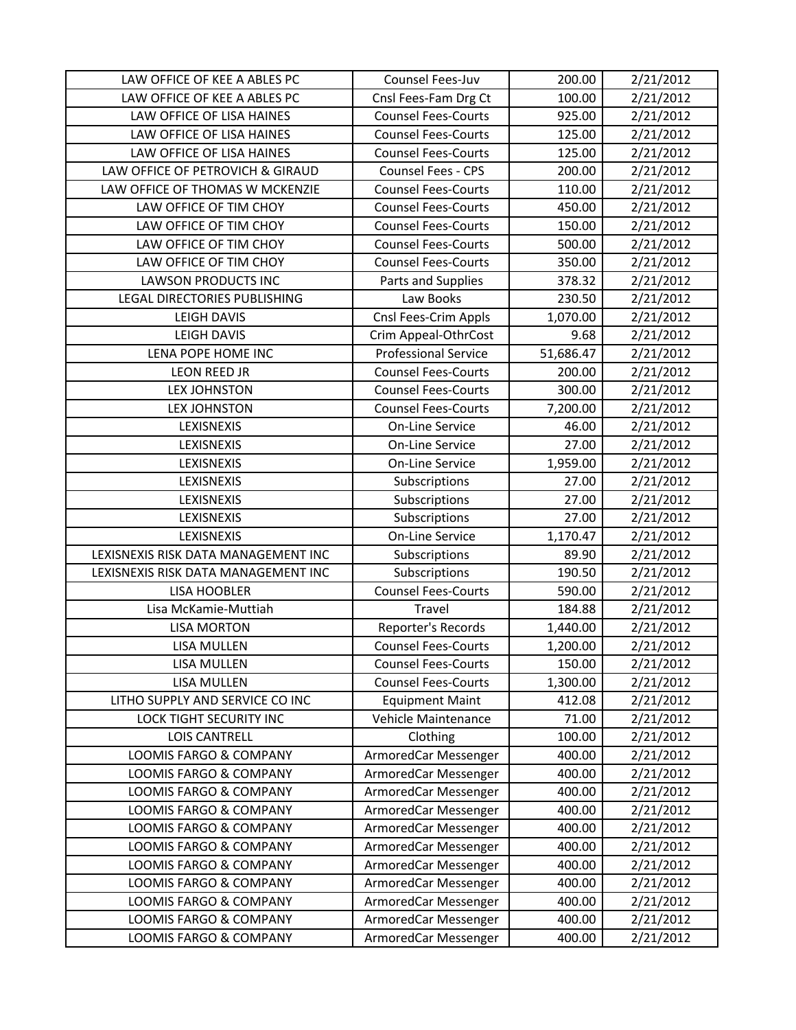| LAW OFFICE OF KEE A ABLES PC        | Counsel Fees-Juv            | 200.00    | 2/21/2012 |
|-------------------------------------|-----------------------------|-----------|-----------|
| LAW OFFICE OF KEE A ABLES PC        | Cnsl Fees-Fam Drg Ct        | 100.00    | 2/21/2012 |
| LAW OFFICE OF LISA HAINES           | <b>Counsel Fees-Courts</b>  | 925.00    | 2/21/2012 |
| LAW OFFICE OF LISA HAINES           | <b>Counsel Fees-Courts</b>  | 125.00    | 2/21/2012 |
| LAW OFFICE OF LISA HAINES           | <b>Counsel Fees-Courts</b>  | 125.00    | 2/21/2012 |
| LAW OFFICE OF PETROVICH & GIRAUD    | <b>Counsel Fees - CPS</b>   | 200.00    | 2/21/2012 |
| LAW OFFICE OF THOMAS W MCKENZIE     | <b>Counsel Fees-Courts</b>  | 110.00    | 2/21/2012 |
| LAW OFFICE OF TIM CHOY              | <b>Counsel Fees-Courts</b>  | 450.00    | 2/21/2012 |
| LAW OFFICE OF TIM CHOY              | <b>Counsel Fees-Courts</b>  | 150.00    | 2/21/2012 |
| LAW OFFICE OF TIM CHOY              | <b>Counsel Fees-Courts</b>  | 500.00    | 2/21/2012 |
| LAW OFFICE OF TIM CHOY              | <b>Counsel Fees-Courts</b>  | 350.00    | 2/21/2012 |
| <b>LAWSON PRODUCTS INC</b>          | Parts and Supplies          | 378.32    | 2/21/2012 |
| LEGAL DIRECTORIES PUBLISHING        | Law Books                   | 230.50    | 2/21/2012 |
| <b>LEIGH DAVIS</b>                  | Cnsl Fees-Crim Appls        | 1,070.00  | 2/21/2012 |
| <b>LEIGH DAVIS</b>                  | Crim Appeal-OthrCost        | 9.68      | 2/21/2012 |
| LENA POPE HOME INC                  | <b>Professional Service</b> | 51,686.47 | 2/21/2012 |
| <b>LEON REED JR</b>                 | <b>Counsel Fees-Courts</b>  | 200.00    | 2/21/2012 |
| <b>LEX JOHNSTON</b>                 | <b>Counsel Fees-Courts</b>  | 300.00    | 2/21/2012 |
| <b>LEX JOHNSTON</b>                 | <b>Counsel Fees-Courts</b>  | 7,200.00  | 2/21/2012 |
| LEXISNEXIS                          | <b>On-Line Service</b>      | 46.00     | 2/21/2012 |
| LEXISNEXIS                          | On-Line Service             | 27.00     | 2/21/2012 |
| LEXISNEXIS                          | On-Line Service             | 1,959.00  | 2/21/2012 |
| LEXISNEXIS                          | Subscriptions               | 27.00     | 2/21/2012 |
| LEXISNEXIS                          | Subscriptions               | 27.00     | 2/21/2012 |
| LEXISNEXIS                          | Subscriptions               | 27.00     | 2/21/2012 |
| LEXISNEXIS                          | <b>On-Line Service</b>      | 1,170.47  | 2/21/2012 |
| LEXISNEXIS RISK DATA MANAGEMENT INC | Subscriptions               | 89.90     | 2/21/2012 |
| LEXISNEXIS RISK DATA MANAGEMENT INC | Subscriptions               | 190.50    | 2/21/2012 |
| <b>LISA HOOBLER</b>                 | <b>Counsel Fees-Courts</b>  | 590.00    | 2/21/2012 |
| Lisa McKamie-Muttiah                | Travel                      | 184.88    | 2/21/2012 |
| <b>LISA MORTON</b>                  | Reporter's Records          | 1,440.00  | 2/21/2012 |
| <b>LISA MULLEN</b>                  | <b>Counsel Fees-Courts</b>  | 1,200.00  | 2/21/2012 |
| LISA MULLEN                         | <b>Counsel Fees-Courts</b>  | 150.00    | 2/21/2012 |
| LISA MULLEN                         | <b>Counsel Fees-Courts</b>  | 1,300.00  | 2/21/2012 |
| LITHO SUPPLY AND SERVICE CO INC     | <b>Equipment Maint</b>      | 412.08    | 2/21/2012 |
| LOCK TIGHT SECURITY INC             | Vehicle Maintenance         | 71.00     | 2/21/2012 |
| <b>LOIS CANTRELL</b>                | Clothing                    | 100.00    | 2/21/2012 |
| <b>LOOMIS FARGO &amp; COMPANY</b>   | ArmoredCar Messenger        |           | 2/21/2012 |
|                                     |                             | 400.00    |           |
| <b>LOOMIS FARGO &amp; COMPANY</b>   | ArmoredCar Messenger        | 400.00    | 2/21/2012 |
| LOOMIS FARGO & COMPANY              | ArmoredCar Messenger        | 400.00    | 2/21/2012 |
| LOOMIS FARGO & COMPANY              | ArmoredCar Messenger        | 400.00    | 2/21/2012 |
| LOOMIS FARGO & COMPANY              | ArmoredCar Messenger        | 400.00    | 2/21/2012 |
| LOOMIS FARGO & COMPANY              | ArmoredCar Messenger        | 400.00    | 2/21/2012 |
| LOOMIS FARGO & COMPANY              | ArmoredCar Messenger        | 400.00    | 2/21/2012 |
| LOOMIS FARGO & COMPANY              | ArmoredCar Messenger        | 400.00    | 2/21/2012 |
| LOOMIS FARGO & COMPANY              | ArmoredCar Messenger        | 400.00    | 2/21/2012 |
| LOOMIS FARGO & COMPANY              | ArmoredCar Messenger        | 400.00    | 2/21/2012 |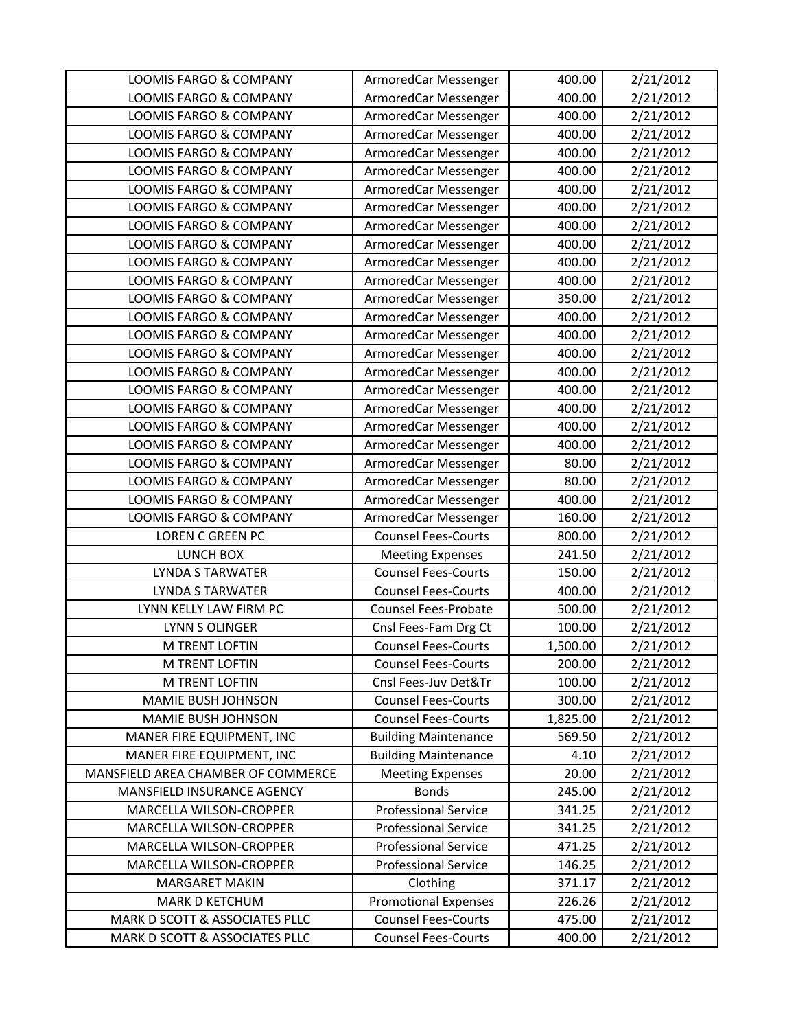| <b>LOOMIS FARGO &amp; COMPANY</b>  | ArmoredCar Messenger        | 400.00   | 2/21/2012 |
|------------------------------------|-----------------------------|----------|-----------|
| <b>LOOMIS FARGO &amp; COMPANY</b>  | ArmoredCar Messenger        | 400.00   | 2/21/2012 |
| <b>LOOMIS FARGO &amp; COMPANY</b>  | ArmoredCar Messenger        | 400.00   | 2/21/2012 |
| <b>LOOMIS FARGO &amp; COMPANY</b>  | ArmoredCar Messenger        | 400.00   | 2/21/2012 |
| <b>LOOMIS FARGO &amp; COMPANY</b>  | ArmoredCar Messenger        | 400.00   | 2/21/2012 |
| <b>LOOMIS FARGO &amp; COMPANY</b>  | ArmoredCar Messenger        | 400.00   | 2/21/2012 |
| <b>LOOMIS FARGO &amp; COMPANY</b>  | ArmoredCar Messenger        | 400.00   | 2/21/2012 |
| <b>LOOMIS FARGO &amp; COMPANY</b>  | ArmoredCar Messenger        | 400.00   | 2/21/2012 |
| <b>LOOMIS FARGO &amp; COMPANY</b>  | ArmoredCar Messenger        | 400.00   | 2/21/2012 |
| <b>LOOMIS FARGO &amp; COMPANY</b>  | ArmoredCar Messenger        | 400.00   | 2/21/2012 |
| LOOMIS FARGO & COMPANY             | ArmoredCar Messenger        | 400.00   | 2/21/2012 |
| <b>LOOMIS FARGO &amp; COMPANY</b>  | ArmoredCar Messenger        | 400.00   | 2/21/2012 |
| <b>LOOMIS FARGO &amp; COMPANY</b>  | ArmoredCar Messenger        | 350.00   | 2/21/2012 |
| <b>LOOMIS FARGO &amp; COMPANY</b>  | ArmoredCar Messenger        | 400.00   | 2/21/2012 |
| <b>LOOMIS FARGO &amp; COMPANY</b>  | ArmoredCar Messenger        | 400.00   | 2/21/2012 |
| LOOMIS FARGO & COMPANY             | ArmoredCar Messenger        | 400.00   | 2/21/2012 |
| <b>LOOMIS FARGO &amp; COMPANY</b>  | ArmoredCar Messenger        | 400.00   | 2/21/2012 |
| <b>LOOMIS FARGO &amp; COMPANY</b>  | ArmoredCar Messenger        | 400.00   | 2/21/2012 |
| <b>LOOMIS FARGO &amp; COMPANY</b>  | ArmoredCar Messenger        | 400.00   | 2/21/2012 |
| LOOMIS FARGO & COMPANY             | ArmoredCar Messenger        | 400.00   | 2/21/2012 |
| <b>LOOMIS FARGO &amp; COMPANY</b>  | ArmoredCar Messenger        | 400.00   | 2/21/2012 |
| LOOMIS FARGO & COMPANY             | ArmoredCar Messenger        | 80.00    | 2/21/2012 |
| <b>LOOMIS FARGO &amp; COMPANY</b>  | ArmoredCar Messenger        | 80.00    | 2/21/2012 |
| <b>LOOMIS FARGO &amp; COMPANY</b>  | ArmoredCar Messenger        | 400.00   | 2/21/2012 |
| LOOMIS FARGO & COMPANY             | ArmoredCar Messenger        | 160.00   | 2/21/2012 |
| <b>LOREN C GREEN PC</b>            | <b>Counsel Fees-Courts</b>  | 800.00   | 2/21/2012 |
| LUNCH BOX                          | <b>Meeting Expenses</b>     | 241.50   | 2/21/2012 |
| <b>LYNDA S TARWATER</b>            | <b>Counsel Fees-Courts</b>  | 150.00   | 2/21/2012 |
| <b>LYNDA S TARWATER</b>            | <b>Counsel Fees-Courts</b>  | 400.00   | 2/21/2012 |
| LYNN KELLY LAW FIRM PC             | <b>Counsel Fees-Probate</b> | 500.00   | 2/21/2012 |
| <b>LYNN S OLINGER</b>              | Cnsl Fees-Fam Drg Ct        | 100.00   | 2/21/2012 |
| <b>M TRENT LOFTIN</b>              | <b>Counsel Fees-Courts</b>  | 1,500.00 | 2/21/2012 |
| <b>M TRENT LOFTIN</b>              | <b>Counsel Fees-Courts</b>  | 200.00   | 2/21/2012 |
| M TRENT LOFTIN                     | Cnsl Fees-Juv Det&Tr        | 100.00   | 2/21/2012 |
| <b>MAMIE BUSH JOHNSON</b>          | <b>Counsel Fees-Courts</b>  | 300.00   | 2/21/2012 |
| MAMIE BUSH JOHNSON                 | <b>Counsel Fees-Courts</b>  | 1,825.00 | 2/21/2012 |
| MANER FIRE EQUIPMENT, INC          | <b>Building Maintenance</b> | 569.50   | 2/21/2012 |
| MANER FIRE EQUIPMENT, INC          | <b>Building Maintenance</b> | 4.10     | 2/21/2012 |
| MANSFIELD AREA CHAMBER OF COMMERCE | <b>Meeting Expenses</b>     | 20.00    | 2/21/2012 |
| MANSFIELD INSURANCE AGENCY         | <b>Bonds</b>                | 245.00   | 2/21/2012 |
| MARCELLA WILSON-CROPPER            | <b>Professional Service</b> | 341.25   | 2/21/2012 |
| MARCELLA WILSON-CROPPER            | <b>Professional Service</b> | 341.25   | 2/21/2012 |
| MARCELLA WILSON-CROPPER            | <b>Professional Service</b> | 471.25   | 2/21/2012 |
| MARCELLA WILSON-CROPPER            | <b>Professional Service</b> | 146.25   | 2/21/2012 |
| <b>MARGARET MAKIN</b>              | Clothing                    | 371.17   | 2/21/2012 |
| <b>MARK D KETCHUM</b>              | <b>Promotional Expenses</b> | 226.26   | 2/21/2012 |
| MARK D SCOTT & ASSOCIATES PLLC     | <b>Counsel Fees-Courts</b>  | 475.00   | 2/21/2012 |
| MARK D SCOTT & ASSOCIATES PLLC     | <b>Counsel Fees-Courts</b>  | 400.00   | 2/21/2012 |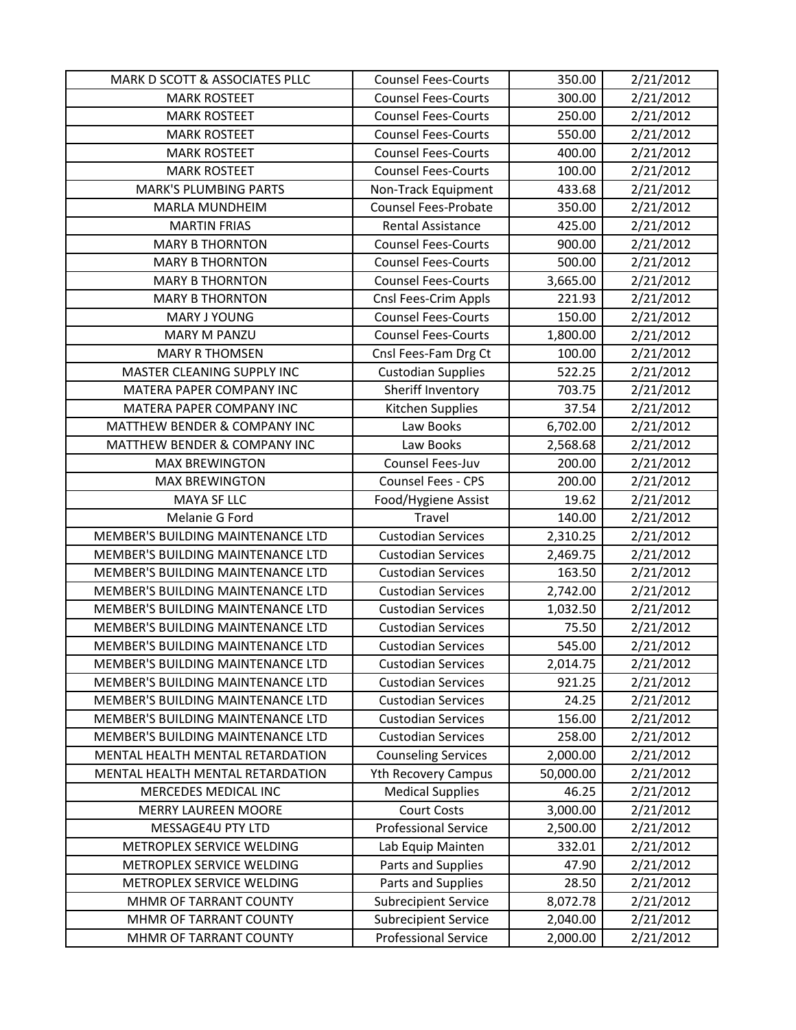| MARK D SCOTT & ASSOCIATES PLLC    | <b>Counsel Fees-Courts</b>                                 | 350.00    | 2/21/2012 |
|-----------------------------------|------------------------------------------------------------|-----------|-----------|
| <b>MARK ROSTEET</b>               | <b>Counsel Fees-Courts</b>                                 | 300.00    | 2/21/2012 |
| <b>MARK ROSTEET</b>               | <b>Counsel Fees-Courts</b>                                 | 250.00    | 2/21/2012 |
| <b>MARK ROSTEET</b>               | <b>Counsel Fees-Courts</b>                                 | 550.00    | 2/21/2012 |
| <b>MARK ROSTEET</b>               | <b>Counsel Fees-Courts</b>                                 | 400.00    | 2/21/2012 |
| <b>MARK ROSTEET</b>               | <b>Counsel Fees-Courts</b>                                 | 100.00    | 2/21/2012 |
| <b>MARK'S PLUMBING PARTS</b>      | Non-Track Equipment                                        | 433.68    | 2/21/2012 |
| <b>MARLA MUNDHEIM</b>             | <b>Counsel Fees-Probate</b>                                | 350.00    | 2/21/2012 |
| <b>MARTIN FRIAS</b>               | Rental Assistance                                          | 425.00    | 2/21/2012 |
| <b>MARY B THORNTON</b>            | <b>Counsel Fees-Courts</b>                                 | 900.00    | 2/21/2012 |
| <b>MARY B THORNTON</b>            | <b>Counsel Fees-Courts</b>                                 | 500.00    | 2/21/2012 |
| <b>MARY B THORNTON</b>            | <b>Counsel Fees-Courts</b>                                 | 3,665.00  | 2/21/2012 |
| <b>MARY B THORNTON</b>            | Cnsl Fees-Crim Appls                                       | 221.93    | 2/21/2012 |
| MARY J YOUNG                      | <b>Counsel Fees-Courts</b>                                 | 150.00    | 2/21/2012 |
| <b>MARY M PANZU</b>               | <b>Counsel Fees-Courts</b>                                 | 1,800.00  | 2/21/2012 |
| <b>MARY R THOMSEN</b>             | Cnsl Fees-Fam Drg Ct                                       | 100.00    | 2/21/2012 |
| <b>MASTER CLEANING SUPPLY INC</b> | <b>Custodian Supplies</b>                                  | 522.25    | 2/21/2012 |
| MATERA PAPER COMPANY INC          | Sheriff Inventory                                          | 703.75    | 2/21/2012 |
| MATERA PAPER COMPANY INC          | Kitchen Supplies                                           | 37.54     | 2/21/2012 |
| MATTHEW BENDER & COMPANY INC      | Law Books                                                  | 6,702.00  | 2/21/2012 |
| MATTHEW BENDER & COMPANY INC      | Law Books                                                  | 2,568.68  | 2/21/2012 |
| <b>MAX BREWINGTON</b>             | Counsel Fees-Juv                                           | 200.00    | 2/21/2012 |
| <b>MAX BREWINGTON</b>             | Counsel Fees - CPS                                         | 200.00    | 2/21/2012 |
| MAYA SF LLC                       | Food/Hygiene Assist                                        | 19.62     | 2/21/2012 |
|                                   |                                                            |           |           |
| Melanie G Ford                    | Travel                                                     | 140.00    | 2/21/2012 |
| MEMBER'S BUILDING MAINTENANCE LTD | <b>Custodian Services</b>                                  | 2,310.25  | 2/21/2012 |
| MEMBER'S BUILDING MAINTENANCE LTD | <b>Custodian Services</b>                                  | 2,469.75  | 2/21/2012 |
| MEMBER'S BUILDING MAINTENANCE LTD | <b>Custodian Services</b>                                  | 163.50    | 2/21/2012 |
| MEMBER'S BUILDING MAINTENANCE LTD | <b>Custodian Services</b>                                  | 2,742.00  | 2/21/2012 |
| MEMBER'S BUILDING MAINTENANCE LTD | <b>Custodian Services</b>                                  | 1,032.50  | 2/21/2012 |
| MEMBER'S BUILDING MAINTENANCE LTD | <b>Custodian Services</b>                                  | 75.50     | 2/21/2012 |
| MEMBER'S BUILDING MAINTENANCE LTD | <b>Custodian Services</b>                                  | 545.00    | 2/21/2012 |
| MEMBER'S BUILDING MAINTENANCE LTD | <b>Custodian Services</b>                                  | 2,014.75  | 2/21/2012 |
| MEMBER'S BUILDING MAINTENANCE LTD | <b>Custodian Services</b>                                  | 921.25    | 2/21/2012 |
| MEMBER'S BUILDING MAINTENANCE LTD | <b>Custodian Services</b>                                  | 24.25     | 2/21/2012 |
| MEMBER'S BUILDING MAINTENANCE LTD | <b>Custodian Services</b>                                  | 156.00    | 2/21/2012 |
| MEMBER'S BUILDING MAINTENANCE LTD | <b>Custodian Services</b>                                  | 258.00    | 2/21/2012 |
| MENTAL HEALTH MENTAL RETARDATION  | <b>Counseling Services</b>                                 | 2,000.00  | 2/21/2012 |
| MENTAL HEALTH MENTAL RETARDATION  | <b>Yth Recovery Campus</b>                                 | 50,000.00 | 2/21/2012 |
| MERCEDES MEDICAL INC              | <b>Medical Supplies</b>                                    | 46.25     | 2/21/2012 |
| <b>MERRY LAUREEN MOORE</b>        | <b>Court Costs</b>                                         | 3,000.00  | 2/21/2012 |
| MESSAGE4U PTY LTD                 | <b>Professional Service</b>                                | 2,500.00  | 2/21/2012 |
| METROPLEX SERVICE WELDING         | Lab Equip Mainten                                          | 332.01    | 2/21/2012 |
| METROPLEX SERVICE WELDING         | Parts and Supplies                                         | 47.90     | 2/21/2012 |
| METROPLEX SERVICE WELDING         | Parts and Supplies                                         | 28.50     | 2/21/2012 |
| MHMR OF TARRANT COUNTY            | <b>Subrecipient Service</b>                                | 8,072.78  | 2/21/2012 |
| MHMR OF TARRANT COUNTY            | <b>Subrecipient Service</b><br><b>Professional Service</b> | 2,040.00  | 2/21/2012 |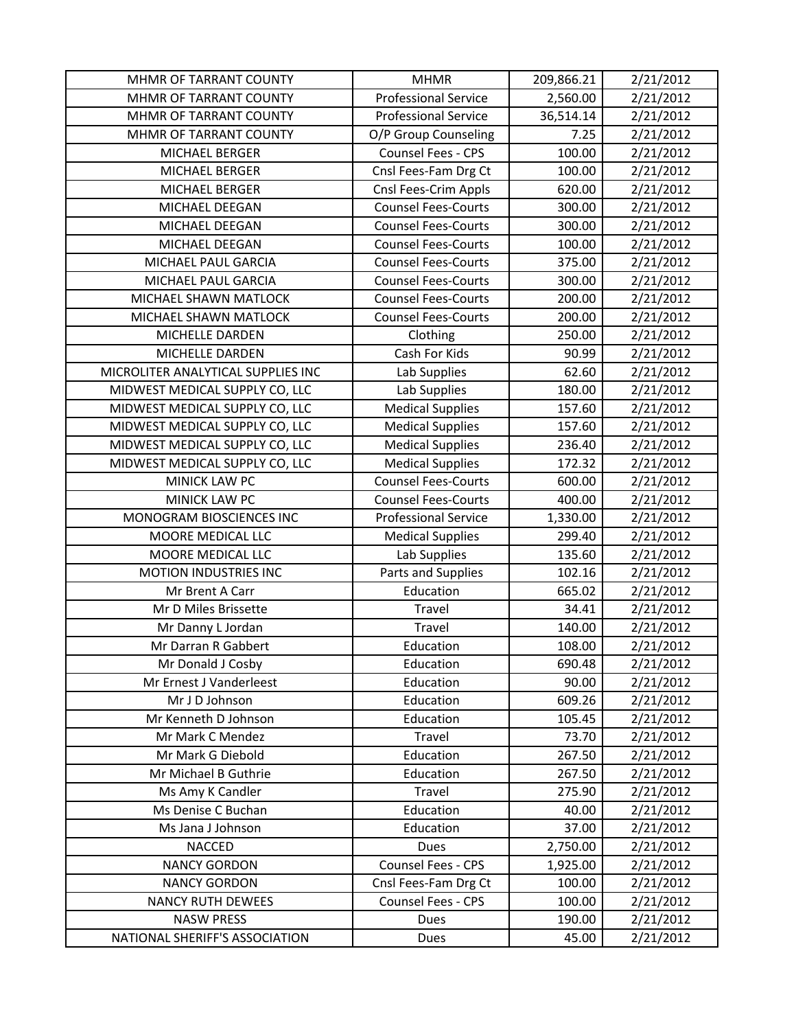| MHMR OF TARRANT COUNTY             | <b>MHMR</b>                 | 209,866.21 | 2/21/2012 |
|------------------------------------|-----------------------------|------------|-----------|
| MHMR OF TARRANT COUNTY             | <b>Professional Service</b> | 2,560.00   | 2/21/2012 |
| MHMR OF TARRANT COUNTY             | <b>Professional Service</b> | 36,514.14  | 2/21/2012 |
| MHMR OF TARRANT COUNTY             | O/P Group Counseling        | 7.25       | 2/21/2012 |
| MICHAEL BERGER                     | Counsel Fees - CPS          | 100.00     | 2/21/2012 |
| <b>MICHAEL BERGER</b>              | Cnsl Fees-Fam Drg Ct        | 100.00     | 2/21/2012 |
| MICHAEL BERGER                     | Cnsl Fees-Crim Appls        | 620.00     | 2/21/2012 |
| MICHAEL DEEGAN                     | <b>Counsel Fees-Courts</b>  | 300.00     | 2/21/2012 |
| MICHAEL DEEGAN                     | <b>Counsel Fees-Courts</b>  | 300.00     | 2/21/2012 |
| MICHAEL DEEGAN                     | <b>Counsel Fees-Courts</b>  | 100.00     | 2/21/2012 |
| MICHAEL PAUL GARCIA                | <b>Counsel Fees-Courts</b>  | 375.00     | 2/21/2012 |
| MICHAEL PAUL GARCIA                | <b>Counsel Fees-Courts</b>  | 300.00     | 2/21/2012 |
| MICHAEL SHAWN MATLOCK              | <b>Counsel Fees-Courts</b>  | 200.00     | 2/21/2012 |
| MICHAEL SHAWN MATLOCK              | <b>Counsel Fees-Courts</b>  | 200.00     | 2/21/2012 |
| MICHELLE DARDEN                    | Clothing                    | 250.00     | 2/21/2012 |
| MICHELLE DARDEN                    | Cash For Kids               | 90.99      | 2/21/2012 |
| MICROLITER ANALYTICAL SUPPLIES INC | Lab Supplies                | 62.60      | 2/21/2012 |
| MIDWEST MEDICAL SUPPLY CO, LLC     | Lab Supplies                | 180.00     | 2/21/2012 |
| MIDWEST MEDICAL SUPPLY CO, LLC     | <b>Medical Supplies</b>     | 157.60     | 2/21/2012 |
| MIDWEST MEDICAL SUPPLY CO, LLC     | <b>Medical Supplies</b>     | 157.60     | 2/21/2012 |
| MIDWEST MEDICAL SUPPLY CO, LLC     | <b>Medical Supplies</b>     | 236.40     | 2/21/2012 |
| MIDWEST MEDICAL SUPPLY CO, LLC     | <b>Medical Supplies</b>     | 172.32     | 2/21/2012 |
| <b>MINICK LAW PC</b>               | <b>Counsel Fees-Courts</b>  | 600.00     | 2/21/2012 |
| <b>MINICK LAW PC</b>               | <b>Counsel Fees-Courts</b>  | 400.00     | 2/21/2012 |
| MONOGRAM BIOSCIENCES INC           | <b>Professional Service</b> | 1,330.00   | 2/21/2012 |
| MOORE MEDICAL LLC                  | <b>Medical Supplies</b>     | 299.40     | 2/21/2012 |
| MOORE MEDICAL LLC                  | Lab Supplies                | 135.60     | 2/21/2012 |
| <b>MOTION INDUSTRIES INC</b>       | Parts and Supplies          | 102.16     | 2/21/2012 |
| Mr Brent A Carr                    | Education                   | 665.02     | 2/21/2012 |
| Mr D Miles Brissette               | Travel                      | 34.41      | 2/21/2012 |
| Mr Danny L Jordan                  | Travel                      | 140.00     | 2/21/2012 |
| Mr Darran R Gabbert                | Education                   | 108.00     | 2/21/2012 |
| Mr Donald J Cosby                  | Education                   | 690.48     | 2/21/2012 |
| Mr Ernest J Vanderleest            | Education                   | 90.00      | 2/21/2012 |
| Mr J D Johnson                     | Education                   | 609.26     | 2/21/2012 |
| Mr Kenneth D Johnson               | Education                   | 105.45     | 2/21/2012 |
| Mr Mark C Mendez                   | Travel                      | 73.70      | 2/21/2012 |
| Mr Mark G Diebold                  | Education                   | 267.50     | 2/21/2012 |
| Mr Michael B Guthrie               | Education                   | 267.50     | 2/21/2012 |
| Ms Amy K Candler                   | Travel                      | 275.90     | 2/21/2012 |
| Ms Denise C Buchan                 | Education                   | 40.00      | 2/21/2012 |
| Ms Jana J Johnson                  | Education                   | 37.00      | 2/21/2012 |
| <b>NACCED</b>                      | Dues                        | 2,750.00   | 2/21/2012 |
| <b>NANCY GORDON</b>                | Counsel Fees - CPS          | 1,925.00   | 2/21/2012 |
| <b>NANCY GORDON</b>                | Cnsl Fees-Fam Drg Ct        | 100.00     | 2/21/2012 |
| <b>NANCY RUTH DEWEES</b>           | Counsel Fees - CPS          | 100.00     | 2/21/2012 |
| <b>NASW PRESS</b>                  | Dues                        | 190.00     | 2/21/2012 |
| NATIONAL SHERIFF'S ASSOCIATION     | Dues                        | 45.00      | 2/21/2012 |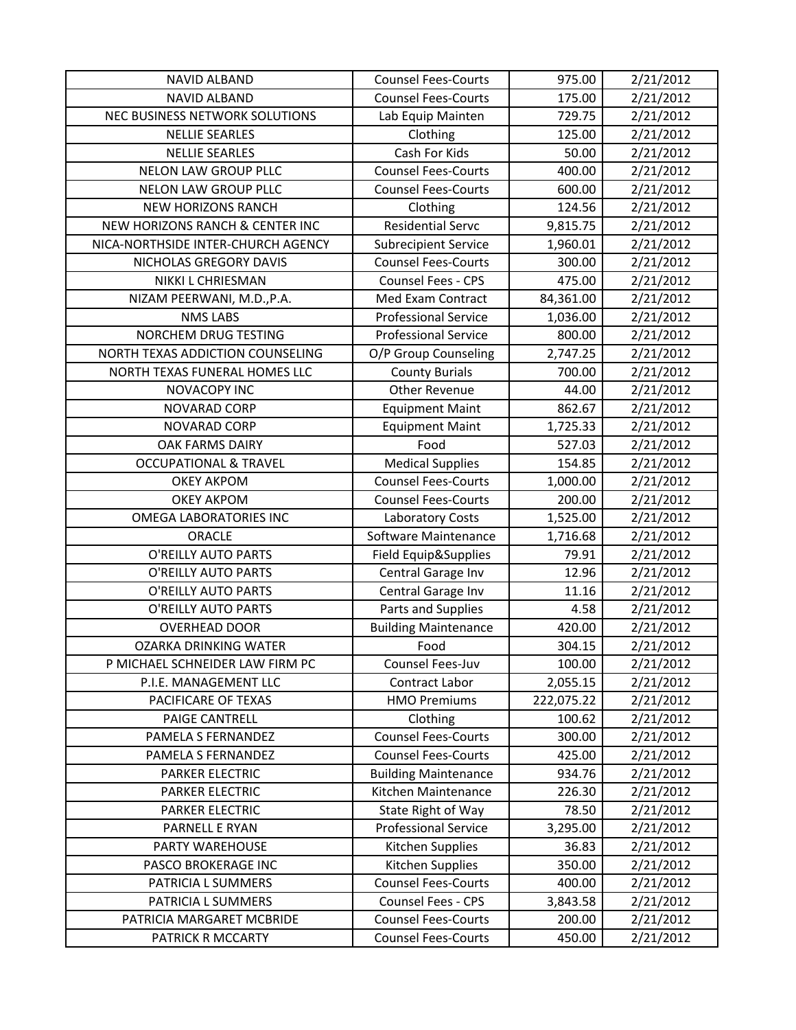| <b>NAVID ALBAND</b>                | <b>Counsel Fees-Courts</b>  | 975.00     | 2/21/2012 |
|------------------------------------|-----------------------------|------------|-----------|
| <b>NAVID ALBAND</b>                | <b>Counsel Fees-Courts</b>  | 175.00     | 2/21/2012 |
| NEC BUSINESS NETWORK SOLUTIONS     | Lab Equip Mainten           | 729.75     | 2/21/2012 |
| <b>NELLIE SEARLES</b>              | Clothing                    | 125.00     | 2/21/2012 |
| <b>NELLIE SEARLES</b>              | Cash For Kids               | 50.00      | 2/21/2012 |
| <b>NELON LAW GROUP PLLC</b>        | <b>Counsel Fees-Courts</b>  | 400.00     | 2/21/2012 |
| <b>NELON LAW GROUP PLLC</b>        | <b>Counsel Fees-Courts</b>  | 600.00     | 2/21/2012 |
| <b>NEW HORIZONS RANCH</b>          | Clothing                    | 124.56     | 2/21/2012 |
| NEW HORIZONS RANCH & CENTER INC    | <b>Residential Servc</b>    | 9,815.75   | 2/21/2012 |
| NICA-NORTHSIDE INTER-CHURCH AGENCY | <b>Subrecipient Service</b> | 1,960.01   | 2/21/2012 |
| NICHOLAS GREGORY DAVIS             | <b>Counsel Fees-Courts</b>  | 300.00     | 2/21/2012 |
| NIKKI L CHRIESMAN                  | Counsel Fees - CPS          | 475.00     | 2/21/2012 |
| NIZAM PEERWANI, M.D., P.A.         | Med Exam Contract           | 84,361.00  | 2/21/2012 |
| <b>NMS LABS</b>                    | <b>Professional Service</b> | 1,036.00   | 2/21/2012 |
| NORCHEM DRUG TESTING               | <b>Professional Service</b> | 800.00     | 2/21/2012 |
| NORTH TEXAS ADDICTION COUNSELING   | O/P Group Counseling        | 2,747.25   | 2/21/2012 |
| NORTH TEXAS FUNERAL HOMES LLC      | <b>County Burials</b>       | 700.00     | 2/21/2012 |
| <b>NOVACOPY INC</b>                | <b>Other Revenue</b>        | 44.00      | 2/21/2012 |
| <b>NOVARAD CORP</b>                | <b>Equipment Maint</b>      | 862.67     | 2/21/2012 |
| <b>NOVARAD CORP</b>                | <b>Equipment Maint</b>      | 1,725.33   | 2/21/2012 |
| <b>OAK FARMS DAIRY</b>             | Food                        | 527.03     | 2/21/2012 |
| <b>OCCUPATIONAL &amp; TRAVEL</b>   | <b>Medical Supplies</b>     | 154.85     | 2/21/2012 |
| <b>OKEY AKPOM</b>                  | <b>Counsel Fees-Courts</b>  | 1,000.00   | 2/21/2012 |
| <b>OKEY AKPOM</b>                  | <b>Counsel Fees-Courts</b>  | 200.00     | 2/21/2012 |
| <b>OMEGA LABORATORIES INC</b>      | Laboratory Costs            | 1,525.00   | 2/21/2012 |
| ORACLE                             | Software Maintenance        | 1,716.68   | 2/21/2012 |
| O'REILLY AUTO PARTS                | Field Equip&Supplies        | 79.91      | 2/21/2012 |
|                                    |                             |            |           |
| O'REILLY AUTO PARTS                | Central Garage Inv          | 12.96      | 2/21/2012 |
| O'REILLY AUTO PARTS                | Central Garage Inv          | 11.16      | 2/21/2012 |
| O'REILLY AUTO PARTS                | Parts and Supplies          | 4.58       | 2/21/2012 |
| <b>OVERHEAD DOOR</b>               | <b>Building Maintenance</b> | 420.00     | 2/21/2012 |
| <b>OZARKA DRINKING WATER</b>       | Food                        | 304.15     | 2/21/2012 |
| P MICHAEL SCHNEIDER LAW FIRM PC    | Counsel Fees-Juv            | 100.00     | 2/21/2012 |
| P.I.E. MANAGEMENT LLC              | <b>Contract Labor</b>       | 2,055.15   | 2/21/2012 |
| PACIFICARE OF TEXAS                | <b>HMO Premiums</b>         | 222,075.22 | 2/21/2012 |
| PAIGE CANTRELL                     | Clothing                    | 100.62     | 2/21/2012 |
| PAMELA S FERNANDEZ                 | <b>Counsel Fees-Courts</b>  | 300.00     | 2/21/2012 |
| PAMELA S FERNANDEZ                 | <b>Counsel Fees-Courts</b>  | 425.00     | 2/21/2012 |
| <b>PARKER ELECTRIC</b>             | <b>Building Maintenance</b> | 934.76     | 2/21/2012 |
| <b>PARKER ELECTRIC</b>             | Kitchen Maintenance         | 226.30     | 2/21/2012 |
| PARKER ELECTRIC                    | State Right of Way          | 78.50      | 2/21/2012 |
| PARNELL E RYAN                     | <b>Professional Service</b> | 3,295.00   | 2/21/2012 |
| PARTY WAREHOUSE                    | Kitchen Supplies            | 36.83      | 2/21/2012 |
| PASCO BROKERAGE INC                | Kitchen Supplies            | 350.00     | 2/21/2012 |
| PATRICIA L SUMMERS                 | <b>Counsel Fees-Courts</b>  | 400.00     | 2/21/2012 |
| PATRICIA L SUMMERS                 | Counsel Fees - CPS          | 3,843.58   | 2/21/2012 |
| PATRICIA MARGARET MCBRIDE          | <b>Counsel Fees-Courts</b>  | 200.00     | 2/21/2012 |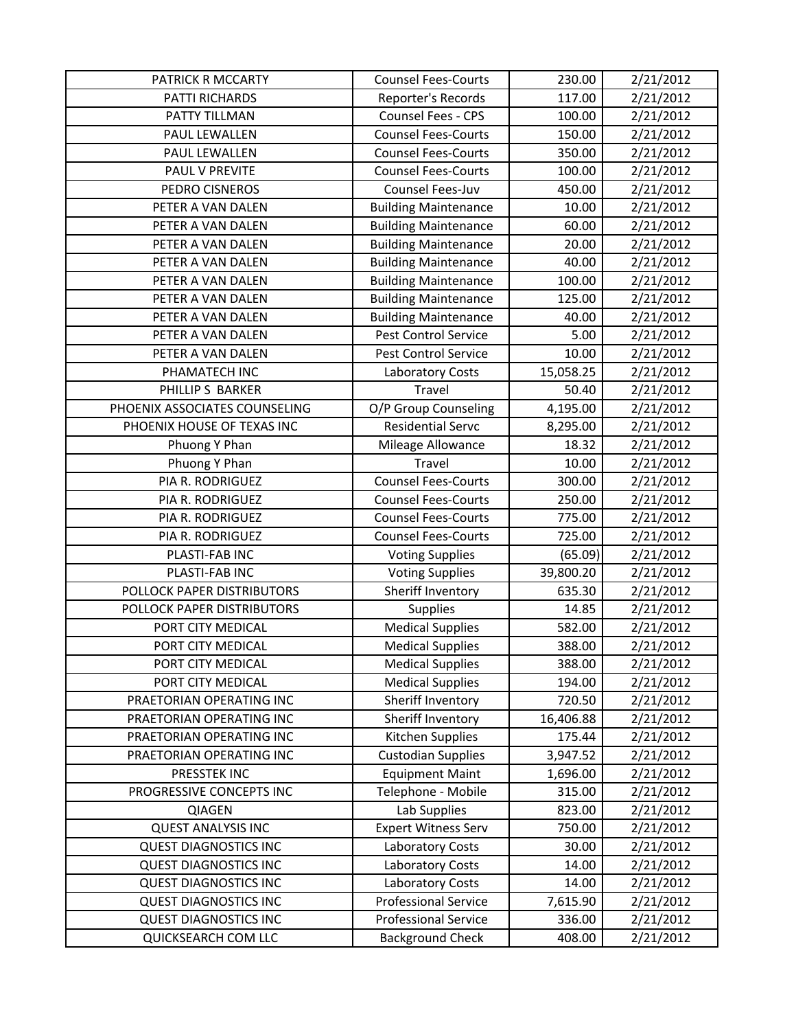| PATRICK R MCCARTY             | <b>Counsel Fees-Courts</b>  | 230.00    | 2/21/2012 |
|-------------------------------|-----------------------------|-----------|-----------|
| PATTI RICHARDS                | Reporter's Records          | 117.00    | 2/21/2012 |
| PATTY TILLMAN                 | Counsel Fees - CPS          | 100.00    | 2/21/2012 |
| PAUL LEWALLEN                 | <b>Counsel Fees-Courts</b>  | 150.00    | 2/21/2012 |
| PAUL LEWALLEN                 | <b>Counsel Fees-Courts</b>  | 350.00    | 2/21/2012 |
| PAUL V PREVITE                | <b>Counsel Fees-Courts</b>  | 100.00    | 2/21/2012 |
| PEDRO CISNEROS                | Counsel Fees-Juv            | 450.00    | 2/21/2012 |
| PETER A VAN DALEN             | <b>Building Maintenance</b> | 10.00     | 2/21/2012 |
| PETER A VAN DALEN             | <b>Building Maintenance</b> | 60.00     | 2/21/2012 |
| PETER A VAN DALEN             | <b>Building Maintenance</b> | 20.00     | 2/21/2012 |
| PETER A VAN DALEN             | <b>Building Maintenance</b> | 40.00     | 2/21/2012 |
| PETER A VAN DALEN             | <b>Building Maintenance</b> | 100.00    | 2/21/2012 |
| PETER A VAN DALEN             | <b>Building Maintenance</b> | 125.00    | 2/21/2012 |
| PETER A VAN DALEN             | <b>Building Maintenance</b> | 40.00     | 2/21/2012 |
| PETER A VAN DALEN             | <b>Pest Control Service</b> | 5.00      | 2/21/2012 |
| PETER A VAN DALEN             | Pest Control Service        | 10.00     | 2/21/2012 |
| PHAMATECH INC                 | Laboratory Costs            | 15,058.25 | 2/21/2012 |
| PHILLIP S BARKER              | Travel                      | 50.40     | 2/21/2012 |
| PHOENIX ASSOCIATES COUNSELING | O/P Group Counseling        | 4,195.00  | 2/21/2012 |
| PHOENIX HOUSE OF TEXAS INC    | <b>Residential Servc</b>    | 8,295.00  | 2/21/2012 |
| Phuong Y Phan                 | Mileage Allowance           | 18.32     | 2/21/2012 |
| Phuong Y Phan                 | Travel                      | 10.00     | 2/21/2012 |
| PIA R. RODRIGUEZ              | <b>Counsel Fees-Courts</b>  | 300.00    | 2/21/2012 |
| PIA R. RODRIGUEZ              | <b>Counsel Fees-Courts</b>  | 250.00    | 2/21/2012 |
| PIA R. RODRIGUEZ              | <b>Counsel Fees-Courts</b>  | 775.00    | 2/21/2012 |
| PIA R. RODRIGUEZ              | <b>Counsel Fees-Courts</b>  | 725.00    | 2/21/2012 |
| PLASTI-FAB INC                | <b>Voting Supplies</b>      | (65.09)   | 2/21/2012 |
| PLASTI-FAB INC                | <b>Voting Supplies</b>      | 39,800.20 | 2/21/2012 |
| POLLOCK PAPER DISTRIBUTORS    | <b>Sheriff Inventory</b>    | 635.30    | 2/21/2012 |
| POLLOCK PAPER DISTRIBUTORS    | Supplies                    | 14.85     | 2/21/2012 |
| PORT CITY MEDICAL             | Medical Supplies            | 582.00    | 2/21/2012 |
| PORT CITY MEDICAL             | <b>Medical Supplies</b>     | 388.00    | 2/21/2012 |
| PORT CITY MEDICAL             | <b>Medical Supplies</b>     | 388.00    | 2/21/2012 |
| PORT CITY MEDICAL             | <b>Medical Supplies</b>     | 194.00    | 2/21/2012 |
| PRAETORIAN OPERATING INC      | Sheriff Inventory           | 720.50    | 2/21/2012 |
| PRAETORIAN OPERATING INC      | Sheriff Inventory           | 16,406.88 | 2/21/2012 |
| PRAETORIAN OPERATING INC      | Kitchen Supplies            | 175.44    | 2/21/2012 |
| PRAETORIAN OPERATING INC      | <b>Custodian Supplies</b>   | 3,947.52  | 2/21/2012 |
| PRESSTEK INC                  | <b>Equipment Maint</b>      | 1,696.00  | 2/21/2012 |
| PROGRESSIVE CONCEPTS INC      | Telephone - Mobile          | 315.00    | 2/21/2012 |
| <b>QIAGEN</b>                 | Lab Supplies                | 823.00    | 2/21/2012 |
| <b>QUEST ANALYSIS INC</b>     | <b>Expert Witness Serv</b>  | 750.00    | 2/21/2012 |
| <b>QUEST DIAGNOSTICS INC</b>  | Laboratory Costs            | 30.00     | 2/21/2012 |
| <b>QUEST DIAGNOSTICS INC</b>  | Laboratory Costs            | 14.00     | 2/21/2012 |
| <b>QUEST DIAGNOSTICS INC</b>  | Laboratory Costs            | 14.00     | 2/21/2012 |
| <b>QUEST DIAGNOSTICS INC</b>  | <b>Professional Service</b> | 7,615.90  | 2/21/2012 |
| <b>QUEST DIAGNOSTICS INC</b>  | <b>Professional Service</b> | 336.00    | 2/21/2012 |
| QUICKSEARCH COM LLC           | <b>Background Check</b>     | 408.00    | 2/21/2012 |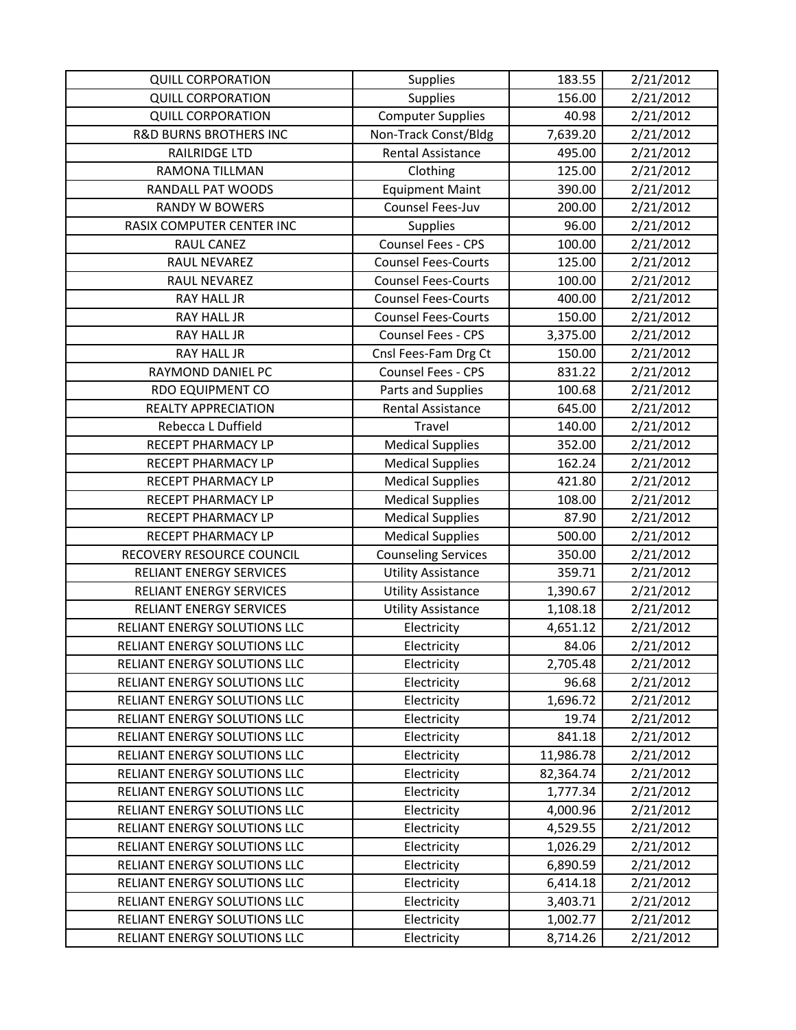| <b>QUILL CORPORATION</b>          | <b>Supplies</b>            | 183.55    | 2/21/2012 |
|-----------------------------------|----------------------------|-----------|-----------|
| <b>QUILL CORPORATION</b>          | <b>Supplies</b>            | 156.00    | 2/21/2012 |
| <b>QUILL CORPORATION</b>          | <b>Computer Supplies</b>   | 40.98     | 2/21/2012 |
| <b>R&amp;D BURNS BROTHERS INC</b> | Non-Track Const/Bldg       | 7,639.20  | 2/21/2012 |
| <b>RAILRIDGE LTD</b>              | <b>Rental Assistance</b>   | 495.00    | 2/21/2012 |
| RAMONA TILLMAN                    | Clothing                   | 125.00    | 2/21/2012 |
| RANDALL PAT WOODS                 | <b>Equipment Maint</b>     | 390.00    | 2/21/2012 |
| <b>RANDY W BOWERS</b>             | Counsel Fees-Juv           | 200.00    | 2/21/2012 |
| RASIX COMPUTER CENTER INC         | <b>Supplies</b>            | 96.00     | 2/21/2012 |
| RAUL CANEZ                        | Counsel Fees - CPS         | 100.00    | 2/21/2012 |
| RAUL NEVAREZ                      | <b>Counsel Fees-Courts</b> | 125.00    | 2/21/2012 |
| RAUL NEVAREZ                      | <b>Counsel Fees-Courts</b> | 100.00    | 2/21/2012 |
| RAY HALL JR                       | <b>Counsel Fees-Courts</b> | 400.00    | 2/21/2012 |
| <b>RAY HALL JR</b>                | <b>Counsel Fees-Courts</b> | 150.00    | 2/21/2012 |
| <b>RAY HALL JR</b>                | Counsel Fees - CPS         | 3,375.00  | 2/21/2012 |
| RAY HALL JR                       | Cnsl Fees-Fam Drg Ct       | 150.00    | 2/21/2012 |
| RAYMOND DANIEL PC                 | Counsel Fees - CPS         | 831.22    | 2/21/2012 |
| <b>RDO EQUIPMENT CO</b>           | Parts and Supplies         | 100.68    | 2/21/2012 |
| <b>REALTY APPRECIATION</b>        | <b>Rental Assistance</b>   | 645.00    | 2/21/2012 |
| Rebecca L Duffield                | Travel                     | 140.00    | 2/21/2012 |
| RECEPT PHARMACY LP                | <b>Medical Supplies</b>    | 352.00    | 2/21/2012 |
| RECEPT PHARMACY LP                | <b>Medical Supplies</b>    | 162.24    | 2/21/2012 |
| RECEPT PHARMACY LP                | <b>Medical Supplies</b>    | 421.80    | 2/21/2012 |
| RECEPT PHARMACY LP                | <b>Medical Supplies</b>    | 108.00    | 2/21/2012 |
| RECEPT PHARMACY LP                | <b>Medical Supplies</b>    | 87.90     | 2/21/2012 |
| RECEPT PHARMACY LP                | <b>Medical Supplies</b>    | 500.00    | 2/21/2012 |
| RECOVERY RESOURCE COUNCIL         | <b>Counseling Services</b> | 350.00    | 2/21/2012 |
| <b>RELIANT ENERGY SERVICES</b>    | <b>Utility Assistance</b>  | 359.71    | 2/21/2012 |
| <b>RELIANT ENERGY SERVICES</b>    | <b>Utility Assistance</b>  | 1,390.67  | 2/21/2012 |
| <b>RELIANT ENERGY SERVICES</b>    | <b>Utility Assistance</b>  | 1,108.18  | 2/21/2012 |
| RELIANT ENERGY SOLUTIONS LLC      | Electricity                | 4,651.12  | 2/21/2012 |
| RELIANT ENERGY SOLUTIONS LLC      | Electricity                | 84.06     | 2/21/2012 |
| RELIANT ENERGY SOLUTIONS LLC      | Electricity                | 2,705.48  | 2/21/2012 |
| RELIANT ENERGY SOLUTIONS LLC      | Electricity                | 96.68     | 2/21/2012 |
| RELIANT ENERGY SOLUTIONS LLC      | Electricity                | 1,696.72  | 2/21/2012 |
| RELIANT ENERGY SOLUTIONS LLC      | Electricity                | 19.74     | 2/21/2012 |
| RELIANT ENERGY SOLUTIONS LLC      | Electricity                | 841.18    | 2/21/2012 |
| RELIANT ENERGY SOLUTIONS LLC      | Electricity                | 11,986.78 | 2/21/2012 |
| RELIANT ENERGY SOLUTIONS LLC      | Electricity                | 82,364.74 | 2/21/2012 |
| RELIANT ENERGY SOLUTIONS LLC      | Electricity                | 1,777.34  | 2/21/2012 |
| RELIANT ENERGY SOLUTIONS LLC      | Electricity                | 4,000.96  | 2/21/2012 |
| RELIANT ENERGY SOLUTIONS LLC      | Electricity                | 4,529.55  | 2/21/2012 |
| RELIANT ENERGY SOLUTIONS LLC      | Electricity                | 1,026.29  | 2/21/2012 |
| RELIANT ENERGY SOLUTIONS LLC      | Electricity                | 6,890.59  | 2/21/2012 |
| RELIANT ENERGY SOLUTIONS LLC      | Electricity                | 6,414.18  | 2/21/2012 |
| RELIANT ENERGY SOLUTIONS LLC      | Electricity                | 3,403.71  | 2/21/2012 |
| RELIANT ENERGY SOLUTIONS LLC      | Electricity                | 1,002.77  | 2/21/2012 |
| RELIANT ENERGY SOLUTIONS LLC      | Electricity                | 8,714.26  | 2/21/2012 |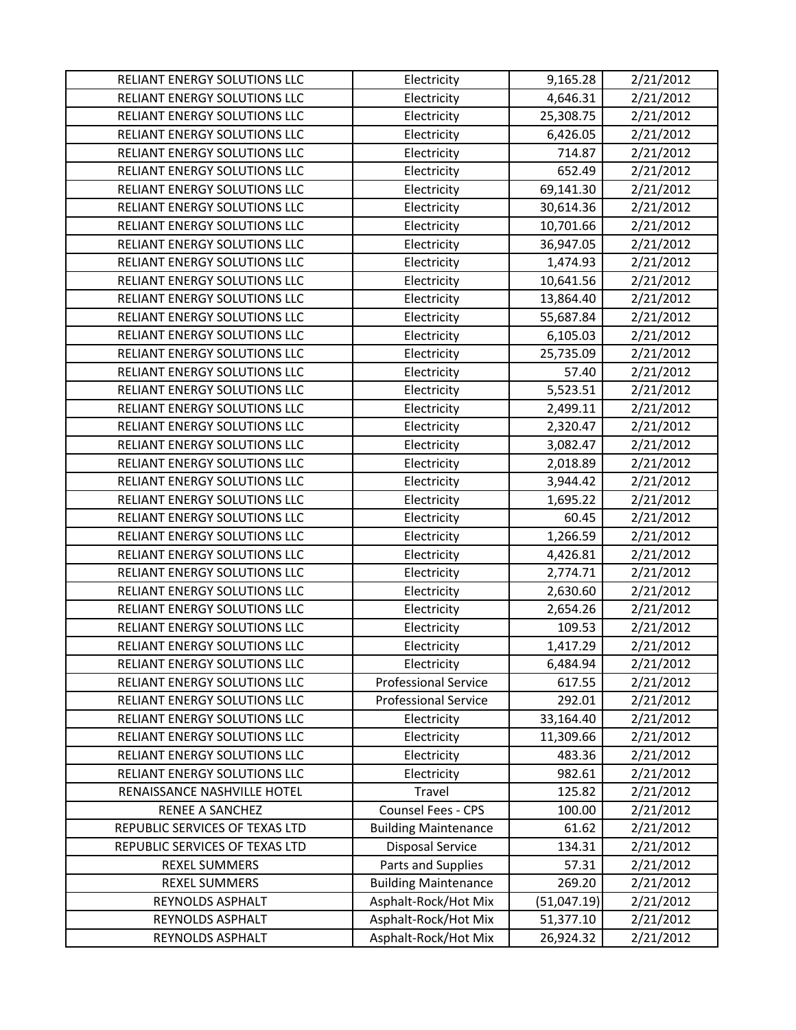| RELIANT ENERGY SOLUTIONS LLC   | Electricity                 | 9,165.28    | 2/21/2012 |
|--------------------------------|-----------------------------|-------------|-----------|
| RELIANT ENERGY SOLUTIONS LLC   | Electricity                 | 4,646.31    | 2/21/2012 |
| RELIANT ENERGY SOLUTIONS LLC   | Electricity                 | 25,308.75   | 2/21/2012 |
| RELIANT ENERGY SOLUTIONS LLC   | Electricity                 | 6,426.05    | 2/21/2012 |
| RELIANT ENERGY SOLUTIONS LLC   | Electricity                 | 714.87      | 2/21/2012 |
| RELIANT ENERGY SOLUTIONS LLC   | Electricity                 | 652.49      | 2/21/2012 |
| RELIANT ENERGY SOLUTIONS LLC   | Electricity                 | 69,141.30   | 2/21/2012 |
| RELIANT ENERGY SOLUTIONS LLC   | Electricity                 | 30,614.36   | 2/21/2012 |
| RELIANT ENERGY SOLUTIONS LLC   | Electricity                 | 10,701.66   | 2/21/2012 |
| RELIANT ENERGY SOLUTIONS LLC   | Electricity                 | 36,947.05   | 2/21/2012 |
| RELIANT ENERGY SOLUTIONS LLC   | Electricity                 | 1,474.93    | 2/21/2012 |
| RELIANT ENERGY SOLUTIONS LLC   | Electricity                 | 10,641.56   | 2/21/2012 |
| RELIANT ENERGY SOLUTIONS LLC   | Electricity                 | 13,864.40   | 2/21/2012 |
| RELIANT ENERGY SOLUTIONS LLC   | Electricity                 | 55,687.84   | 2/21/2012 |
| RELIANT ENERGY SOLUTIONS LLC   | Electricity                 | 6,105.03    | 2/21/2012 |
| RELIANT ENERGY SOLUTIONS LLC   | Electricity                 | 25,735.09   | 2/21/2012 |
| RELIANT ENERGY SOLUTIONS LLC   | Electricity                 | 57.40       | 2/21/2012 |
| RELIANT ENERGY SOLUTIONS LLC   | Electricity                 | 5,523.51    | 2/21/2012 |
| RELIANT ENERGY SOLUTIONS LLC   | Electricity                 | 2,499.11    | 2/21/2012 |
| RELIANT ENERGY SOLUTIONS LLC   | Electricity                 | 2,320.47    | 2/21/2012 |
| RELIANT ENERGY SOLUTIONS LLC   | Electricity                 | 3,082.47    | 2/21/2012 |
| RELIANT ENERGY SOLUTIONS LLC   | Electricity                 | 2,018.89    | 2/21/2012 |
| RELIANT ENERGY SOLUTIONS LLC   | Electricity                 | 3,944.42    | 2/21/2012 |
| RELIANT ENERGY SOLUTIONS LLC   | Electricity                 | 1,695.22    | 2/21/2012 |
| RELIANT ENERGY SOLUTIONS LLC   | Electricity                 | 60.45       | 2/21/2012 |
| RELIANT ENERGY SOLUTIONS LLC   | Electricity                 | 1,266.59    | 2/21/2012 |
| RELIANT ENERGY SOLUTIONS LLC   | Electricity                 | 4,426.81    | 2/21/2012 |
| RELIANT ENERGY SOLUTIONS LLC   | Electricity                 | 2,774.71    | 2/21/2012 |
| RELIANT ENERGY SOLUTIONS LLC   | Electricity                 | 2,630.60    | 2/21/2012 |
| RELIANT ENERGY SOLUTIONS LLC   | Electricity                 | 2,654.26    | 2/21/2012 |
| RELIANT ENERGY SOLUTIONS LLC   | Electricity                 | 109.53      | 2/21/2012 |
| RELIANT ENERGY SOLUTIONS LLC   | Electricity                 | 1,417.29    | 2/21/2012 |
| RELIANT ENERGY SOLUTIONS LLC   | Electricity                 | 6,484.94    | 2/21/2012 |
| RELIANT ENERGY SOLUTIONS LLC   | <b>Professional Service</b> | 617.55      | 2/21/2012 |
| RELIANT ENERGY SOLUTIONS LLC   | <b>Professional Service</b> | 292.01      | 2/21/2012 |
| RELIANT ENERGY SOLUTIONS LLC   | Electricity                 | 33,164.40   | 2/21/2012 |
| RELIANT ENERGY SOLUTIONS LLC   | Electricity                 | 11,309.66   | 2/21/2012 |
| RELIANT ENERGY SOLUTIONS LLC   | Electricity                 | 483.36      | 2/21/2012 |
| RELIANT ENERGY SOLUTIONS LLC   | Electricity                 | 982.61      | 2/21/2012 |
| RENAISSANCE NASHVILLE HOTEL    | Travel                      | 125.82      | 2/21/2012 |
| RENEE A SANCHEZ                | Counsel Fees - CPS          | 100.00      | 2/21/2012 |
| REPUBLIC SERVICES OF TEXAS LTD | <b>Building Maintenance</b> | 61.62       | 2/21/2012 |
| REPUBLIC SERVICES OF TEXAS LTD | <b>Disposal Service</b>     | 134.31      | 2/21/2012 |
| REXEL SUMMERS                  | Parts and Supplies          | 57.31       | 2/21/2012 |
| <b>REXEL SUMMERS</b>           | <b>Building Maintenance</b> | 269.20      | 2/21/2012 |
| REYNOLDS ASPHALT               | Asphalt-Rock/Hot Mix        | (51,047.19) | 2/21/2012 |
| REYNOLDS ASPHALT               | Asphalt-Rock/Hot Mix        | 51,377.10   | 2/21/2012 |
| REYNOLDS ASPHALT               | Asphalt-Rock/Hot Mix        | 26,924.32   | 2/21/2012 |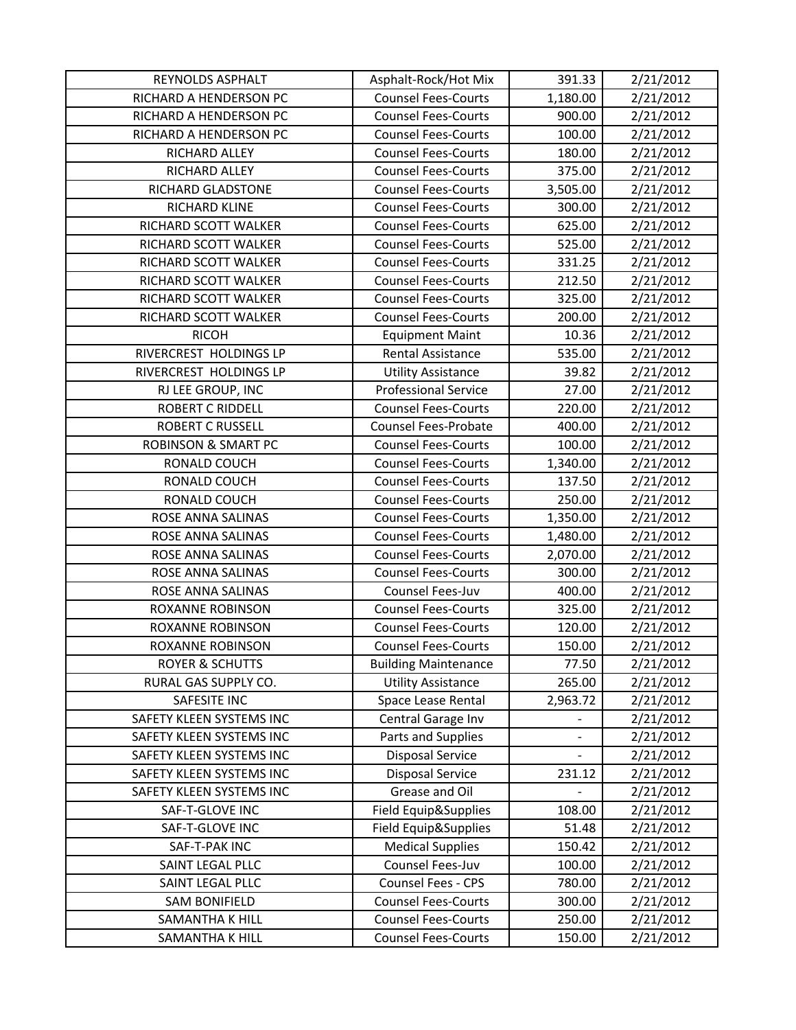| REYNOLDS ASPHALT               | Asphalt-Rock/Hot Mix        | 391.33                   | 2/21/2012 |
|--------------------------------|-----------------------------|--------------------------|-----------|
| RICHARD A HENDERSON PC         | <b>Counsel Fees-Courts</b>  | 1,180.00                 | 2/21/2012 |
| RICHARD A HENDERSON PC         | <b>Counsel Fees-Courts</b>  | 900.00                   | 2/21/2012 |
| RICHARD A HENDERSON PC         | <b>Counsel Fees-Courts</b>  | 100.00                   | 2/21/2012 |
| RICHARD ALLEY                  | <b>Counsel Fees-Courts</b>  | 180.00                   | 2/21/2012 |
| RICHARD ALLEY                  | <b>Counsel Fees-Courts</b>  | 375.00                   | 2/21/2012 |
| RICHARD GLADSTONE              | <b>Counsel Fees-Courts</b>  | 3,505.00                 | 2/21/2012 |
| RICHARD KLINE                  | <b>Counsel Fees-Courts</b>  | 300.00                   | 2/21/2012 |
| RICHARD SCOTT WALKER           | <b>Counsel Fees-Courts</b>  | 625.00                   | 2/21/2012 |
| RICHARD SCOTT WALKER           | <b>Counsel Fees-Courts</b>  | 525.00                   | 2/21/2012 |
| RICHARD SCOTT WALKER           | <b>Counsel Fees-Courts</b>  | 331.25                   | 2/21/2012 |
| RICHARD SCOTT WALKER           | <b>Counsel Fees-Courts</b>  | 212.50                   | 2/21/2012 |
| RICHARD SCOTT WALKER           | <b>Counsel Fees-Courts</b>  | 325.00                   | 2/21/2012 |
| RICHARD SCOTT WALKER           | <b>Counsel Fees-Courts</b>  | 200.00                   | 2/21/2012 |
| <b>RICOH</b>                   | <b>Equipment Maint</b>      | 10.36                    | 2/21/2012 |
| RIVERCREST HOLDINGS LP         | Rental Assistance           | 535.00                   | 2/21/2012 |
| RIVERCREST HOLDINGS LP         | <b>Utility Assistance</b>   | 39.82                    | 2/21/2012 |
| RJ LEE GROUP, INC              | <b>Professional Service</b> | 27.00                    | 2/21/2012 |
| <b>ROBERT C RIDDELL</b>        | <b>Counsel Fees-Courts</b>  | 220.00                   | 2/21/2012 |
| <b>ROBERT C RUSSELL</b>        | <b>Counsel Fees-Probate</b> | 400.00                   | 2/21/2012 |
| <b>ROBINSON &amp; SMART PC</b> | <b>Counsel Fees-Courts</b>  | 100.00                   | 2/21/2012 |
| RONALD COUCH                   | <b>Counsel Fees-Courts</b>  | 1,340.00                 | 2/21/2012 |
| RONALD COUCH                   | <b>Counsel Fees-Courts</b>  | 137.50                   | 2/21/2012 |
| RONALD COUCH                   | <b>Counsel Fees-Courts</b>  | 250.00                   | 2/21/2012 |
| ROSE ANNA SALINAS              | <b>Counsel Fees-Courts</b>  | 1,350.00                 | 2/21/2012 |
| ROSE ANNA SALINAS              | <b>Counsel Fees-Courts</b>  | 1,480.00                 | 2/21/2012 |
| ROSE ANNA SALINAS              | <b>Counsel Fees-Courts</b>  | 2,070.00                 | 2/21/2012 |
| ROSE ANNA SALINAS              | <b>Counsel Fees-Courts</b>  | 300.00                   | 2/21/2012 |
| ROSE ANNA SALINAS              | Counsel Fees-Juv            | 400.00                   | 2/21/2012 |
| <b>ROXANNE ROBINSON</b>        | <b>Counsel Fees-Courts</b>  | 325.00                   | 2/21/2012 |
| <b>ROXANNE ROBINSON</b>        | <b>Counsel Fees-Courts</b>  | 120.00                   | 2/21/2012 |
| <b>ROXANNE ROBINSON</b>        | <b>Counsel Fees-Courts</b>  | 150.00                   | 2/21/2012 |
| <b>ROYER &amp; SCHUTTS</b>     | <b>Building Maintenance</b> | 77.50                    | 2/21/2012 |
| RURAL GAS SUPPLY CO.           | <b>Utility Assistance</b>   | 265.00                   | 2/21/2012 |
| SAFESITE INC                   | Space Lease Rental          | 2,963.72                 | 2/21/2012 |
| SAFETY KLEEN SYSTEMS INC       | Central Garage Inv          | $\overline{\phantom{0}}$ | 2/21/2012 |
| SAFETY KLEEN SYSTEMS INC       | Parts and Supplies          | $\blacksquare$           | 2/21/2012 |
| SAFETY KLEEN SYSTEMS INC       | <b>Disposal Service</b>     |                          | 2/21/2012 |
| SAFETY KLEEN SYSTEMS INC       | <b>Disposal Service</b>     | 231.12                   | 2/21/2012 |
| SAFETY KLEEN SYSTEMS INC       | Grease and Oil              |                          | 2/21/2012 |
| SAF-T-GLOVE INC                | Field Equip&Supplies        | 108.00                   | 2/21/2012 |
| SAF-T-GLOVE INC                | Field Equip&Supplies        | 51.48                    | 2/21/2012 |
| SAF-T-PAK INC                  | <b>Medical Supplies</b>     | 150.42                   | 2/21/2012 |
| SAINT LEGAL PLLC               | Counsel Fees-Juv            | 100.00                   | 2/21/2012 |
| SAINT LEGAL PLLC               | Counsel Fees - CPS          | 780.00                   | 2/21/2012 |
| <b>SAM BONIFIELD</b>           | <b>Counsel Fees-Courts</b>  | 300.00                   | 2/21/2012 |
| SAMANTHA K HILL                | <b>Counsel Fees-Courts</b>  | 250.00                   | 2/21/2012 |
| SAMANTHA K HILL                | <b>Counsel Fees-Courts</b>  | 150.00                   | 2/21/2012 |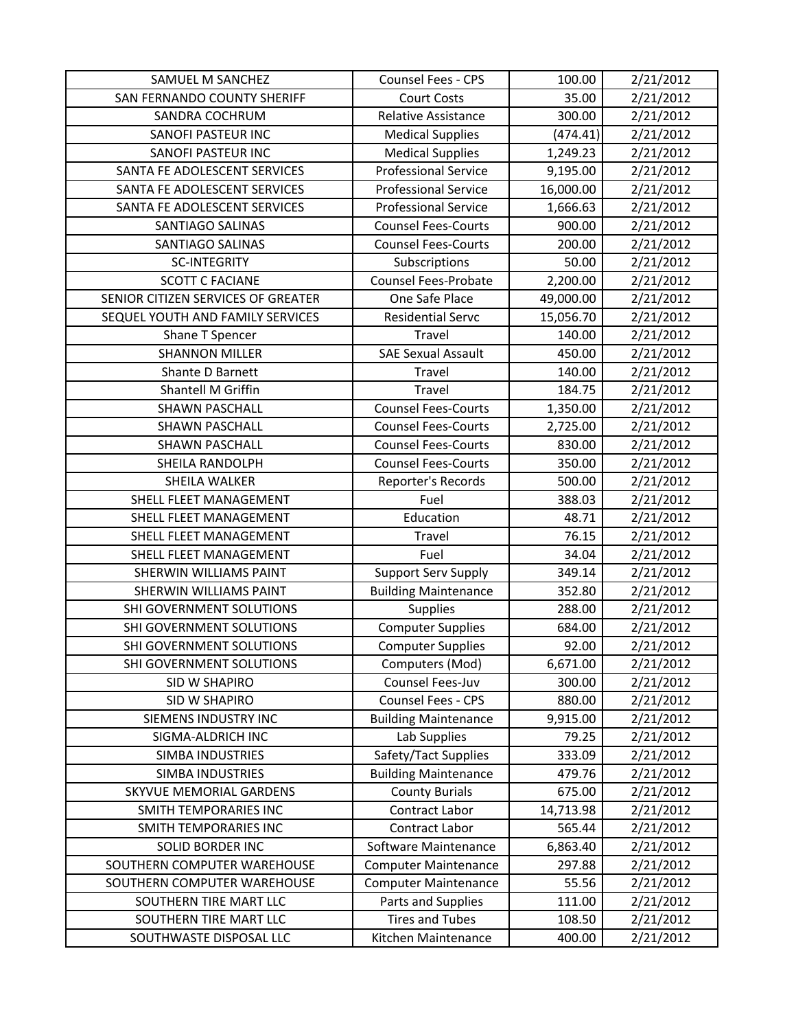| SAMUEL M SANCHEZ                   | Counsel Fees - CPS          | 100.00    | 2/21/2012 |
|------------------------------------|-----------------------------|-----------|-----------|
| SAN FERNANDO COUNTY SHERIFF        | <b>Court Costs</b>          | 35.00     | 2/21/2012 |
| SANDRA COCHRUM                     | <b>Relative Assistance</b>  | 300.00    | 2/21/2012 |
| SANOFI PASTEUR INC                 | <b>Medical Supplies</b>     | (474.41)  | 2/21/2012 |
| <b>SANOFI PASTEUR INC</b>          | <b>Medical Supplies</b>     | 1,249.23  | 2/21/2012 |
| SANTA FE ADOLESCENT SERVICES       | <b>Professional Service</b> | 9,195.00  | 2/21/2012 |
| SANTA FE ADOLESCENT SERVICES       | <b>Professional Service</b> | 16,000.00 | 2/21/2012 |
| SANTA FE ADOLESCENT SERVICES       | <b>Professional Service</b> | 1,666.63  | 2/21/2012 |
| SANTIAGO SALINAS                   | <b>Counsel Fees-Courts</b>  | 900.00    | 2/21/2012 |
| <b>SANTIAGO SALINAS</b>            | <b>Counsel Fees-Courts</b>  | 200.00    | 2/21/2012 |
| <b>SC-INTEGRITY</b>                | Subscriptions               | 50.00     | 2/21/2012 |
| <b>SCOTT C FACIANE</b>             | <b>Counsel Fees-Probate</b> | 2,200.00  | 2/21/2012 |
| SENIOR CITIZEN SERVICES OF GREATER | One Safe Place              | 49,000.00 | 2/21/2012 |
| SEQUEL YOUTH AND FAMILY SERVICES   | <b>Residential Servc</b>    | 15,056.70 | 2/21/2012 |
| Shane T Spencer                    | Travel                      | 140.00    | 2/21/2012 |
| <b>SHANNON MILLER</b>              | <b>SAE Sexual Assault</b>   | 450.00    | 2/21/2012 |
| Shante D Barnett                   | Travel                      | 140.00    | 2/21/2012 |
| Shantell M Griffin                 | Travel                      | 184.75    | 2/21/2012 |
| <b>SHAWN PASCHALL</b>              | <b>Counsel Fees-Courts</b>  | 1,350.00  | 2/21/2012 |
| <b>SHAWN PASCHALL</b>              | <b>Counsel Fees-Courts</b>  | 2,725.00  | 2/21/2012 |
| <b>SHAWN PASCHALL</b>              | <b>Counsel Fees-Courts</b>  | 830.00    | 2/21/2012 |
| SHEILA RANDOLPH                    | <b>Counsel Fees-Courts</b>  | 350.00    | 2/21/2012 |
| <b>SHEILA WALKER</b>               | Reporter's Records          | 500.00    | 2/21/2012 |
| SHELL FLEET MANAGEMENT             | Fuel                        | 388.03    | 2/21/2012 |
| SHELL FLEET MANAGEMENT             | Education                   | 48.71     | 2/21/2012 |
| SHELL FLEET MANAGEMENT             | <b>Travel</b>               | 76.15     | 2/21/2012 |
| SHELL FLEET MANAGEMENT             | Fuel                        | 34.04     | 2/21/2012 |
| SHERWIN WILLIAMS PAINT             | <b>Support Serv Supply</b>  | 349.14    | 2/21/2012 |
| <b>SHERWIN WILLIAMS PAINT</b>      | <b>Building Maintenance</b> | 352.80    | 2/21/2012 |
| SHI GOVERNMENT SOLUTIONS           | <b>Supplies</b>             | 288.00    | 2/21/2012 |
| SHI GOVERNMENT SOLUTIONS           | <b>Computer Supplies</b>    | 684.00    | 2/21/2012 |
| SHI GOVERNMENT SOLUTIONS           | <b>Computer Supplies</b>    | 92.00     | 2/21/2012 |
| SHI GOVERNMENT SOLUTIONS           | Computers (Mod)             | 6,671.00  | 2/21/2012 |
| SID W SHAPIRO                      | Counsel Fees-Juv            | 300.00    | 2/21/2012 |
| SID W SHAPIRO                      | Counsel Fees - CPS          | 880.00    | 2/21/2012 |
| SIEMENS INDUSTRY INC               | <b>Building Maintenance</b> | 9,915.00  | 2/21/2012 |
| SIGMA-ALDRICH INC                  | Lab Supplies                | 79.25     | 2/21/2012 |
| <b>SIMBA INDUSTRIES</b>            | Safety/Tact Supplies        | 333.09    | 2/21/2012 |
| <b>SIMBA INDUSTRIES</b>            | <b>Building Maintenance</b> | 479.76    | 2/21/2012 |
| SKYVUE MEMORIAL GARDENS            | <b>County Burials</b>       | 675.00    | 2/21/2012 |
| SMITH TEMPORARIES INC              | Contract Labor              | 14,713.98 | 2/21/2012 |
| SMITH TEMPORARIES INC              | Contract Labor              | 565.44    | 2/21/2012 |
| <b>SOLID BORDER INC</b>            | Software Maintenance        | 6,863.40  | 2/21/2012 |
| SOUTHERN COMPUTER WAREHOUSE        | <b>Computer Maintenance</b> | 297.88    | 2/21/2012 |
| SOUTHERN COMPUTER WAREHOUSE        | <b>Computer Maintenance</b> | 55.56     | 2/21/2012 |
| SOUTHERN TIRE MART LLC             | Parts and Supplies          | 111.00    | 2/21/2012 |
| SOUTHERN TIRE MART LLC             | <b>Tires and Tubes</b>      | 108.50    | 2/21/2012 |
| SOUTHWASTE DISPOSAL LLC            | Kitchen Maintenance         | 400.00    | 2/21/2012 |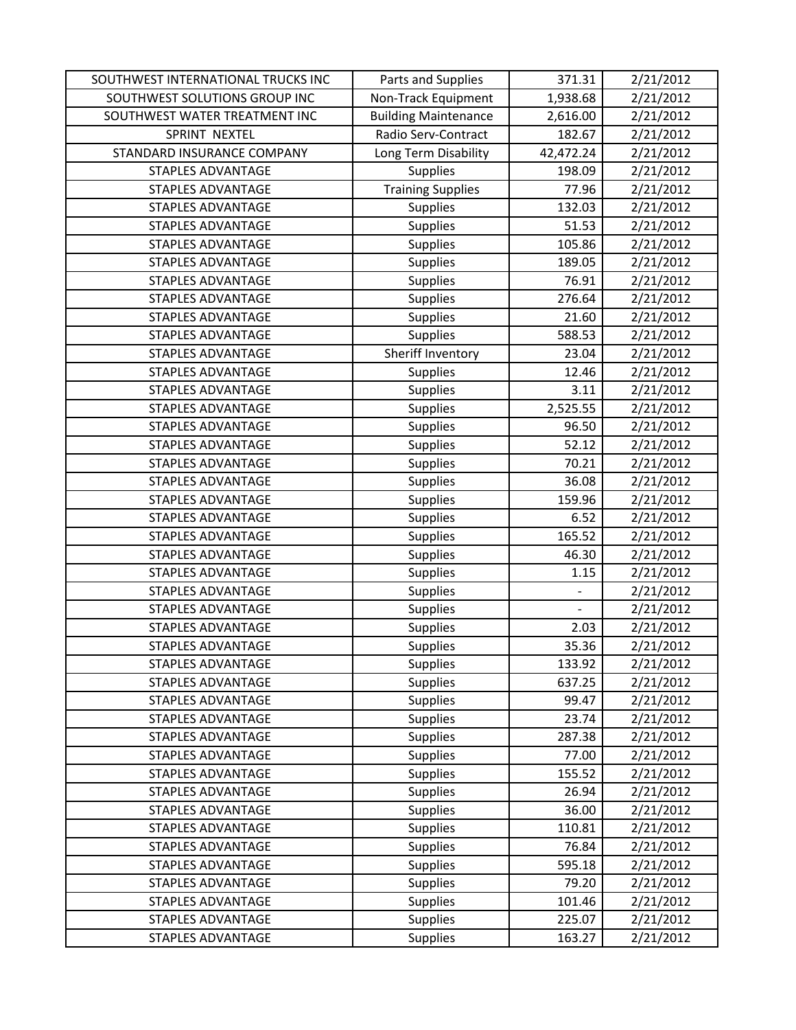| SOUTHWEST INTERNATIONAL TRUCKS INC | Parts and Supplies          | 371.31    | 2/21/2012 |
|------------------------------------|-----------------------------|-----------|-----------|
| SOUTHWEST SOLUTIONS GROUP INC      | Non-Track Equipment         | 1,938.68  | 2/21/2012 |
| SOUTHWEST WATER TREATMENT INC      | <b>Building Maintenance</b> | 2,616.00  | 2/21/2012 |
| SPRINT NEXTEL                      | Radio Serv-Contract         | 182.67    | 2/21/2012 |
| STANDARD INSURANCE COMPANY         | Long Term Disability        | 42,472.24 | 2/21/2012 |
| <b>STAPLES ADVANTAGE</b>           | <b>Supplies</b>             | 198.09    | 2/21/2012 |
| <b>STAPLES ADVANTAGE</b>           | <b>Training Supplies</b>    | 77.96     | 2/21/2012 |
| <b>STAPLES ADVANTAGE</b>           | <b>Supplies</b>             | 132.03    | 2/21/2012 |
| <b>STAPLES ADVANTAGE</b>           | Supplies                    | 51.53     | 2/21/2012 |
| STAPLES ADVANTAGE                  | Supplies                    | 105.86    | 2/21/2012 |
| <b>STAPLES ADVANTAGE</b>           | <b>Supplies</b>             | 189.05    | 2/21/2012 |
| <b>STAPLES ADVANTAGE</b>           | <b>Supplies</b>             | 76.91     | 2/21/2012 |
| STAPLES ADVANTAGE                  | Supplies                    | 276.64    | 2/21/2012 |
| <b>STAPLES ADVANTAGE</b>           | <b>Supplies</b>             | 21.60     | 2/21/2012 |
| <b>STAPLES ADVANTAGE</b>           | <b>Supplies</b>             | 588.53    | 2/21/2012 |
| <b>STAPLES ADVANTAGE</b>           | Sheriff Inventory           | 23.04     | 2/21/2012 |
| <b>STAPLES ADVANTAGE</b>           | <b>Supplies</b>             | 12.46     | 2/21/2012 |
| <b>STAPLES ADVANTAGE</b>           | <b>Supplies</b>             | 3.11      | 2/21/2012 |
| <b>STAPLES ADVANTAGE</b>           | <b>Supplies</b>             | 2,525.55  | 2/21/2012 |
| <b>STAPLES ADVANTAGE</b>           | Supplies                    | 96.50     | 2/21/2012 |
| <b>STAPLES ADVANTAGE</b>           | <b>Supplies</b>             | 52.12     | 2/21/2012 |
| <b>STAPLES ADVANTAGE</b>           | <b>Supplies</b>             | 70.21     | 2/21/2012 |
| <b>STAPLES ADVANTAGE</b>           | <b>Supplies</b>             | 36.08     | 2/21/2012 |
| <b>STAPLES ADVANTAGE</b>           | <b>Supplies</b>             | 159.96    | 2/21/2012 |
| <b>STAPLES ADVANTAGE</b>           | <b>Supplies</b>             | 6.52      | 2/21/2012 |
| <b>STAPLES ADVANTAGE</b>           | Supplies                    | 165.52    | 2/21/2012 |
| <b>STAPLES ADVANTAGE</b>           | <b>Supplies</b>             | 46.30     | 2/21/2012 |
| <b>STAPLES ADVANTAGE</b>           | <b>Supplies</b>             | 1.15      | 2/21/2012 |
| <b>STAPLES ADVANTAGE</b>           | Supplies                    |           | 2/21/2012 |
| <b>STAPLES ADVANTAGE</b>           | <b>Supplies</b>             |           | 2/21/2012 |
| <b>STAPLES ADVANTAGE</b>           | Supplies                    | 2.03      | 2/21/2012 |
| <b>STAPLES ADVANTAGE</b>           | Supplies                    | 35.36     | 2/21/2012 |
| STAPLES ADVANTAGE                  | <b>Supplies</b>             | 133.92    | 2/21/2012 |
| <b>STAPLES ADVANTAGE</b>           | <b>Supplies</b>             | 637.25    | 2/21/2012 |
| STAPLES ADVANTAGE                  | <b>Supplies</b>             | 99.47     | 2/21/2012 |
| STAPLES ADVANTAGE                  | <b>Supplies</b>             | 23.74     | 2/21/2012 |
| <b>STAPLES ADVANTAGE</b>           | <b>Supplies</b>             | 287.38    | 2/21/2012 |
| STAPLES ADVANTAGE                  | Supplies                    | 77.00     | 2/21/2012 |
| <b>STAPLES ADVANTAGE</b>           | <b>Supplies</b>             | 155.52    | 2/21/2012 |
| STAPLES ADVANTAGE                  | <b>Supplies</b>             | 26.94     | 2/21/2012 |
| STAPLES ADVANTAGE                  | Supplies                    | 36.00     | 2/21/2012 |
| STAPLES ADVANTAGE                  | <b>Supplies</b>             | 110.81    | 2/21/2012 |
| <b>STAPLES ADVANTAGE</b>           | <b>Supplies</b>             | 76.84     | 2/21/2012 |
| <b>STAPLES ADVANTAGE</b>           | <b>Supplies</b>             | 595.18    | 2/21/2012 |
| STAPLES ADVANTAGE                  | <b>Supplies</b>             | 79.20     | 2/21/2012 |
| <b>STAPLES ADVANTAGE</b>           | <b>Supplies</b>             | 101.46    | 2/21/2012 |
| STAPLES ADVANTAGE                  | <b>Supplies</b>             | 225.07    | 2/21/2012 |
| STAPLES ADVANTAGE                  | <b>Supplies</b>             | 163.27    | 2/21/2012 |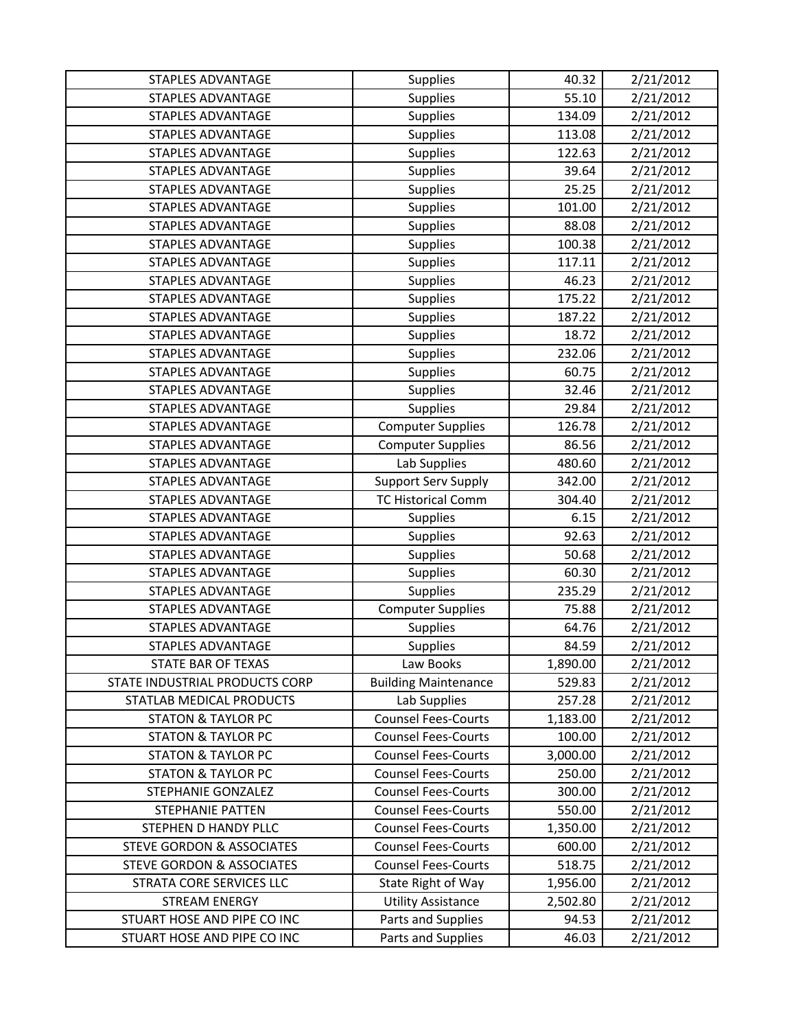| <b>STAPLES ADVANTAGE</b>             | Supplies                    | 40.32    | 2/21/2012 |
|--------------------------------------|-----------------------------|----------|-----------|
| <b>STAPLES ADVANTAGE</b>             | <b>Supplies</b>             | 55.10    | 2/21/2012 |
| <b>STAPLES ADVANTAGE</b>             | <b>Supplies</b>             | 134.09   | 2/21/2012 |
| <b>STAPLES ADVANTAGE</b>             | <b>Supplies</b>             | 113.08   | 2/21/2012 |
| <b>STAPLES ADVANTAGE</b>             | <b>Supplies</b>             | 122.63   | 2/21/2012 |
| <b>STAPLES ADVANTAGE</b>             | <b>Supplies</b>             | 39.64    | 2/21/2012 |
| STAPLES ADVANTAGE                    | <b>Supplies</b>             | 25.25    | 2/21/2012 |
| <b>STAPLES ADVANTAGE</b>             | <b>Supplies</b>             | 101.00   | 2/21/2012 |
| <b>STAPLES ADVANTAGE</b>             | <b>Supplies</b>             | 88.08    | 2/21/2012 |
| <b>STAPLES ADVANTAGE</b>             | <b>Supplies</b>             | 100.38   | 2/21/2012 |
| <b>STAPLES ADVANTAGE</b>             | <b>Supplies</b>             | 117.11   | 2/21/2012 |
| <b>STAPLES ADVANTAGE</b>             | <b>Supplies</b>             | 46.23    | 2/21/2012 |
| <b>STAPLES ADVANTAGE</b>             | <b>Supplies</b>             | 175.22   | 2/21/2012 |
| <b>STAPLES ADVANTAGE</b>             | <b>Supplies</b>             | 187.22   | 2/21/2012 |
| <b>STAPLES ADVANTAGE</b>             | <b>Supplies</b>             | 18.72    | 2/21/2012 |
| STAPLES ADVANTAGE                    | <b>Supplies</b>             | 232.06   | 2/21/2012 |
| <b>STAPLES ADVANTAGE</b>             | <b>Supplies</b>             | 60.75    | 2/21/2012 |
| <b>STAPLES ADVANTAGE</b>             | <b>Supplies</b>             | 32.46    | 2/21/2012 |
| <b>STAPLES ADVANTAGE</b>             | <b>Supplies</b>             | 29.84    | 2/21/2012 |
| <b>STAPLES ADVANTAGE</b>             | <b>Computer Supplies</b>    | 126.78   | 2/21/2012 |
| STAPLES ADVANTAGE                    | <b>Computer Supplies</b>    | 86.56    | 2/21/2012 |
| <b>STAPLES ADVANTAGE</b>             | Lab Supplies                | 480.60   | 2/21/2012 |
| <b>STAPLES ADVANTAGE</b>             | <b>Support Serv Supply</b>  | 342.00   | 2/21/2012 |
| <b>STAPLES ADVANTAGE</b>             | <b>TC Historical Comm</b>   | 304.40   | 2/21/2012 |
| <b>STAPLES ADVANTAGE</b>             | <b>Supplies</b>             | 6.15     | 2/21/2012 |
| STAPLES ADVANTAGE                    | Supplies                    | 92.63    | 2/21/2012 |
| <b>STAPLES ADVANTAGE</b>             | <b>Supplies</b>             | 50.68    | 2/21/2012 |
| <b>STAPLES ADVANTAGE</b>             | <b>Supplies</b>             | 60.30    | 2/21/2012 |
| STAPLES ADVANTAGE                    | Supplies                    | 235.29   | 2/21/2012 |
| <b>STAPLES ADVANTAGE</b>             | <b>Computer Supplies</b>    | 75.88    | 2/21/2012 |
| <b>STAPLES ADVANTAGE</b>             | <b>Supplies</b>             | 64.76    | 2/21/2012 |
| <b>STAPLES ADVANTAGE</b>             | Supplies                    | 84.59    | 2/21/2012 |
| STATE BAR OF TEXAS                   | Law Books                   | 1,890.00 | 2/21/2012 |
| STATE INDUSTRIAL PRODUCTS CORP       | <b>Building Maintenance</b> | 529.83   | 2/21/2012 |
| STATLAB MEDICAL PRODUCTS             | Lab Supplies                | 257.28   | 2/21/2012 |
| <b>STATON &amp; TAYLOR PC</b>        | <b>Counsel Fees-Courts</b>  | 1,183.00 | 2/21/2012 |
| <b>STATON &amp; TAYLOR PC</b>        | <b>Counsel Fees-Courts</b>  | 100.00   | 2/21/2012 |
| <b>STATON &amp; TAYLOR PC</b>        | <b>Counsel Fees-Courts</b>  | 3,000.00 | 2/21/2012 |
| <b>STATON &amp; TAYLOR PC</b>        | <b>Counsel Fees-Courts</b>  | 250.00   | 2/21/2012 |
| <b>STEPHANIE GONZALEZ</b>            | <b>Counsel Fees-Courts</b>  | 300.00   | 2/21/2012 |
| <b>STEPHANIE PATTEN</b>              | <b>Counsel Fees-Courts</b>  | 550.00   | 2/21/2012 |
| STEPHEN D HANDY PLLC                 | <b>Counsel Fees-Courts</b>  | 1,350.00 | 2/21/2012 |
| <b>STEVE GORDON &amp; ASSOCIATES</b> | <b>Counsel Fees-Courts</b>  | 600.00   | 2/21/2012 |
| <b>STEVE GORDON &amp; ASSOCIATES</b> | <b>Counsel Fees-Courts</b>  | 518.75   | 2/21/2012 |
| STRATA CORE SERVICES LLC             | State Right of Way          | 1,956.00 | 2/21/2012 |
| <b>STREAM ENERGY</b>                 | <b>Utility Assistance</b>   | 2,502.80 | 2/21/2012 |
| STUART HOSE AND PIPE CO INC          | Parts and Supplies          | 94.53    | 2/21/2012 |
| STUART HOSE AND PIPE CO INC          | Parts and Supplies          | 46.03    | 2/21/2012 |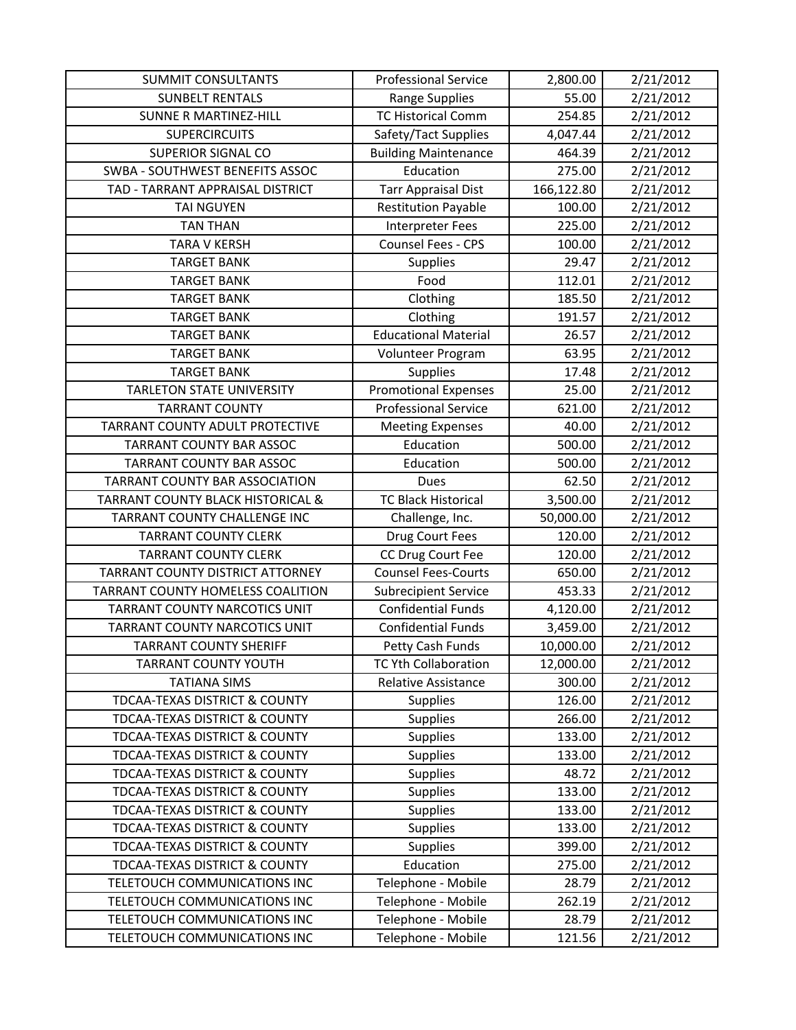| <b>SUMMIT CONSULTANTS</b>                    | <b>Professional Service</b> | 2,800.00   | 2/21/2012 |
|----------------------------------------------|-----------------------------|------------|-----------|
| <b>SUNBELT RENTALS</b>                       | Range Supplies              | 55.00      | 2/21/2012 |
| <b>SUNNE R MARTINEZ-HILL</b>                 | <b>TC Historical Comm</b>   | 254.85     | 2/21/2012 |
| <b>SUPERCIRCUITS</b>                         | Safety/Tact Supplies        | 4,047.44   | 2/21/2012 |
| <b>SUPERIOR SIGNAL CO</b>                    | <b>Building Maintenance</b> | 464.39     | 2/21/2012 |
| SWBA - SOUTHWEST BENEFITS ASSOC              | Education                   | 275.00     | 2/21/2012 |
| TAD - TARRANT APPRAISAL DISTRICT             | <b>Tarr Appraisal Dist</b>  | 166,122.80 | 2/21/2012 |
| <b>TAI NGUYEN</b>                            | <b>Restitution Payable</b>  | 100.00     | 2/21/2012 |
| <b>TAN THAN</b>                              | Interpreter Fees            | 225.00     | 2/21/2012 |
| <b>TARA V KERSH</b>                          | Counsel Fees - CPS          | 100.00     | 2/21/2012 |
| <b>TARGET BANK</b>                           | <b>Supplies</b>             | 29.47      | 2/21/2012 |
| <b>TARGET BANK</b>                           | Food                        | 112.01     | 2/21/2012 |
| <b>TARGET BANK</b>                           | Clothing                    | 185.50     | 2/21/2012 |
| <b>TARGET BANK</b>                           | Clothing                    | 191.57     | 2/21/2012 |
| <b>TARGET BANK</b>                           | <b>Educational Material</b> | 26.57      | 2/21/2012 |
| <b>TARGET BANK</b>                           | Volunteer Program           | 63.95      | 2/21/2012 |
| <b>TARGET BANK</b>                           | Supplies                    | 17.48      | 2/21/2012 |
| <b>TARLETON STATE UNIVERSITY</b>             | <b>Promotional Expenses</b> | 25.00      | 2/21/2012 |
| <b>TARRANT COUNTY</b>                        | <b>Professional Service</b> | 621.00     | 2/21/2012 |
| TARRANT COUNTY ADULT PROTECTIVE              | <b>Meeting Expenses</b>     | 40.00      | 2/21/2012 |
| <b>TARRANT COUNTY BAR ASSOC</b>              | Education                   | 500.00     | 2/21/2012 |
| TARRANT COUNTY BAR ASSOC                     | Education                   | 500.00     | 2/21/2012 |
| TARRANT COUNTY BAR ASSOCIATION               | Dues                        | 62.50      | 2/21/2012 |
| <b>TARRANT COUNTY BLACK HISTORICAL &amp;</b> | <b>TC Black Historical</b>  | 3,500.00   | 2/21/2012 |
| TARRANT COUNTY CHALLENGE INC                 | Challenge, Inc.             | 50,000.00  | 2/21/2012 |
| <b>TARRANT COUNTY CLERK</b>                  | Drug Court Fees             | 120.00     | 2/21/2012 |
| <b>TARRANT COUNTY CLERK</b>                  | CC Drug Court Fee           | 120.00     | 2/21/2012 |
| TARRANT COUNTY DISTRICT ATTORNEY             | <b>Counsel Fees-Courts</b>  | 650.00     | 2/21/2012 |
| TARRANT COUNTY HOMELESS COALITION            | <b>Subrecipient Service</b> | 453.33     | 2/21/2012 |
| TARRANT COUNTY NARCOTICS UNIT                | <b>Confidential Funds</b>   | 4,120.00   | 2/21/2012 |
| TARRANT COUNTY NARCOTICS UNIT                | <b>Confidential Funds</b>   | 3,459.00   | 2/21/2012 |
| <b>TARRANT COUNTY SHERIFF</b>                | Petty Cash Funds            | 10,000.00  | 2/21/2012 |
| <b>TARRANT COUNTY YOUTH</b>                  | TC Yth Collaboration        | 12,000.00  | 2/21/2012 |
| <b>TATIANA SIMS</b>                          | <b>Relative Assistance</b>  | 300.00     | 2/21/2012 |
| TDCAA-TEXAS DISTRICT & COUNTY                | <b>Supplies</b>             | 126.00     | 2/21/2012 |
| TDCAA-TEXAS DISTRICT & COUNTY                | <b>Supplies</b>             | 266.00     | 2/21/2012 |
| TDCAA-TEXAS DISTRICT & COUNTY                | <b>Supplies</b>             | 133.00     | 2/21/2012 |
| TDCAA-TEXAS DISTRICT & COUNTY                | <b>Supplies</b>             | 133.00     | 2/21/2012 |
| TDCAA-TEXAS DISTRICT & COUNTY                | <b>Supplies</b>             | 48.72      | 2/21/2012 |
| TDCAA-TEXAS DISTRICT & COUNTY                | <b>Supplies</b>             | 133.00     | 2/21/2012 |
| TDCAA-TEXAS DISTRICT & COUNTY                | <b>Supplies</b>             | 133.00     | 2/21/2012 |
| TDCAA-TEXAS DISTRICT & COUNTY                | <b>Supplies</b>             | 133.00     | 2/21/2012 |
| TDCAA-TEXAS DISTRICT & COUNTY                | <b>Supplies</b>             | 399.00     | 2/21/2012 |
| TDCAA-TEXAS DISTRICT & COUNTY                | Education                   | 275.00     | 2/21/2012 |
| TELETOUCH COMMUNICATIONS INC                 | Telephone - Mobile          | 28.79      | 2/21/2012 |
| TELETOUCH COMMUNICATIONS INC                 | Telephone - Mobile          | 262.19     | 2/21/2012 |
| TELETOUCH COMMUNICATIONS INC                 | Telephone - Mobile          | 28.79      | 2/21/2012 |
| TELETOUCH COMMUNICATIONS INC                 | Telephone - Mobile          | 121.56     | 2/21/2012 |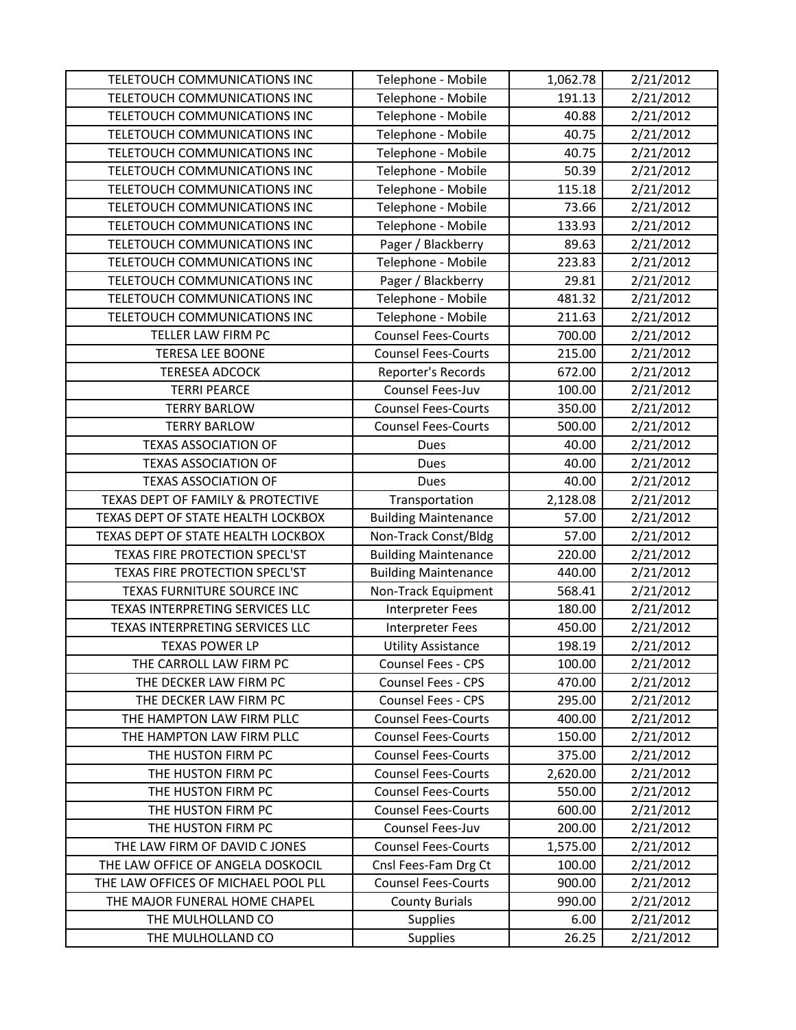| TELETOUCH COMMUNICATIONS INC        | Telephone - Mobile          | 1,062.78 | 2/21/2012 |
|-------------------------------------|-----------------------------|----------|-----------|
| TELETOUCH COMMUNICATIONS INC        | Telephone - Mobile          | 191.13   | 2/21/2012 |
| TELETOUCH COMMUNICATIONS INC        | Telephone - Mobile          | 40.88    | 2/21/2012 |
| TELETOUCH COMMUNICATIONS INC        | Telephone - Mobile          | 40.75    | 2/21/2012 |
| TELETOUCH COMMUNICATIONS INC        | Telephone - Mobile          | 40.75    | 2/21/2012 |
| TELETOUCH COMMUNICATIONS INC        | Telephone - Mobile          | 50.39    | 2/21/2012 |
| TELETOUCH COMMUNICATIONS INC        | Telephone - Mobile          | 115.18   | 2/21/2012 |
| TELETOUCH COMMUNICATIONS INC        | Telephone - Mobile          | 73.66    | 2/21/2012 |
| TELETOUCH COMMUNICATIONS INC        | Telephone - Mobile          | 133.93   | 2/21/2012 |
| TELETOUCH COMMUNICATIONS INC        | Pager / Blackberry          | 89.63    | 2/21/2012 |
| TELETOUCH COMMUNICATIONS INC        | Telephone - Mobile          | 223.83   | 2/21/2012 |
| TELETOUCH COMMUNICATIONS INC        | Pager / Blackberry          | 29.81    | 2/21/2012 |
| TELETOUCH COMMUNICATIONS INC        | Telephone - Mobile          | 481.32   | 2/21/2012 |
| TELETOUCH COMMUNICATIONS INC        | Telephone - Mobile          | 211.63   | 2/21/2012 |
| TELLER LAW FIRM PC                  | <b>Counsel Fees-Courts</b>  | 700.00   | 2/21/2012 |
| <b>TERESA LEE BOONE</b>             | <b>Counsel Fees-Courts</b>  | 215.00   | 2/21/2012 |
| <b>TERESEA ADCOCK</b>               | Reporter's Records          | 672.00   | 2/21/2012 |
| <b>TERRI PEARCE</b>                 | Counsel Fees-Juv            | 100.00   | 2/21/2012 |
| <b>TERRY BARLOW</b>                 | <b>Counsel Fees-Courts</b>  | 350.00   | 2/21/2012 |
| <b>TERRY BARLOW</b>                 | <b>Counsel Fees-Courts</b>  | 500.00   | 2/21/2012 |
| <b>TEXAS ASSOCIATION OF</b>         | <b>Dues</b>                 | 40.00    | 2/21/2012 |
| <b>TEXAS ASSOCIATION OF</b>         | Dues                        | 40.00    | 2/21/2012 |
| <b>TEXAS ASSOCIATION OF</b>         | <b>Dues</b>                 | 40.00    | 2/21/2012 |
| TEXAS DEPT OF FAMILY & PROTECTIVE   | Transportation              | 2,128.08 | 2/21/2012 |
| TEXAS DEPT OF STATE HEALTH LOCKBOX  | <b>Building Maintenance</b> | 57.00    | 2/21/2012 |
| TEXAS DEPT OF STATE HEALTH LOCKBOX  | Non-Track Const/Bldg        | 57.00    | 2/21/2012 |
| TEXAS FIRE PROTECTION SPECL'ST      | <b>Building Maintenance</b> | 220.00   | 2/21/2012 |
| TEXAS FIRE PROTECTION SPECL'ST      | <b>Building Maintenance</b> | 440.00   | 2/21/2012 |
| TEXAS FURNITURE SOURCE INC          | Non-Track Equipment         | 568.41   | 2/21/2012 |
| TEXAS INTERPRETING SERVICES LLC     | <b>Interpreter Fees</b>     | 180.00   | 2/21/2012 |
| TEXAS INTERPRETING SERVICES LLC     | Interpreter Fees            | 450.00   | 2/21/2012 |
| <b>TEXAS POWER LP</b>               | <b>Utility Assistance</b>   | 198.19   | 2/21/2012 |
| THE CARROLL LAW FIRM PC             | Counsel Fees - CPS          | 100.00   | 2/21/2012 |
| THE DECKER LAW FIRM PC              | Counsel Fees - CPS          | 470.00   | 2/21/2012 |
| THE DECKER LAW FIRM PC              | Counsel Fees - CPS          | 295.00   | 2/21/2012 |
| THE HAMPTON LAW FIRM PLLC           | <b>Counsel Fees-Courts</b>  | 400.00   | 2/21/2012 |
| THE HAMPTON LAW FIRM PLLC           | <b>Counsel Fees-Courts</b>  | 150.00   | 2/21/2012 |
| THE HUSTON FIRM PC                  | <b>Counsel Fees-Courts</b>  | 375.00   | 2/21/2012 |
| THE HUSTON FIRM PC                  | <b>Counsel Fees-Courts</b>  | 2,620.00 | 2/21/2012 |
| THE HUSTON FIRM PC                  | <b>Counsel Fees-Courts</b>  | 550.00   | 2/21/2012 |
| THE HUSTON FIRM PC                  | <b>Counsel Fees-Courts</b>  | 600.00   | 2/21/2012 |
| THE HUSTON FIRM PC                  | Counsel Fees-Juv            | 200.00   | 2/21/2012 |
| THE LAW FIRM OF DAVID C JONES       | <b>Counsel Fees-Courts</b>  | 1,575.00 | 2/21/2012 |
| THE LAW OFFICE OF ANGELA DOSKOCIL   | Cnsl Fees-Fam Drg Ct        | 100.00   | 2/21/2012 |
| THE LAW OFFICES OF MICHAEL POOL PLL | <b>Counsel Fees-Courts</b>  | 900.00   | 2/21/2012 |
| THE MAJOR FUNERAL HOME CHAPEL       | <b>County Burials</b>       | 990.00   | 2/21/2012 |
| THE MULHOLLAND CO                   | <b>Supplies</b>             | 6.00     | 2/21/2012 |
| THE MULHOLLAND CO                   | <b>Supplies</b>             | 26.25    | 2/21/2012 |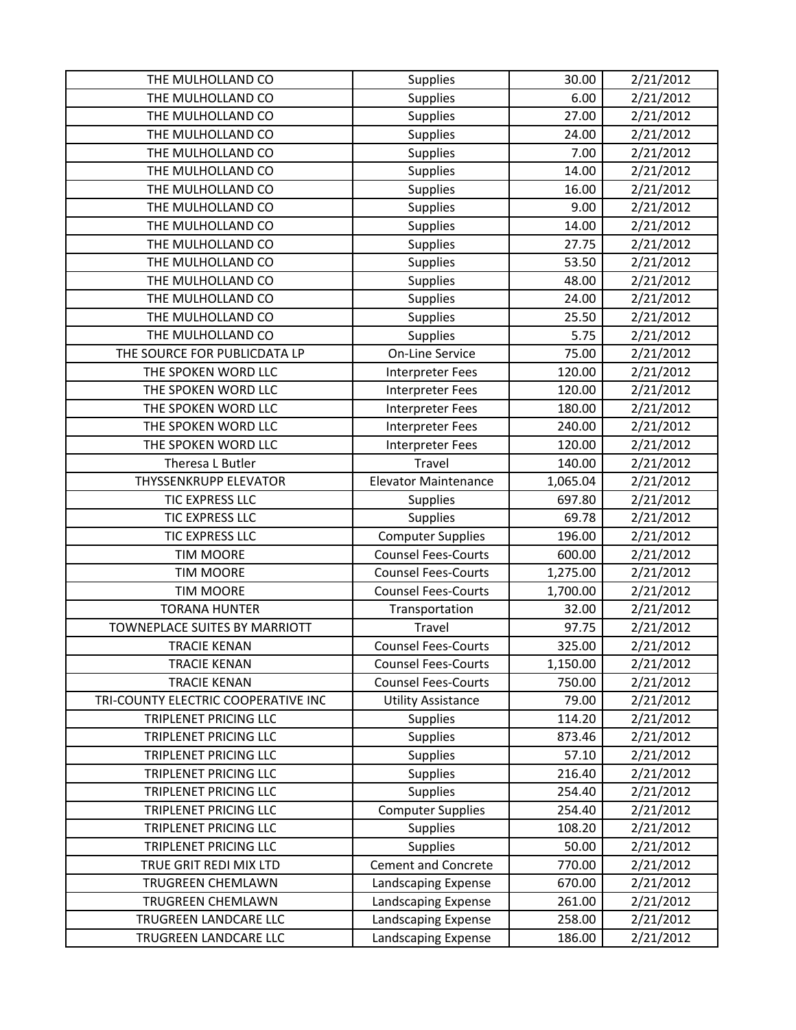| THE MULHOLLAND CO                   | <b>Supplies</b>             | 30.00    | 2/21/2012 |
|-------------------------------------|-----------------------------|----------|-----------|
| THE MULHOLLAND CO                   | <b>Supplies</b>             | 6.00     | 2/21/2012 |
| THE MULHOLLAND CO                   | <b>Supplies</b>             | 27.00    | 2/21/2012 |
| THE MULHOLLAND CO                   | <b>Supplies</b>             | 24.00    | 2/21/2012 |
| THE MULHOLLAND CO                   | <b>Supplies</b>             | 7.00     | 2/21/2012 |
| THE MULHOLLAND CO                   | <b>Supplies</b>             | 14.00    | 2/21/2012 |
| THE MULHOLLAND CO                   | <b>Supplies</b>             | 16.00    | 2/21/2012 |
| THE MULHOLLAND CO                   | <b>Supplies</b>             | 9.00     | 2/21/2012 |
| THE MULHOLLAND CO                   | <b>Supplies</b>             | 14.00    | 2/21/2012 |
| THE MULHOLLAND CO                   | <b>Supplies</b>             | 27.75    | 2/21/2012 |
| THE MULHOLLAND CO                   | <b>Supplies</b>             | 53.50    | 2/21/2012 |
| THE MULHOLLAND CO                   | <b>Supplies</b>             | 48.00    | 2/21/2012 |
| THE MULHOLLAND CO                   | Supplies                    | 24.00    | 2/21/2012 |
| THE MULHOLLAND CO                   | <b>Supplies</b>             | 25.50    | 2/21/2012 |
| THE MULHOLLAND CO                   | <b>Supplies</b>             | 5.75     | 2/21/2012 |
| THE SOURCE FOR PUBLICDATA LP        | On-Line Service             | 75.00    | 2/21/2012 |
| THE SPOKEN WORD LLC                 | Interpreter Fees            | 120.00   | 2/21/2012 |
| THE SPOKEN WORD LLC                 | <b>Interpreter Fees</b>     | 120.00   | 2/21/2012 |
| THE SPOKEN WORD LLC                 | <b>Interpreter Fees</b>     | 180.00   | 2/21/2012 |
| THE SPOKEN WORD LLC                 | <b>Interpreter Fees</b>     | 240.00   | 2/21/2012 |
| THE SPOKEN WORD LLC                 | <b>Interpreter Fees</b>     | 120.00   | 2/21/2012 |
| Theresa L Butler                    | Travel                      | 140.00   | 2/21/2012 |
| <b>THYSSENKRUPP ELEVATOR</b>        | <b>Elevator Maintenance</b> | 1,065.04 | 2/21/2012 |
| TIC EXPRESS LLC                     | <b>Supplies</b>             | 697.80   | 2/21/2012 |
| TIC EXPRESS LLC                     | <b>Supplies</b>             | 69.78    | 2/21/2012 |
| TIC EXPRESS LLC                     | <b>Computer Supplies</b>    | 196.00   | 2/21/2012 |
| <b>TIM MOORE</b>                    | <b>Counsel Fees-Courts</b>  | 600.00   | 2/21/2012 |
| <b>TIM MOORE</b>                    | <b>Counsel Fees-Courts</b>  | 1,275.00 | 2/21/2012 |
| <b>TIM MOORE</b>                    | <b>Counsel Fees-Courts</b>  | 1,700.00 | 2/21/2012 |
| <b>TORANA HUNTER</b>                | Transportation              | 32.00    | 2/21/2012 |
| TOWNEPLACE SUITES BY MARRIOTT       | Travel                      | 97.75    | 2/21/2012 |
| <b>TRACIE KENAN</b>                 | <b>Counsel Fees-Courts</b>  | 325.00   | 2/21/2012 |
| <b>TRACIE KENAN</b>                 | <b>Counsel Fees-Courts</b>  | 1,150.00 | 2/21/2012 |
| <b>TRACIE KENAN</b>                 | <b>Counsel Fees-Courts</b>  | 750.00   | 2/21/2012 |
| TRI-COUNTY ELECTRIC COOPERATIVE INC | <b>Utility Assistance</b>   | 79.00    | 2/21/2012 |
| TRIPLENET PRICING LLC               | <b>Supplies</b>             | 114.20   | 2/21/2012 |
| TRIPLENET PRICING LLC               | <b>Supplies</b>             | 873.46   | 2/21/2012 |
| TRIPLENET PRICING LLC               | <b>Supplies</b>             | 57.10    | 2/21/2012 |
| TRIPLENET PRICING LLC               | <b>Supplies</b>             | 216.40   | 2/21/2012 |
| TRIPLENET PRICING LLC               | <b>Supplies</b>             | 254.40   | 2/21/2012 |
| TRIPLENET PRICING LLC               | <b>Computer Supplies</b>    | 254.40   | 2/21/2012 |
| TRIPLENET PRICING LLC               | <b>Supplies</b>             | 108.20   | 2/21/2012 |
| TRIPLENET PRICING LLC               | <b>Supplies</b>             | 50.00    | 2/21/2012 |
| TRUE GRIT REDI MIX LTD              | <b>Cement and Concrete</b>  | 770.00   | 2/21/2012 |
| TRUGREEN CHEMLAWN                   | Landscaping Expense         | 670.00   | 2/21/2012 |
| TRUGREEN CHEMLAWN                   | Landscaping Expense         | 261.00   | 2/21/2012 |
| TRUGREEN LANDCARE LLC               |                             |          |           |
|                                     | Landscaping Expense         | 258.00   | 2/21/2012 |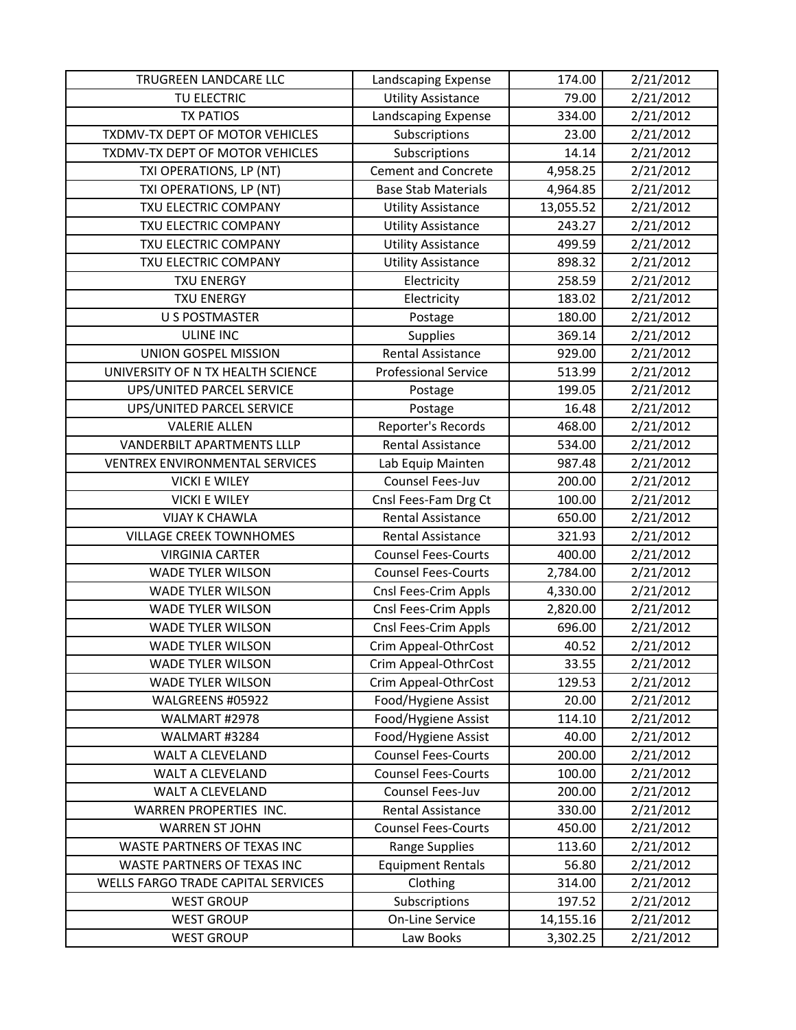| TRUGREEN LANDCARE LLC                 | Landscaping Expense         | 174.00    | 2/21/2012 |
|---------------------------------------|-----------------------------|-----------|-----------|
| TU ELECTRIC                           | <b>Utility Assistance</b>   | 79.00     | 2/21/2012 |
| <b>TX PATIOS</b>                      | Landscaping Expense         | 334.00    | 2/21/2012 |
| TXDMV-TX DEPT OF MOTOR VEHICLES       | Subscriptions               | 23.00     | 2/21/2012 |
| TXDMV-TX DEPT OF MOTOR VEHICLES       | Subscriptions               | 14.14     | 2/21/2012 |
| TXI OPERATIONS, LP (NT)               | <b>Cement and Concrete</b>  | 4,958.25  | 2/21/2012 |
| TXI OPERATIONS, LP (NT)               | <b>Base Stab Materials</b>  | 4,964.85  | 2/21/2012 |
| TXU ELECTRIC COMPANY                  | <b>Utility Assistance</b>   | 13,055.52 | 2/21/2012 |
| TXU ELECTRIC COMPANY                  | <b>Utility Assistance</b>   | 243.27    | 2/21/2012 |
| TXU ELECTRIC COMPANY                  | <b>Utility Assistance</b>   | 499.59    | 2/21/2012 |
| TXU ELECTRIC COMPANY                  | <b>Utility Assistance</b>   | 898.32    | 2/21/2012 |
| <b>TXU ENERGY</b>                     | Electricity                 | 258.59    | 2/21/2012 |
| <b>TXU ENERGY</b>                     | Electricity                 | 183.02    | 2/21/2012 |
| <b>U S POSTMASTER</b>                 | Postage                     | 180.00    | 2/21/2012 |
| <b>ULINE INC</b>                      | <b>Supplies</b>             | 369.14    | 2/21/2012 |
| UNION GOSPEL MISSION                  | Rental Assistance           | 929.00    | 2/21/2012 |
| UNIVERSITY OF N TX HEALTH SCIENCE     | <b>Professional Service</b> | 513.99    | 2/21/2012 |
| UPS/UNITED PARCEL SERVICE             | Postage                     | 199.05    | 2/21/2012 |
| UPS/UNITED PARCEL SERVICE             | Postage                     | 16.48     | 2/21/2012 |
| <b>VALERIE ALLEN</b>                  | Reporter's Records          | 468.00    | 2/21/2012 |
| <b>VANDERBILT APARTMENTS LLLP</b>     | <b>Rental Assistance</b>    | 534.00    | 2/21/2012 |
| <b>VENTREX ENVIRONMENTAL SERVICES</b> | Lab Equip Mainten           | 987.48    | 2/21/2012 |
| <b>VICKI E WILEY</b>                  | Counsel Fees-Juv            | 200.00    | 2/21/2012 |
| <b>VICKI E WILEY</b>                  | Cnsl Fees-Fam Drg Ct        | 100.00    | 2/21/2012 |
| <b>VIJAY K CHAWLA</b>                 | <b>Rental Assistance</b>    | 650.00    | 2/21/2012 |
| <b>VILLAGE CREEK TOWNHOMES</b>        | Rental Assistance           | 321.93    | 2/21/2012 |
| <b>VIRGINIA CARTER</b>                | <b>Counsel Fees-Courts</b>  | 400.00    | 2/21/2012 |
| <b>WADE TYLER WILSON</b>              | <b>Counsel Fees-Courts</b>  | 2,784.00  | 2/21/2012 |
| <b>WADE TYLER WILSON</b>              | Cnsl Fees-Crim Appls        | 4,330.00  | 2/21/2012 |
| <b>WADE TYLER WILSON</b>              | Cnsl Fees-Crim Appls        | 2,820.00  | 2/21/2012 |
| <b>WADE TYLER WILSON</b>              | Cnsl Fees-Crim Appls        | 696.00    | 2/21/2012 |
| <b>WADE TYLER WILSON</b>              | Crim Appeal-OthrCost        | 40.52     | 2/21/2012 |
| <b>WADE TYLER WILSON</b>              | Crim Appeal-OthrCost        | 33.55     | 2/21/2012 |
| <b>WADE TYLER WILSON</b>              | Crim Appeal-OthrCost        | 129.53    | 2/21/2012 |
| WALGREENS #05922                      | Food/Hygiene Assist         | 20.00     | 2/21/2012 |
| WALMART #2978                         | Food/Hygiene Assist         | 114.10    | 2/21/2012 |
| WALMART #3284                         | Food/Hygiene Assist         | 40.00     | 2/21/2012 |
| <b>WALT A CLEVELAND</b>               | <b>Counsel Fees-Courts</b>  | 200.00    | 2/21/2012 |
| <b>WALT A CLEVELAND</b>               | <b>Counsel Fees-Courts</b>  | 100.00    | 2/21/2012 |
| WALT A CLEVELAND                      | Counsel Fees-Juv            | 200.00    | 2/21/2012 |
| WARREN PROPERTIES INC.                | Rental Assistance           | 330.00    | 2/21/2012 |
| <b>WARREN ST JOHN</b>                 | <b>Counsel Fees-Courts</b>  | 450.00    | 2/21/2012 |
| WASTE PARTNERS OF TEXAS INC           | <b>Range Supplies</b>       | 113.60    | 2/21/2012 |
| WASTE PARTNERS OF TEXAS INC           | <b>Equipment Rentals</b>    | 56.80     | 2/21/2012 |
| WELLS FARGO TRADE CAPITAL SERVICES    | Clothing                    | 314.00    | 2/21/2012 |
| <b>WEST GROUP</b>                     | Subscriptions               | 197.52    | 2/21/2012 |
| <b>WEST GROUP</b>                     | On-Line Service             | 14,155.16 | 2/21/2012 |
| <b>WEST GROUP</b>                     | Law Books                   | 3,302.25  | 2/21/2012 |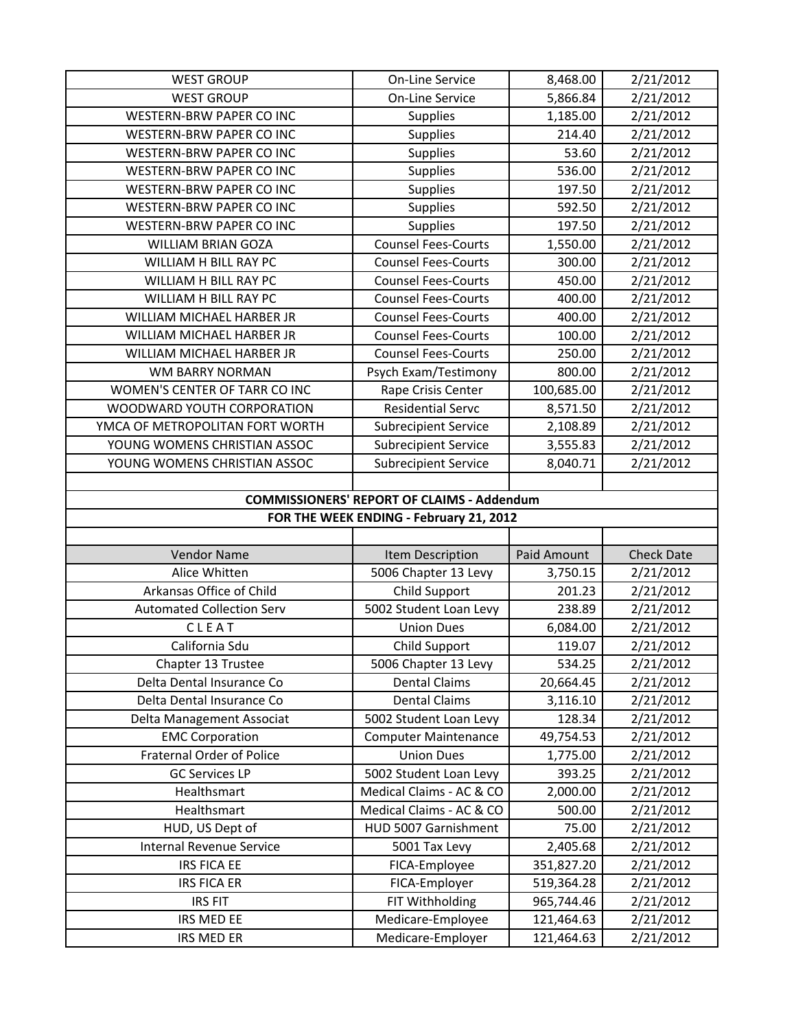| <b>WEST GROUP</b>                | On-Line Service                                   | 8,468.00    | 2/21/2012         |
|----------------------------------|---------------------------------------------------|-------------|-------------------|
| <b>WEST GROUP</b>                | On-Line Service                                   | 5,866.84    | 2/21/2012         |
| WESTERN-BRW PAPER CO INC         | Supplies                                          | 1,185.00    | 2/21/2012         |
| WESTERN-BRW PAPER CO INC         | Supplies                                          | 214.40      | 2/21/2012         |
| <b>WESTERN-BRW PAPER CO INC</b>  | Supplies                                          | 53.60       | 2/21/2012         |
| WESTERN-BRW PAPER CO INC         | Supplies                                          | 536.00      | 2/21/2012         |
| WESTERN-BRW PAPER CO INC         | Supplies                                          | 197.50      | 2/21/2012         |
| WESTERN-BRW PAPER CO INC         | Supplies                                          | 592.50      | 2/21/2012         |
| WESTERN-BRW PAPER CO INC         | Supplies                                          | 197.50      | 2/21/2012         |
| <b>WILLIAM BRIAN GOZA</b>        | <b>Counsel Fees-Courts</b>                        | 1,550.00    | 2/21/2012         |
| WILLIAM H BILL RAY PC            | <b>Counsel Fees-Courts</b>                        | 300.00      | 2/21/2012         |
| WILLIAM H BILL RAY PC            | <b>Counsel Fees-Courts</b>                        | 450.00      | 2/21/2012         |
| WILLIAM H BILL RAY PC            | <b>Counsel Fees-Courts</b>                        | 400.00      | 2/21/2012         |
| WILLIAM MICHAEL HARBER JR        | <b>Counsel Fees-Courts</b>                        | 400.00      | 2/21/2012         |
| WILLIAM MICHAEL HARBER JR        | <b>Counsel Fees-Courts</b>                        | 100.00      | 2/21/2012         |
| WILLIAM MICHAEL HARBER JR        | <b>Counsel Fees-Courts</b>                        | 250.00      | 2/21/2012         |
| <b>WM BARRY NORMAN</b>           | Psych Exam/Testimony                              | 800.00      | 2/21/2012         |
| WOMEN'S CENTER OF TARR CO INC    | Rape Crisis Center                                | 100,685.00  | 2/21/2012         |
| WOODWARD YOUTH CORPORATION       | <b>Residential Servc</b>                          | 8,571.50    | 2/21/2012         |
| YMCA OF METROPOLITAN FORT WORTH  | <b>Subrecipient Service</b>                       | 2,108.89    | 2/21/2012         |
| YOUNG WOMENS CHRISTIAN ASSOC     | <b>Subrecipient Service</b>                       | 3,555.83    | 2/21/2012         |
| YOUNG WOMENS CHRISTIAN ASSOC     | <b>Subrecipient Service</b>                       | 8,040.71    | 2/21/2012         |
|                                  |                                                   |             |                   |
|                                  | <b>COMMISSIONERS' REPORT OF CLAIMS - Addendum</b> |             |                   |
|                                  |                                                   |             |                   |
|                                  | FOR THE WEEK ENDING - February 21, 2012           |             |                   |
|                                  |                                                   |             |                   |
| <b>Vendor Name</b>               | Item Description                                  | Paid Amount | <b>Check Date</b> |
| Alice Whitten                    | 5006 Chapter 13 Levy                              | 3,750.15    | 2/21/2012         |
| Arkansas Office of Child         | Child Support                                     | 201.23      | 2/21/2012         |
| <b>Automated Collection Serv</b> | 5002 Student Loan Levy                            | 238.89      | 2/21/2012         |
| CLEAT                            | <b>Union Dues</b>                                 | 6,084.00    | 2/21/2012         |
| California Sdu                   | <b>Child Support</b>                              | 119.07      | 2/21/2012         |
| Chapter 13 Trustee               | 5006 Chapter 13 Levy                              | 534.25      | 2/21/2012         |
| Delta Dental Insurance Co        | <b>Dental Claims</b>                              | 20,664.45   | 2/21/2012         |
| Delta Dental Insurance Co        | <b>Dental Claims</b>                              | 3,116.10    | 2/21/2012         |
| Delta Management Associat        | 5002 Student Loan Levy                            | 128.34      | 2/21/2012         |
| <b>EMC Corporation</b>           | <b>Computer Maintenance</b>                       | 49,754.53   | 2/21/2012         |
| <b>Fraternal Order of Police</b> | <b>Union Dues</b>                                 | 1,775.00    | 2/21/2012         |
| <b>GC Services LP</b>            | 5002 Student Loan Levy                            | 393.25      | 2/21/2012         |
| Healthsmart                      | Medical Claims - AC & CO                          | 2,000.00    | 2/21/2012         |
| Healthsmart                      | Medical Claims - AC & CO                          | 500.00      | 2/21/2012         |
| HUD, US Dept of                  | HUD 5007 Garnishment                              | 75.00       | 2/21/2012         |
| Internal Revenue Service         | 5001 Tax Levy                                     | 2,405.68    | 2/21/2012         |
| <b>IRS FICA EE</b>               | FICA-Employee                                     | 351,827.20  | 2/21/2012         |
| <b>IRS FICA ER</b>               | FICA-Employer                                     | 519,364.28  | 2/21/2012         |
| <b>IRS FIT</b>                   | FIT Withholding                                   | 965,744.46  | 2/21/2012         |
| IRS MED EE                       | Medicare-Employee<br>Medicare-Employer            | 121,464.63  | 2/21/2012         |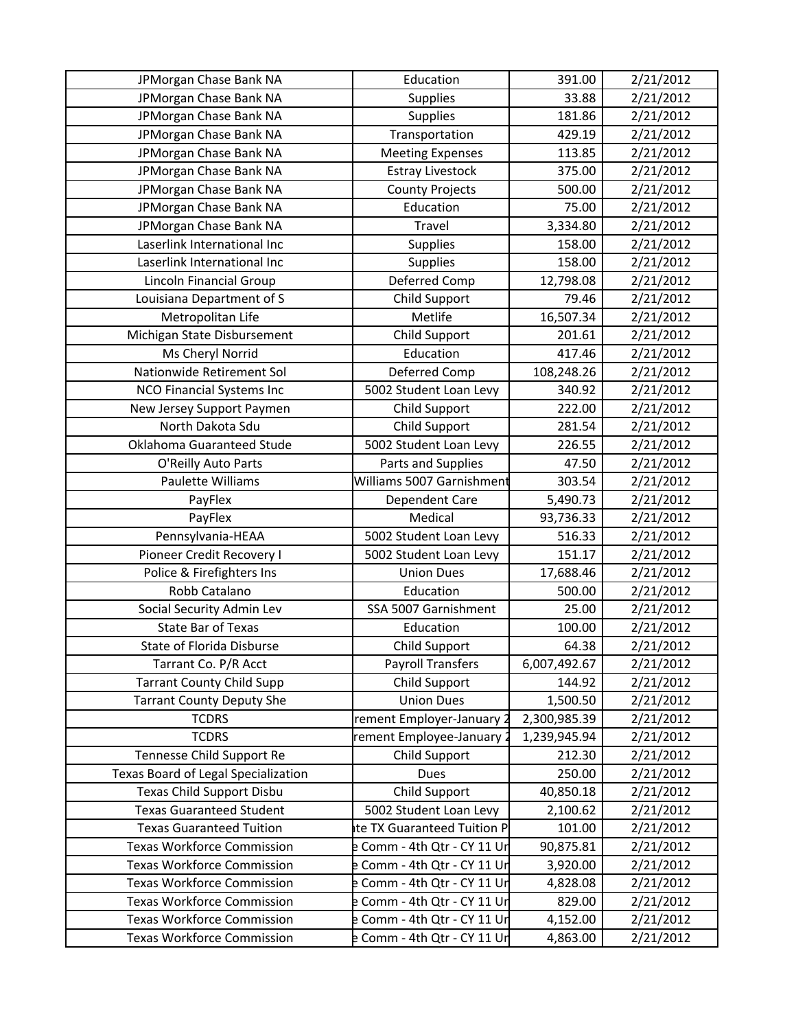| JPMorgan Chase Bank NA              | Education                   | 391.00       | 2/21/2012 |
|-------------------------------------|-----------------------------|--------------|-----------|
| JPMorgan Chase Bank NA              | <b>Supplies</b>             | 33.88        | 2/21/2012 |
| JPMorgan Chase Bank NA              | <b>Supplies</b>             | 181.86       | 2/21/2012 |
| JPMorgan Chase Bank NA              | Transportation              | 429.19       | 2/21/2012 |
| JPMorgan Chase Bank NA              | <b>Meeting Expenses</b>     | 113.85       | 2/21/2012 |
| JPMorgan Chase Bank NA              | <b>Estray Livestock</b>     | 375.00       | 2/21/2012 |
| JPMorgan Chase Bank NA              | <b>County Projects</b>      | 500.00       | 2/21/2012 |
| JPMorgan Chase Bank NA              | Education                   | 75.00        | 2/21/2012 |
| JPMorgan Chase Bank NA              | Travel                      | 3,334.80     | 2/21/2012 |
| Laserlink International Inc         | <b>Supplies</b>             | 158.00       | 2/21/2012 |
| Laserlink International Inc         | <b>Supplies</b>             | 158.00       | 2/21/2012 |
| Lincoln Financial Group             | Deferred Comp               | 12,798.08    | 2/21/2012 |
| Louisiana Department of S           | Child Support               | 79.46        | 2/21/2012 |
| Metropolitan Life                   | Metlife                     | 16,507.34    | 2/21/2012 |
| Michigan State Disbursement         | Child Support               | 201.61       | 2/21/2012 |
| Ms Cheryl Norrid                    | Education                   | 417.46       | 2/21/2012 |
| Nationwide Retirement Sol           | Deferred Comp               | 108,248.26   | 2/21/2012 |
| NCO Financial Systems Inc           | 5002 Student Loan Levy      | 340.92       | 2/21/2012 |
| New Jersey Support Paymen           | Child Support               | 222.00       | 2/21/2012 |
| North Dakota Sdu                    | Child Support               | 281.54       | 2/21/2012 |
| Oklahoma Guaranteed Stude           | 5002 Student Loan Levy      | 226.55       | 2/21/2012 |
| O'Reilly Auto Parts                 | Parts and Supplies          | 47.50        | 2/21/2012 |
| Paulette Williams                   | Williams 5007 Garnishment   | 303.54       | 2/21/2012 |
| PayFlex                             | Dependent Care              | 5,490.73     | 2/21/2012 |
| PayFlex                             | Medical                     | 93,736.33    | 2/21/2012 |
| Pennsylvania-HEAA                   | 5002 Student Loan Levy      | 516.33       | 2/21/2012 |
| Pioneer Credit Recovery I           | 5002 Student Loan Levy      | 151.17       | 2/21/2012 |
| Police & Firefighters Ins           | <b>Union Dues</b>           | 17,688.46    | 2/21/2012 |
| Robb Catalano                       | Education                   | 500.00       | 2/21/2012 |
| Social Security Admin Lev           | SSA 5007 Garnishment        | 25.00        | 2/21/2012 |
| <b>State Bar of Texas</b>           | Education                   | 100.00       | 2/21/2012 |
| <b>State of Florida Disburse</b>    | Child Support               | 64.38        | 2/21/2012 |
| Tarrant Co. P/R Acct                | <b>Payroll Transfers</b>    | 6,007,492.67 | 2/21/2012 |
| <b>Tarrant County Child Supp</b>    | Child Support               | 144.92       | 2/21/2012 |
| <b>Tarrant County Deputy She</b>    | <b>Union Dues</b>           | 1,500.50     | 2/21/2012 |
| <b>TCDRS</b>                        | rement Employer-January 2   | 2,300,985.39 | 2/21/2012 |
| <b>TCDRS</b>                        | rement Employee-January 2   | 1,239,945.94 | 2/21/2012 |
| Tennesse Child Support Re           | Child Support               | 212.30       | 2/21/2012 |
| Texas Board of Legal Specialization | Dues                        | 250.00       | 2/21/2012 |
| <b>Texas Child Support Disbu</b>    | Child Support               | 40,850.18    | 2/21/2012 |
| <b>Texas Guaranteed Student</b>     | 5002 Student Loan Levy      | 2,100.62     | 2/21/2012 |
| <b>Texas Guaranteed Tuition</b>     | te TX Guaranteed Tuition P  | 101.00       | 2/21/2012 |
| <b>Texas Workforce Commission</b>   | e Comm - 4th Qtr - CY 11 Un | 90,875.81    | 2/21/2012 |
| <b>Texas Workforce Commission</b>   | Comm - 4th Qtr - CY 11 Un   | 3,920.00     | 2/21/2012 |
| <b>Texas Workforce Commission</b>   | e Comm - 4th Qtr - CY 11 Un | 4,828.08     | 2/21/2012 |
| <b>Texas Workforce Commission</b>   | e Comm - 4th Qtr - CY 11 Un | 829.00       | 2/21/2012 |
| <b>Texas Workforce Commission</b>   | Comm - 4th Qtr - CY 11 Un   | 4,152.00     | 2/21/2012 |
| <b>Texas Workforce Commission</b>   | e Comm - 4th Qtr - CY 11 Un | 4,863.00     | 2/21/2012 |